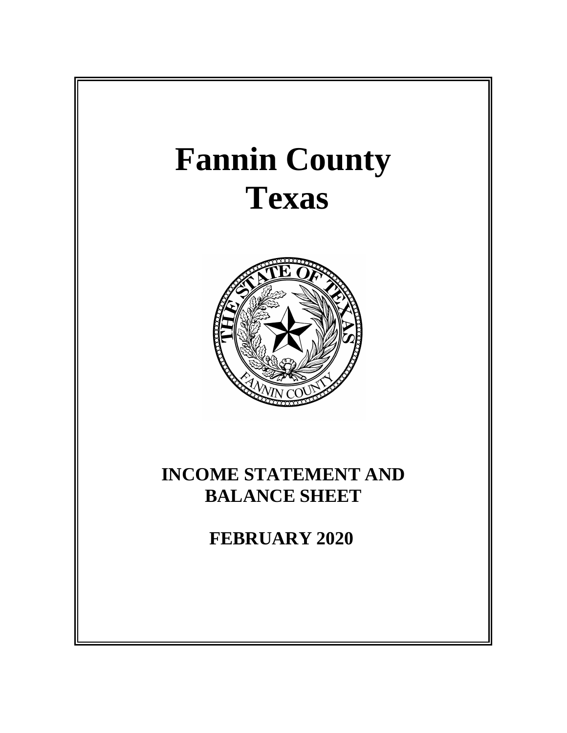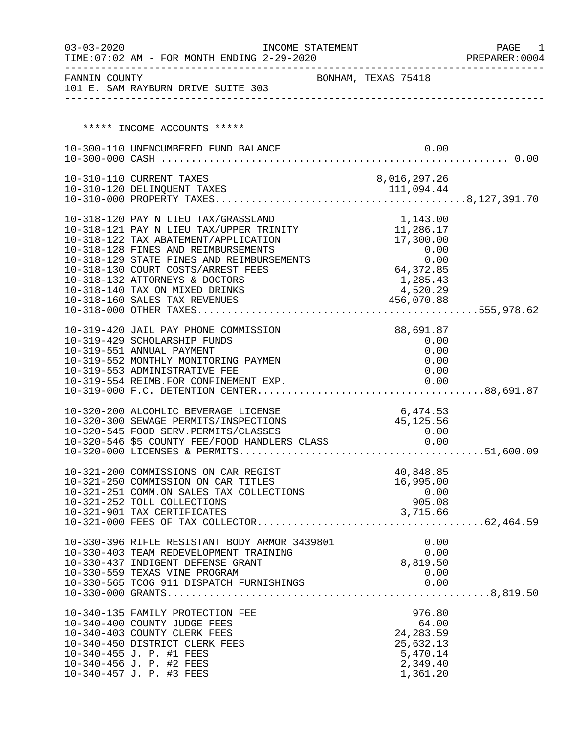| $03 - 03 - 2020$ | TIME: 07:02 AM - FOR MONTH ENDING 2-29-2020                                                                                                                               | INCOME STATEMENT |                             | PAGE<br>1<br>PREPARER: 0004 |
|------------------|---------------------------------------------------------------------------------------------------------------------------------------------------------------------------|------------------|-----------------------------|-----------------------------|
| FANNIN COUNTY    | 101 E. SAM RAYBURN DRIVE SUITE 303                                                                                                                                        |                  | BONHAM, TEXAS 75418         |                             |
|                  |                                                                                                                                                                           |                  |                             |                             |
|                  | ***** INCOME ACCOUNTS *****                                                                                                                                               |                  |                             |                             |
|                  | 10-300-110 UNENCUMBERED FUND BALANCE                                                                                                                                      |                  | 0.00                        |                             |
|                  |                                                                                                                                                                           |                  |                             |                             |
|                  | 10-310-110 CURRENT TAXES                                                                                                                                                  |                  | 8,016,297.26                |                             |
|                  |                                                                                                                                                                           |                  |                             |                             |
|                  |                                                                                                                                                                           |                  |                             |                             |
|                  | 10-318-120 PAY N LIEU TAX/GRASSLAND                                                                                                                                       |                  | 1,143.00                    |                             |
|                  | 10-318-121 PAY N LIEU TAX/UPPER TRINITY                                                                                                                                   |                  | 11,286.17                   |                             |
|                  | 10-318-122 TAX ABATEMENT/APPLICATION                                                                                                                                      |                  | 17,300.00                   |                             |
|                  | 10-318-128 FINES AND REIMBURSEMENTS                                                                                                                                       |                  | 0.00                        |                             |
|                  | 10-318-129 STATE FINES AND REIMBURSEMENTS                                                                                                                                 |                  | $0.00$<br>0.00<br>64,372.85 |                             |
|                  | 10-318-130 COURT COSTS/ARREST FEES<br>10-318-132 ATTORNEYS & DOCTORS                                                                                                      |                  | 1,285.43                    |                             |
|                  | 10-318-140 TAX ON MIXED DRINKS                                                                                                                                            |                  | 4,520.29                    |                             |
|                  | 10-318-160 SALES TAX REVENUES                                                                                                                                             |                  | 456,070.88                  |                             |
|                  |                                                                                                                                                                           |                  |                             |                             |
|                  |                                                                                                                                                                           |                  |                             |                             |
|                  | 10-319-420 JAIL PAY PHONE COMMISSION<br>10-319-429 SCHOLARSHIP FUNDS                                                                                                      |                  | 88,691.87                   |                             |
|                  | 10-319-551 ANNUAL PAYMENT                                                                                                                                                 |                  | 0.00<br>0.00                |                             |
|                  | 10-319-552 MONTHLY MONITORING PAYMEN                                                                                                                                      |                  | 0.00                        |                             |
|                  | 10-319-553 ADMINISTRATIVE FEE                                                                                                                                             |                  | 0.00                        |                             |
|                  | 10-319-554 REIMB.FOR CONFINEMENT EXP.                                                                                                                                     |                  | 0.00                        |                             |
|                  |                                                                                                                                                                           |                  |                             |                             |
|                  | 10-320-200 ALCOHLIC BEVERAGE LICENSE                                                                                                                                      |                  | 6,474.53                    |                             |
|                  | 10-320-300 SEWAGE PERMITS/INSPECTIONS                                                                                                                                     |                  | 45, 125.56                  |                             |
|                  |                                                                                                                                                                           |                  |                             |                             |
|                  | 10-320-300 SEWAGE PERMITS/INSPECTIONS (10-320-545 FOOD SERV.PERMITS/CLASSES (10-320-546 \$5 COUNTY FEE/FOOD HANDLERS CLASS (10-320-546 \$5 COUNTY FEE/FOOD HANDLERS CLASS |                  |                             |                             |
|                  |                                                                                                                                                                           |                  |                             |                             |
|                  | 10-321-200 COMMISSIONS ON CAR REGIST                                                                                                                                      |                  | 40,848.85                   |                             |
|                  | 10-321-250 COMMISSION ON CAR TITLES                                                                                                                                       |                  | 16,995.00                   |                             |
|                  | 10-321-251 COMM.ON SALES TAX COLLECTIONS                                                                                                                                  |                  | 0.00                        |                             |
|                  | 10-321-252 TOLL COLLECTIONS                                                                                                                                               |                  | 905.08                      |                             |
|                  | 10-321-901 TAX CERTIFICATES                                                                                                                                               |                  | 3,715.66                    |                             |
|                  |                                                                                                                                                                           |                  |                             |                             |
|                  | 10-330-396 RIFLE RESISTANT BODY ARMOR 3439801                                                                                                                             |                  | 0.00                        |                             |
|                  | 10-330-403 TEAM REDEVELOPMENT TRAINING                                                                                                                                    |                  | 0.00                        |                             |
|                  | 10-330-437 INDIGENT DEFENSE GRANT                                                                                                                                         |                  | 8,819.50                    |                             |
|                  | 10-330-559 TEXAS VINE PROGRAM                                                                                                                                             |                  | 0.00                        |                             |
|                  | 10-330-565 TCOG 911 DISPATCH FURNISHINGS                                                                                                                                  |                  | 0.00                        |                             |
|                  |                                                                                                                                                                           |                  |                             |                             |
|                  | 10-340-135 FAMILY PROTECTION FEE                                                                                                                                          |                  | 976.80                      |                             |
|                  | 10-340-400 COUNTY JUDGE FEES                                                                                                                                              |                  | 64.00                       |                             |
|                  | 10-340-403 COUNTY CLERK FEES                                                                                                                                              |                  | 24, 283.59                  |                             |
|                  | 10-340-450 DISTRICT CLERK FEES                                                                                                                                            |                  | 25,632.13                   |                             |
|                  | 10-340-455 J. P. #1 FEES                                                                                                                                                  |                  | 5,470.14                    |                             |
|                  | 10-340-456 J. P. #2 FEES                                                                                                                                                  |                  | 2,349.40                    |                             |
|                  | 10-340-457 J. P. #3 FEES                                                                                                                                                  |                  | 1,361.20                    |                             |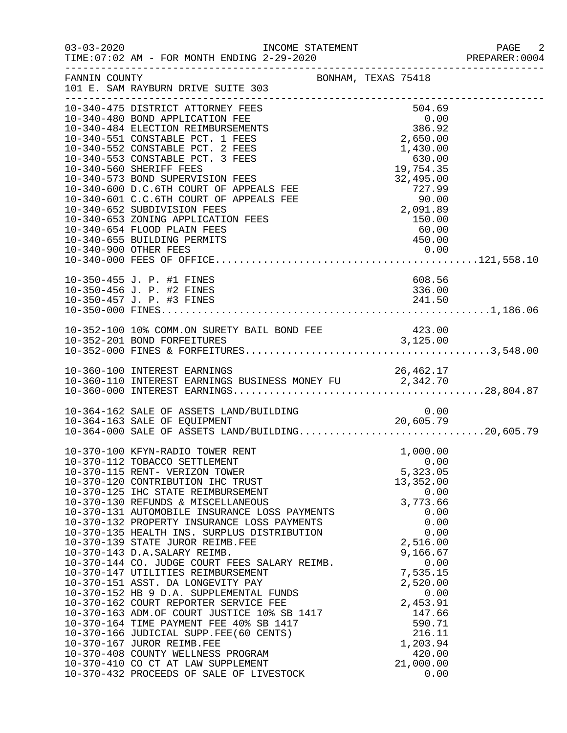|               |                                                                                                                                                                                                                                                                                                                                                                                                                                                                                                                                                                                                                                                                                                                                                                                                                                                                                                                                                                                            |                                                                                                                                                                                                                                            | - 2<br>PREPARER: 0004 |
|---------------|--------------------------------------------------------------------------------------------------------------------------------------------------------------------------------------------------------------------------------------------------------------------------------------------------------------------------------------------------------------------------------------------------------------------------------------------------------------------------------------------------------------------------------------------------------------------------------------------------------------------------------------------------------------------------------------------------------------------------------------------------------------------------------------------------------------------------------------------------------------------------------------------------------------------------------------------------------------------------------------------|--------------------------------------------------------------------------------------------------------------------------------------------------------------------------------------------------------------------------------------------|-----------------------|
| FANNIN COUNTY |                                                                                                                                                                                                                                                                                                                                                                                                                                                                                                                                                                                                                                                                                                                                                                                                                                                                                                                                                                                            | BONHAM, TEXAS 75418                                                                                                                                                                                                                        |                       |
|               | 10-340-475 DISTRICT ATTORNEY FEES<br>10-340-480 BOND APPLICATION FEE<br>10-340-484 ELECTION REIMBURSEMENTS<br>10-340-551 CONSTABLE PCT. 1 FEES<br>10-340-552 CONSTABLE PCT. 2 FEES<br>10-340-553 CONSTABLE PCT. 3 FEES<br>10-340-560 SHERIFF FEES<br>10-340-573 BOND SUPERVISION FEES<br>10-340-600 D.C.6TH COURT OF APPEALS FEE<br>10-340-601 C.C.6TH COURT OF APPEALS FEE<br>10-340-652 SUBDIVISION FEES<br>10-340-653 ZONING APPLICATION FEES<br>10-340-654 FLOOD PLAIN FEES<br>10-340-655 BUILDING PERMITS                                                                                                                                                                                                                                                                                                                                                                                                                                                                             | 504.69<br>$\begin{array}{r} 0.00 \\ 386.92 \\ 2,650.00 \end{array}$<br>2,650.00<br>1,430.00<br>630.00<br>19,754.35<br>32,495.00<br>$19\,, 754\,.35\, 32\,, 495\,.00\, 727\,.99\, 90\,.00\, 2\,, 091\,.89\, 150\,.00\, 60\,.00$<br>450.00   |                       |
|               | 10-350-455 J. P. #1 FINES<br>10-350-456 J. P. #2 FINES                                                                                                                                                                                                                                                                                                                                                                                                                                                                                                                                                                                                                                                                                                                                                                                                                                                                                                                                     | 608.56<br>336.00                                                                                                                                                                                                                           |                       |
|               |                                                                                                                                                                                                                                                                                                                                                                                                                                                                                                                                                                                                                                                                                                                                                                                                                                                                                                                                                                                            |                                                                                                                                                                                                                                            |                       |
|               |                                                                                                                                                                                                                                                                                                                                                                                                                                                                                                                                                                                                                                                                                                                                                                                                                                                                                                                                                                                            |                                                                                                                                                                                                                                            |                       |
|               | 10-364-162 SALE OF ASSETS LAND/BUILDING<br>10-364-163 SALE OF EQUIPMENT 20,605.79<br>10-364-000 SALE OF ASSETS LAND/BUILDING20,605.79                                                                                                                                                                                                                                                                                                                                                                                                                                                                                                                                                                                                                                                                                                                                                                                                                                                      |                                                                                                                                                                                                                                            |                       |
|               | 10-370-100 KFYN-RADIO TOWER RENT<br>10-370-112 TOBACCO SETTLEMENT<br>10-370-115 RENT- VERIZON TOWER<br>10-370-120 CONTRIBUTION IHC TRUST<br>10-370-125 IHC STATE REIMBURSEMENT<br>10-370-130 REFUNDS & MISCELLANEOUS<br>10-370-131 AUTOMOBILE INSURANCE LOSS PAYMENTS<br>10-370-132 PROPERTY INSURANCE LOSS PAYMENTS<br>10-370-135 HEALTH INS. SURPLUS DISTRIBUTION<br>10-370-139 STATE JUROR REIMB.FEE<br>10-370-143 D.A.SALARY REIMB.<br>10-370-144 CO. JUDGE COURT FEES SALARY REIMB.<br>10-370-147 UTILITIES REIMBURSEMENT<br>10-370-151 ASST. DA LONGEVITY PAY<br>10-370-152 HB 9 D.A. SUPPLEMENTAL FUNDS<br>10-370-162 COURT REPORTER SERVICE FEE<br>10-370-162 COURT REPORTER SERVICE FEE<br>10-370-163 ADM.OF COURT JUSTICE 10% SB 1417<br>10-370-164 TIME PAYMENT FEE 40% SB 1417<br>10-370-166 JUDICIAL SUPP.FEE(60 CENTS)<br>10-370-167 JUROR REIMB.FEE<br>10-370-408 COUNTY WELLNESS PROGRAM<br>10-370-410 CO CT AT LAW SUPPLEMENT<br>10-370-432 PROCEEDS OF SALE OF LIVESTOCK | 1,000.00<br>0.00<br>5,323.05<br>13,352.00<br>0.00<br>3,773.66<br>0.00<br>0.00<br>0.00<br>2,516.00<br>9,166.67<br>0.00<br>7,535.15<br>2,520.00<br>0.00<br>2,453.91<br>147.66<br>590.71<br>216.11<br>1,203.94<br>420.00<br>21,000.00<br>0.00 |                       |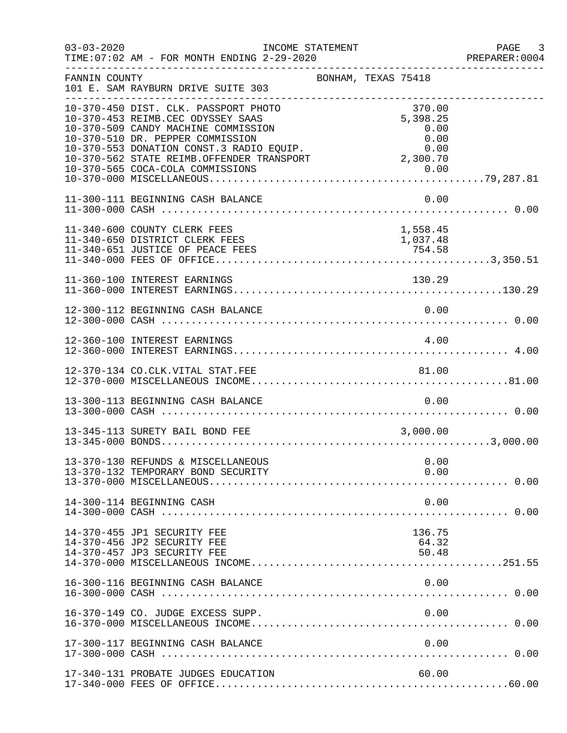| $03 - 03 - 2020$ | TIME: 07:02 AM - FOR MONTH ENDING 2-29-2020                                                                                                                                                                                                                                               | INCOME STATEMENT    |                                            | PAGE 3<br>PREPARER: 0004 |
|------------------|-------------------------------------------------------------------------------------------------------------------------------------------------------------------------------------------------------------------------------------------------------------------------------------------|---------------------|--------------------------------------------|--------------------------|
| FANNIN COUNTY    | 101 E. SAM RAYBURN DRIVE SUITE 303                                                                                                                                                                                                                                                        | BONHAM, TEXAS 75418 |                                            |                          |
|                  | 10-370-450 DIST. CLK. PASSPORT PHOTO<br>10-370-453 REIMB.CEC ODYSSEY SAAS<br>10-370-509 CANDY MACHINE COMMISSION<br>10-370-510 DR. PEPPER COMMISSION<br>10-370-553 DONATION CONST.3 RADIO EQUIP.<br>10-370-553 DONATION CONST.3 RADIO EQUIP.<br>10-370-562 STATE REIMB.OFFENDER TRANSPORT |                     | 370.00<br>5,398.25<br>0.00<br>0.00<br>0.00 |                          |
|                  | 11-300-111 BEGINNING CASH BALANCE                                                                                                                                                                                                                                                         |                     | 0.00                                       |                          |
|                  | 11-340-600 COUNTY CLERK FEES<br>11-340-650 DISTRICT CLERK FEES<br>11-340-651 JUSTICE OF PEACE FEES                                                                                                                                                                                        |                     | 1,558.45<br>1,037.48<br>754.58             |                          |
|                  | 11-360-100 INTEREST EARNINGS                                                                                                                                                                                                                                                              |                     | 130.29                                     |                          |
|                  | 12-300-112 BEGINNING CASH BALANCE                                                                                                                                                                                                                                                         |                     | 0.00                                       |                          |
|                  | 12-360-100 INTEREST EARNINGS                                                                                                                                                                                                                                                              |                     | 4.00                                       |                          |
|                  | 12-370-134 CO.CLK.VITAL STAT.FEE                                                                                                                                                                                                                                                          |                     | 81.00                                      |                          |
|                  | 13-300-113 BEGINNING CASH BALANCE                                                                                                                                                                                                                                                         |                     | 0.00                                       |                          |
|                  | 13-345-113 SURETY BAIL BOND FEE                                                                                                                                                                                                                                                           |                     | 3,000.00                                   |                          |
|                  | 13-370-130 REFUNDS & MISCELLANEOUS<br>13-370-132 TEMPORARY BOND SECURITY                                                                                                                                                                                                                  |                     | 0.00<br>0.00                               |                          |
|                  | 14-300-114 BEGINNING CASH                                                                                                                                                                                                                                                                 |                     | 0.00                                       |                          |
|                  | 14-370-455 JP1 SECURITY FEE<br>14-370-456 JP2 SECURITY FEE<br>14-370-457 JP3 SECURITY FEE                                                                                                                                                                                                 |                     | 136.75<br>64.32<br>50.48                   |                          |
|                  | 16-300-116 BEGINNING CASH BALANCE                                                                                                                                                                                                                                                         |                     | 0.00                                       |                          |
|                  | 16-370-149 CO. JUDGE EXCESS SUPP.                                                                                                                                                                                                                                                         |                     | 0.00                                       |                          |
|                  | 17-300-117 BEGINNING CASH BALANCE                                                                                                                                                                                                                                                         |                     | 0.00                                       |                          |
|                  | 17-340-131 PROBATE JUDGES EDUCATION                                                                                                                                                                                                                                                       |                     | 60.00                                      |                          |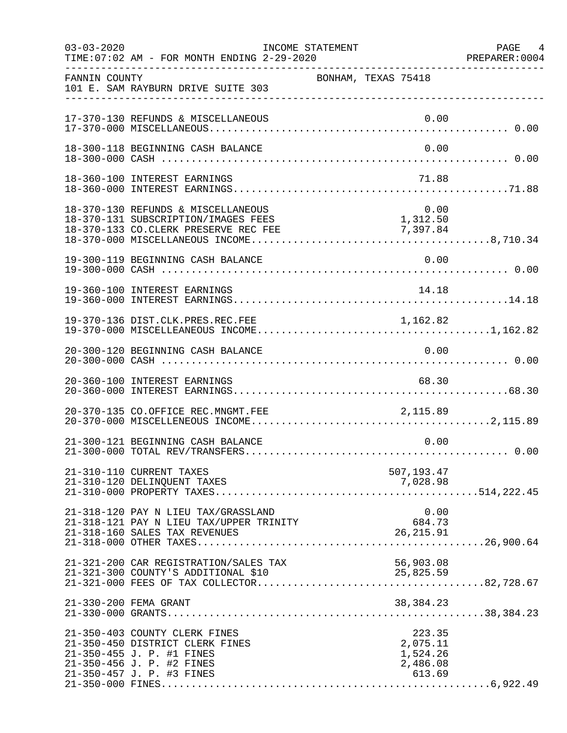| $03 - 03 - 2020$ | INCOME STATEMENT<br>TIME: 07:02 AM - FOR MONTH ENDING 2-29-2020                                                                                         |                                                      | PAGE 4<br>PREPARER: 0004 |
|------------------|---------------------------------------------------------------------------------------------------------------------------------------------------------|------------------------------------------------------|--------------------------|
| FANNIN COUNTY    | 101 E. SAM RAYBURN DRIVE SUITE 303                                                                                                                      | BONHAM, TEXAS 75418                                  |                          |
|                  | 17-370-130 REFUNDS & MISCELLANEOUS                                                                                                                      |                                                      | 0.00                     |
|                  | 18-300-118 BEGINNING CASH BALANCE                                                                                                                       |                                                      | 0.00                     |
|                  | 18-360-100 INTEREST EARNINGS                                                                                                                            |                                                      | 71.88                    |
|                  | 18-370-130 REFUNDS & MISCELLANEOUS<br>18-370-131 SUBSCRIPTION/IMAGES FEES                                                                               | $0.00$<br>1,312.50                                   | 0.00                     |
|                  | 19-300-119 BEGINNING CASH BALANCE                                                                                                                       | 0.00                                                 |                          |
|                  | 19-360-100 INTEREST EARNINGS                                                                                                                            | 14.18                                                |                          |
|                  | 19-370-136 DIST.CLK.PRES.REC.FEE                                                                                                                        | 1,162.82                                             |                          |
|                  | 20-300-120 BEGINNING CASH BALANCE                                                                                                                       | 0.00                                                 |                          |
|                  | 20-360-100 INTEREST EARNINGS                                                                                                                            | 68.30                                                |                          |
|                  | 20-370-135 CO.OFFICE REC.MNGMT.FEE                                                                                                                      | 2,115.89                                             |                          |
|                  | 21-300-121 BEGINNING CASH BALANCE                                                                                                                       |                                                      | 0.00                     |
|                  | 21-310-110 CURRENT TAXES<br>21-310-120 DELINQUENT TAXES                                                                                                 | 507,193.47<br>7,028.98                               |                          |
|                  | 21-318-120 PAY N LIEU TAX/GRASSLAND<br>21-318-121 PAY N LIEU TAX/UPPER TRINITY<br>21-318-160 SALES TAX REVENUES                                         | 684.73<br>26, 215.91                                 | 0.00                     |
|                  | 21-321-200 CAR REGISTRATION/SALES TAX<br>21-321-300 COUNTY'S ADDITIONAL \$10                                                                            | 56,903.08<br>25,825.59                               |                          |
|                  | 21-330-200 FEMA GRANT                                                                                                                                   | 38, 384. 23                                          |                          |
|                  | 21-350-403 COUNTY CLERK FINES<br>21-350-450 DISTRICT CLERK FINES<br>21-350-455 J. P. #1 FINES<br>21-350-456 J. P. #2 FINES<br>21-350-457 J. P. #3 FINES | 223.35<br>2,075.11<br>1,524.26<br>2,486.08<br>613.69 |                          |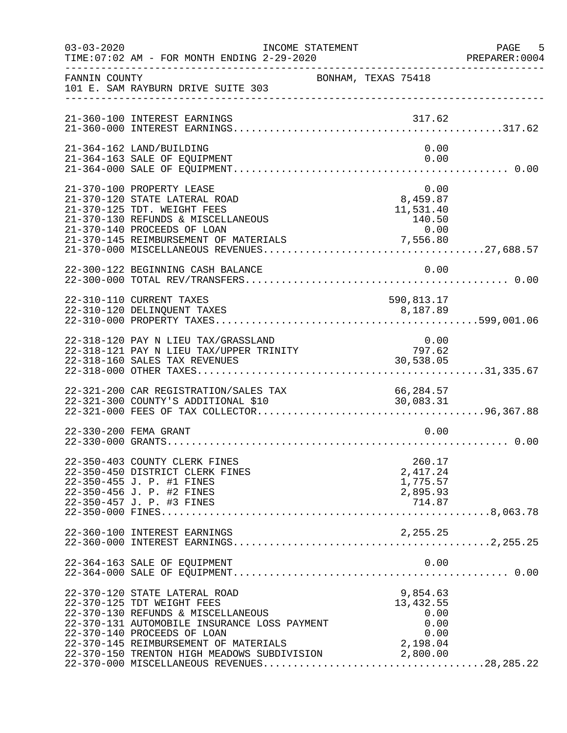| $03 - 03 - 2020$ | INCOME STATEMENT<br>TIME: 07:02 AM - FOR MONTH ENDING 2-29-2020                                                                                                                                                                                                                                                                                                                                  | ------------------------------------                       | PAGE 5<br>PREPARER: 0004 |
|------------------|--------------------------------------------------------------------------------------------------------------------------------------------------------------------------------------------------------------------------------------------------------------------------------------------------------------------------------------------------------------------------------------------------|------------------------------------------------------------|--------------------------|
| FANNIN COUNTY    | 101 E. SAM RAYBURN DRIVE SUITE 303                                                                                                                                                                                                                                                                                                                                                               | BONHAM, TEXAS 75418                                        |                          |
|                  | 21-360-100 INTEREST EARNINGS                                                                                                                                                                                                                                                                                                                                                                     | 317.62                                                     |                          |
|                  | 21-364-162 LAND/BUILDING<br>21-364-163 SALE OF EQUIPMENT                                                                                                                                                                                                                                                                                                                                         | 0.00<br>0.00                                               |                          |
|                  | 21-370-100 PROPERTY LEASE<br>21-370-120 STATE LATERAL ROAD<br>21-370-125 TDT. WEIGHT FEES<br>21-370-130 REFUNDS & MISCELLANEOUS<br>21-370-140 PROCEEDS OF LOAN                                                                                                                                                                                                                                   | 0.00<br>8,459.87<br>11,531.40<br>140.50<br>0.00            |                          |
|                  | 22-300-122 BEGINNING CASH BALANCE                                                                                                                                                                                                                                                                                                                                                                | 0.00                                                       |                          |
|                  | 22-310-110 CURRENT TAXES                                                                                                                                                                                                                                                                                                                                                                         | 590,813.17                                                 |                          |
|                  | $\begin{tabular}{lllllllllll} $\mathsf{z}\mathsf{z}$-510$-120$ $\mathsf{PAY}$ & $\mathsf{N}$ & $\mathsf{LIEU}$\end{tabular} \begin{tabular}{lllllllllll} \multicolumn{2}{c}{\multicolumn{2}{l}{{\small 0.00}}\\[-0.2em]{\small 22$-318$-121 $PAY$ $N$ & $\mathsf{LIEU} $TAX/UPPER$ TRINITY$ & $797.62\\[-0.2em]{\small 22$-318$-160 SALES $TAX REVENUES & $30,538.05\\[-0.2em]{\small 22$-318$-$ |                                                            |                          |
|                  | 22-321-200 CAR REGISTRATION/SALES TAX 66,284.57<br>22-321-300 COUNTY'S ADDITIONAL \$10 30,083.31                                                                                                                                                                                                                                                                                                 |                                                            |                          |
|                  | 22-330-200 FEMA GRANT                                                                                                                                                                                                                                                                                                                                                                            | 0.00                                                       |                          |
|                  | 22-350-403 COUNTY CLERK FINES<br>22-350-450 DISTRICT CLERK FINES<br>22-350-455 J. P. #1 FINES<br>22-350-456 J. P. #2 FINES<br>22-350-457 J. P. #3 FINES                                                                                                                                                                                                                                          | 260.17<br>2,417.24<br>1,775.57<br>2,895.93                 |                          |
|                  | 22-360-100 INTEREST EARNINGS                                                                                                                                                                                                                                                                                                                                                                     | 2,255.25                                                   |                          |
|                  | 22-364-163 SALE OF EQUIPMENT                                                                                                                                                                                                                                                                                                                                                                     | 0.00                                                       |                          |
|                  | 22-370-120 STATE LATERAL ROAD<br>22-370-125 TDT WEIGHT FEES<br>22-370-130 REFUNDS & MISCELLANEOUS<br>22-370-131 AUTOMOBILE INSURANCE LOSS PAYMENT<br>22-370-140 PROCEEDS OF LOAN<br>22-370-145 REIMBURSEMENT OF MATERIALS<br>22-370-150 TRENTON HIGH MEADOWS SUBDIVISION 2,800.00                                                                                                                | 9,854.63<br>13, 432.55<br>0.00<br>0.00<br>0.00<br>2,198.04 |                          |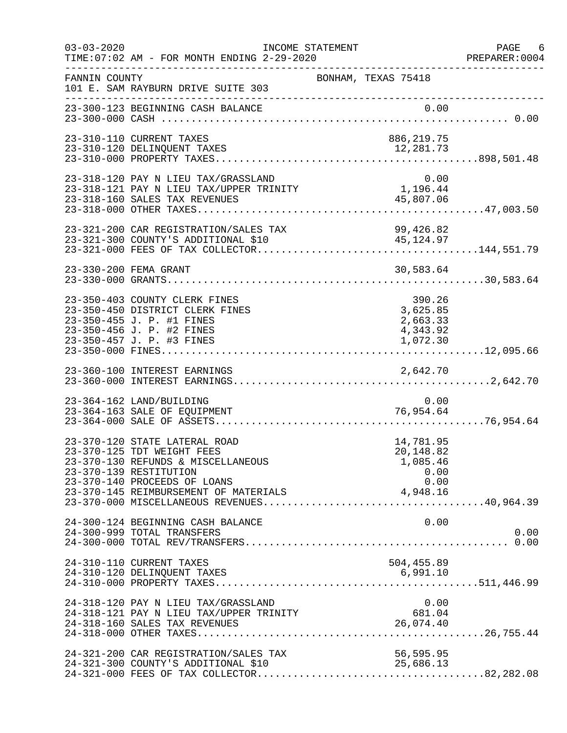| $03 - 03 - 2020$ | TIME: 07:02 AM - FOR MONTH ENDING 2-29-2020                                                                                                                 | INCOME STATEMENT    |                                                    | PAGE 6<br>PREPARER:0004 |
|------------------|-------------------------------------------------------------------------------------------------------------------------------------------------------------|---------------------|----------------------------------------------------|-------------------------|
| FANNIN COUNTY    | 101 E. SAM RAYBURN DRIVE SUITE 303<br>----------------------------------                                                                                    | BONHAM, TEXAS 75418 |                                                    |                         |
|                  | 23-300-123 BEGINNING CASH BALANCE                                                                                                                           |                     |                                                    |                         |
|                  | 23-310-110 CURRENT TAXES<br>23-310-120 DELINQUENT TAXES                                                                                                     |                     | 886, 219.75<br>12,281.73                           |                         |
|                  | 23-318-120 PAY N LIEU TAX/GRASSLAND<br>23-318-121 PAY N LIEU TAX/UPPER TRINITY<br>23-318-160 SALES TAX REVENUES                                             |                     | 0.00<br>1,196.44<br>45,807.06                      |                         |
|                  | 23-321-200 CAR REGISTRATION/SALES TAX<br>23-321-300 COUNTY'S ADDITIONAL \$10                                                                                |                     | 99,426.82<br>45, 124.97                            |                         |
|                  | 23-330-200 FEMA GRANT                                                                                                                                       |                     | 30,583.64                                          |                         |
|                  | 23-350-403 COUNTY CLERK FINES<br>23-350-450 DISTRICT CLERK FINES<br>23-350-455 J. P. #1 FINES<br>23-350-456 J. P. #2 FINES                                  |                     | 390.26<br>3,625.85<br>2,663.33<br>4,343.92         |                         |
|                  |                                                                                                                                                             |                     |                                                    |                         |
|                  | 23-364-162 LAND/BUILDING<br>23-364-163 SALE OF EQUIPMENT                                                                                                    |                     | 0.00<br>76,954.64                                  |                         |
|                  | 23-370-120 STATE LATERAL ROAD<br>23-370-125 TDT WEIGHT FEES<br>23-370-130 REFUNDS & MISCELLANEOUS<br>23-370-139 RESTITUTION<br>23-370-140 PROCEEDS OF LOANS |                     | 14,781.95<br>20,148.82<br>1,085.46<br>0.00<br>0.00 |                         |
|                  | 24-300-124 BEGINNING CASH BALANCE<br>24-300-999 TOTAL TRANSFERS                                                                                             |                     | 0.00                                               | 0.00                    |
|                  | 24-310-110 CURRENT TAXES                                                                                                                                    |                     | 504,455.89                                         |                         |
|                  | 24-318-120 PAY N LIEU TAX/GRASSLAND<br>24-318-121 PAY N LIEU TAX/UPPER TRINITY<br>24-318-160 SALES TAX REVENUES                                             |                     | 0.00<br>681.04<br>26,074.40                        |                         |
|                  | 24-321-200 CAR REGISTRATION/SALES TAX<br>24-321-300 COUNTY'S ADDITIONAL \$10                                                                                |                     | 56,595.95<br>25,686.13                             |                         |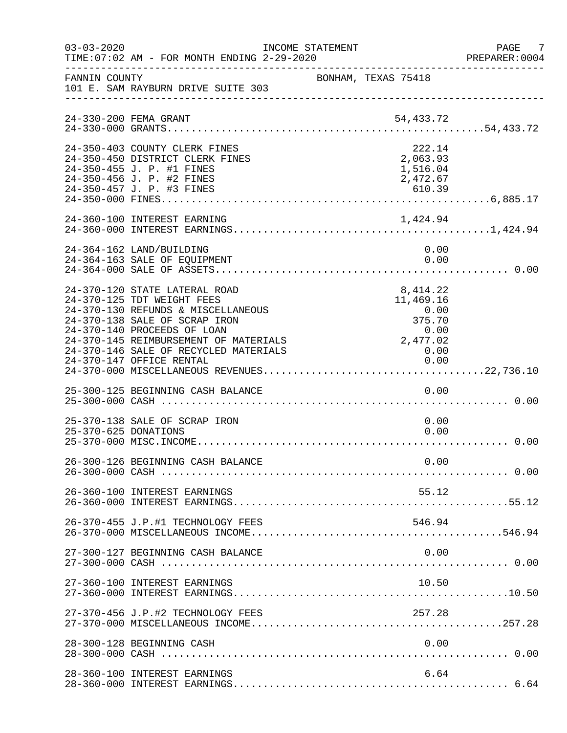| $03 - 03 - 2020$ | INCOME STATEMENT<br>TIME: 07:02 AM - FOR MONTH ENDING 2-29-2020                                                                                                                                                                                                                 |                     |                                                                                     | PAGE 7<br>PREPARER: 0004 |
|------------------|---------------------------------------------------------------------------------------------------------------------------------------------------------------------------------------------------------------------------------------------------------------------------------|---------------------|-------------------------------------------------------------------------------------|--------------------------|
| FANNIN COUNTY    | 101 E. SAM RAYBURN DRIVE SUITE 303                                                                                                                                                                                                                                              | BONHAM, TEXAS 75418 |                                                                                     |                          |
|                  |                                                                                                                                                                                                                                                                                 |                     |                                                                                     |                          |
|                  | 24-350-403 COUNTY CLERK FINES<br>24-350-450 DISTRICT CLERK FINES<br>24-350-455 J. P. #1 FINES<br>24-350-456 J. P. #2 FINES                                                                                                                                                      |                     | 222.14<br>2,063.93<br>1,516.04<br>2,472.67                                          |                          |
|                  | 24-360-100 INTEREST EARNING                                                                                                                                                                                                                                                     |                     |                                                                                     |                          |
|                  | 24-364-162 LAND/BUILDING<br>24-364-163 SALE OF EQUIPMENT                                                                                                                                                                                                                        |                     | 0.00<br>0.00                                                                        |                          |
|                  | 24-370-120 STATE LATERAL ROAD<br>24-370-125 TDT WEIGHT FEES<br>24-370-130 REFUNDS & MISCELLANEOUS<br>24-370-138 SALE OF SCRAP IRON<br>24-370-140 PROCEEDS OF LOAN<br>24-370-145 REIMBURSEMENT OF MATERIALS<br>24-370-146 SALE OF RECYCLED MATERIALS<br>24-370-147 OFFICE RENTAL |                     | 8,414.22<br>11,469.16<br>0.00<br>375.70<br>0.00<br>0.00<br>2,477.02<br>0.00<br>0.00 |                          |
|                  | 25-300-125 BEGINNING CASH BALANCE                                                                                                                                                                                                                                               |                     | 0.00                                                                                |                          |
|                  | 25-370-138 SALE OF SCRAP IRON<br>25-370-625 DONATIONS                                                                                                                                                                                                                           |                     | 0.00<br>0.00                                                                        |                          |
|                  | 26-300-126 BEGINNING CASH BALANCE                                                                                                                                                                                                                                               |                     | 0.00                                                                                |                          |
|                  | 26-360-100 INTEREST EARNINGS                                                                                                                                                                                                                                                    |                     | 55.12                                                                               |                          |
|                  | 26-370-455 J.P.#1 TECHNOLOGY FEES                                                                                                                                                                                                                                               |                     | 546.94                                                                              |                          |
|                  | 27-300-127 BEGINNING CASH BALANCE                                                                                                                                                                                                                                               |                     |                                                                                     |                          |
|                  | 27-360-100 INTEREST EARNINGS                                                                                                                                                                                                                                                    |                     | 10.50                                                                               |                          |
|                  | 27-370-456 J.P.#2 TECHNOLOGY FEES                                                                                                                                                                                                                                               |                     | 257.28                                                                              |                          |
|                  | 28-300-128 BEGINNING CASH                                                                                                                                                                                                                                                       |                     | 0.00                                                                                |                          |
|                  | 28-360-100 INTEREST EARNINGS                                                                                                                                                                                                                                                    |                     | 6.64                                                                                |                          |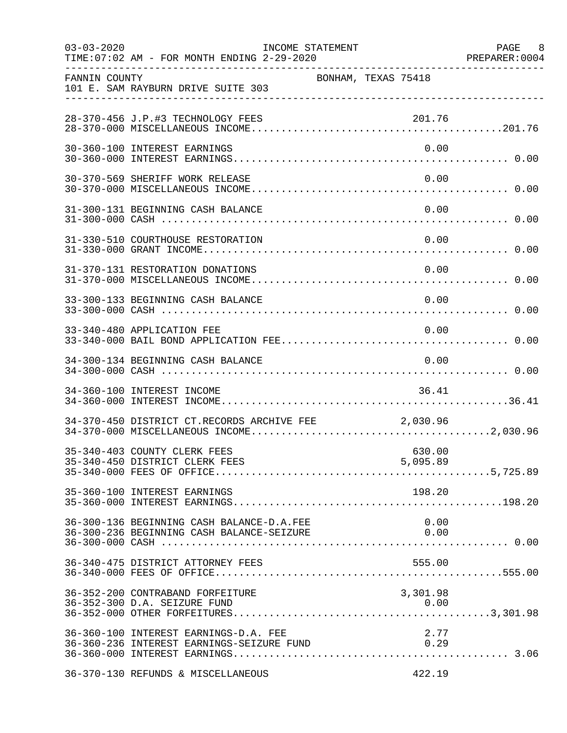| $03 - 03 - 2020$ | TIME: 07:02 AM - FOR MONTH ENDING 2-29-2020                                             | INCOME STATEMENT |                     | PAGE 8<br>PREPARER: 0004 |
|------------------|-----------------------------------------------------------------------------------------|------------------|---------------------|--------------------------|
| FANNIN COUNTY    | 101 E. SAM RAYBURN DRIVE SUITE 303                                                      |                  | BONHAM, TEXAS 75418 |                          |
|                  | 28-370-456 J.P.#3 TECHNOLOGY FEES                                                       |                  | 201.76              |                          |
|                  | 30-360-100 INTEREST EARNINGS                                                            |                  |                     | 0.00                     |
|                  | 30-370-569 SHERIFF WORK RELEASE                                                         |                  |                     | 0.00                     |
|                  | 31-300-131 BEGINNING CASH BALANCE                                                       |                  |                     | 0.00                     |
|                  | 31-330-510 COURTHOUSE RESTORATION                                                       |                  | 0.00                |                          |
|                  | 31-370-131 RESTORATION DONATIONS                                                        |                  |                     | 0.00                     |
|                  | 33-300-133 BEGINNING CASH BALANCE                                                       |                  | 0.00                |                          |
|                  | 33-340-480 APPLICATION FEE                                                              |                  | 0.00                |                          |
|                  | 34-300-134 BEGINNING CASH BALANCE                                                       |                  | 0.00                |                          |
|                  | 34-360-100 INTEREST INCOME                                                              |                  | 36.41               |                          |
|                  | 34-370-450 DISTRICT CT.RECORDS ARCHIVE FEE 2,030.96                                     |                  |                     |                          |
|                  | 35-340-403 COUNTY CLERK FEES                                                            |                  | 630.00              |                          |
|                  | 35-360-100 INTEREST EARNINGS                                                            |                  | 198.20              |                          |
|                  | 36-300-136 BEGINNING CASH BALANCE-D.A.FEE                                               |                  | 0.00                |                          |
|                  |                                                                                         |                  |                     |                          |
|                  | 36-352-200 CONTRABAND FORFEITURE<br>36-352-300 D.A. SEIZURE FUND                        |                  | 3,301.98<br>0.00    |                          |
|                  | 36-360-100 INTEREST EARNINGS-D.A. FEE<br>36-360-236 INTEREST EARNINGS-SEIZURE FUND 0.29 |                  | 2.77                |                          |
|                  | 36-370-130 REFUNDS & MISCELLANEOUS                                                      |                  | 422.19              |                          |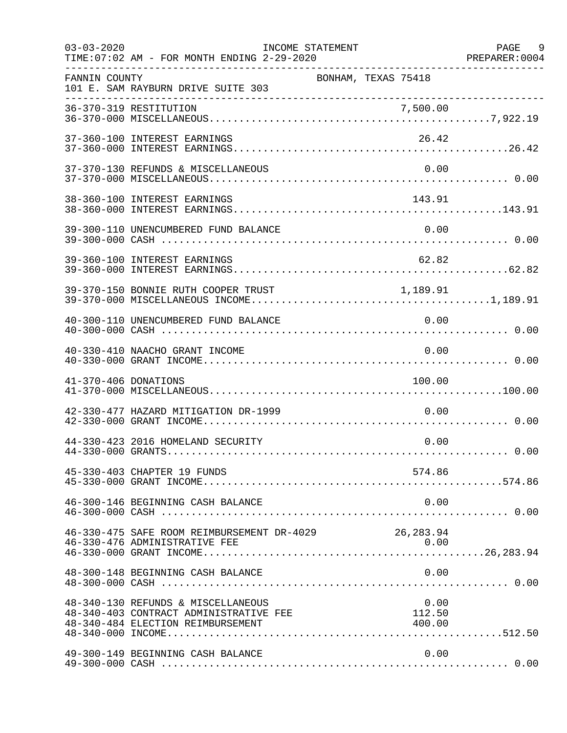| $03 - 03 - 2020$     | TIME: 07:02 AM - FOR MONTH ENDING 2-29-2020                                                                       | INCOME STATEMENT    |                          | PAGE 9 |
|----------------------|-------------------------------------------------------------------------------------------------------------------|---------------------|--------------------------|--------|
| FANNIN COUNTY        | 101 E. SAM RAYBURN DRIVE SUITE 303                                                                                | BONHAM, TEXAS 75418 |                          |        |
|                      |                                                                                                                   |                     |                          |        |
|                      | 37-360-100 INTEREST EARNINGS                                                                                      |                     | 26.42                    |        |
|                      | 37-370-130 REFUNDS & MISCELLANEOUS                                                                                |                     | 0.00                     |        |
|                      | 38-360-100 INTEREST EARNINGS                                                                                      |                     | 143.91                   |        |
|                      | 39-300-110 UNENCUMBERED FUND BALANCE                                                                              |                     | 0.00                     |        |
|                      | 39-360-100 INTEREST EARNINGS                                                                                      |                     | 62.82                    |        |
|                      | 39-370-150 BONNIE RUTH COOPER TRUST                                                                               |                     | 1,189.91                 |        |
|                      | 40-300-110 UNENCUMBERED FUND BALANCE                                                                              |                     | 0.00                     |        |
|                      | 40-330-410 NAACHO GRANT INCOME                                                                                    |                     | 0.00                     |        |
| 41-370-406 DONATIONS |                                                                                                                   |                     | 100.00                   |        |
|                      | 42-330-477 HAZARD MITIGATION DR-1999                                                                              |                     | 0.00                     |        |
|                      | 44-330-423 2016 HOMELAND SECURITY                                                                                 |                     | 0.00                     |        |
|                      | 45-330-403 CHAPTER 19 FUNDS                                                                                       |                     | 574.86                   |        |
|                      | 46-300-146 BEGINNING CASH BALANCE                                                                                 |                     | 0.00                     |        |
|                      | 46-330-475 SAFE ROOM REIMBURSEMENT DR-4029<br>46-330-476 ADMINISTRATIVE FEE                                       |                     | 26,283.94<br>0.00        |        |
|                      | 48-300-148 BEGINNING CASH BALANCE                                                                                 |                     | 0.00                     |        |
|                      | 48-340-130 REFUNDS & MISCELLANEOUS<br>48-340-403 CONTRACT ADMINISTRATIVE FEE<br>48-340-484 ELECTION REIMBURSEMENT |                     | 0.00<br>112.50<br>400.00 |        |
|                      | 49-300-149 BEGINNING CASH BALANCE                                                                                 |                     | 0.00                     |        |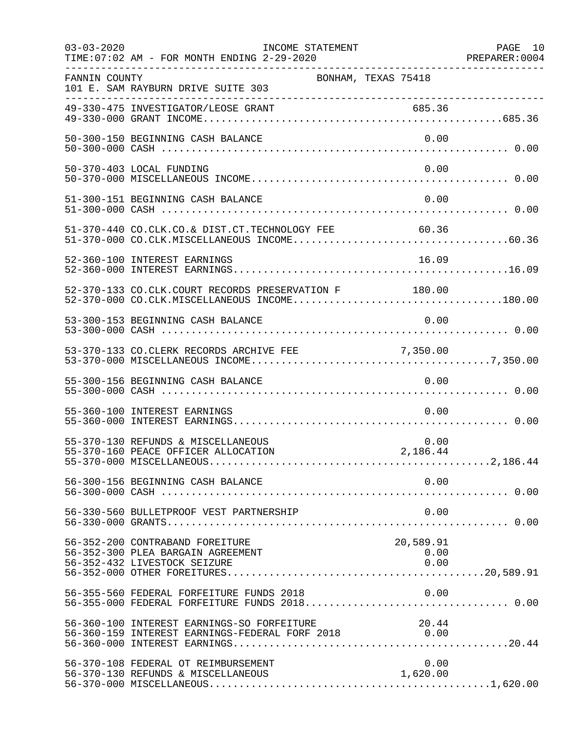| $03 - 03 - 2020$ | INCOME STATEMENT<br>TIME: 07:02 AM - FOR MONTH ENDING 2-29-2020                                              |                           | PAGE 10<br>PREPARER: 0004 |
|------------------|--------------------------------------------------------------------------------------------------------------|---------------------------|---------------------------|
| FANNIN COUNTY    | 101 E. SAM RAYBURN DRIVE SUITE 303                                                                           | BONHAM, TEXAS 75418       |                           |
|                  |                                                                                                              |                           |                           |
|                  | 50-300-150 BEGINNING CASH BALANCE                                                                            | 0.00                      |                           |
|                  | 50-370-403 LOCAL FUNDING                                                                                     | 0.00                      |                           |
|                  | 51-300-151 BEGINNING CASH BALANCE                                                                            | 0.00                      |                           |
|                  | 51-370-440 CO.CLK.CO.& DIST.CT.TECHNOLOGY FEE 60.36                                                          |                           |                           |
|                  | 52-360-100 INTEREST EARNINGS                                                                                 | 16.09                     |                           |
|                  | 52-370-133 CO.CLK.COURT RECORDS PRESERVATION F 180.00<br>52-370-000 CO.CLK.MISCELLANEOUS INCOME180.00        |                           |                           |
|                  | 53-300-153 BEGINNING CASH BALANCE                                                                            | 0.00                      |                           |
|                  |                                                                                                              |                           |                           |
|                  | 55-300-156 BEGINNING CASH BALANCE                                                                            | 0.00                      |                           |
|                  | 55-360-100 INTEREST EARNINGS                                                                                 | 0.00                      |                           |
|                  | 55-370-130 REFUNDS & MISCELLANEOUS<br>55-370-160 PEACE OFFICER ALLOCATION                                    | 0.00<br>2,186.44          |                           |
|                  | 56-300-156 BEGINNING CASH BALANCE                                                                            | 0.00                      |                           |
|                  | 56-330-560 BULLETPROOF VEST PARTNERSHIP                                                                      | 0.00                      |                           |
|                  | 56-352-200 CONTRABAND FOREITURE<br>56-352-300 PLEA BARGAIN AGREEMENT<br>56-352-432 LIVESTOCK SEIZURE         | 20,589.91<br>0.00<br>0.00 |                           |
|                  | 56-355-560 FEDERAL FORFEITURE FUNDS 2018                                                                     | 0.00                      |                           |
|                  | 56-360-100 INTEREST EARNINGS-SO FORFEITURE 2018 20.44<br>56-360-159 INTEREST EARNINGS-FEDERAL FORF 2018 0.00 |                           |                           |
|                  | 56-370-108 FEDERAL OT REIMBURSEMENT<br>56-370-130 REFUNDS & MISCELLANEOUS                                    | 0.00<br>1,620.00          |                           |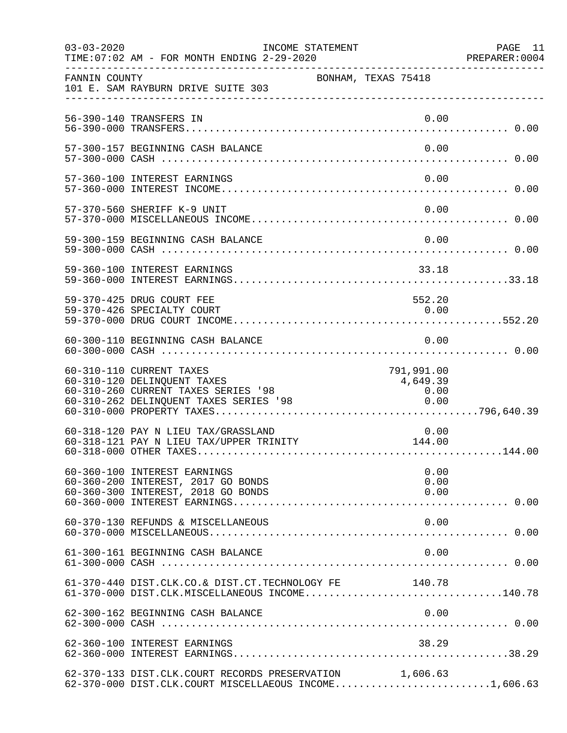| $03 - 03 - 2020$ | TIME: 07:02 AM - FOR MONTH ENDING 2-29-2020                                                                                              | INCOME STATEMENT    |                                        | PAGE 11<br>PREPARER: 0004 |
|------------------|------------------------------------------------------------------------------------------------------------------------------------------|---------------------|----------------------------------------|---------------------------|
| FANNIN COUNTY    | 101 E. SAM RAYBURN DRIVE SUITE 303                                                                                                       | BONHAM, TEXAS 75418 |                                        |                           |
|                  | 56-390-140 TRANSFERS IN                                                                                                                  |                     | 0.00                                   |                           |
|                  | 57-300-157 BEGINNING CASH BALANCE                                                                                                        |                     | 0.00                                   |                           |
|                  | 57-360-100 INTEREST EARNINGS                                                                                                             |                     | 0.00                                   |                           |
|                  | 57-370-560 SHERIFF K-9 UNIT                                                                                                              |                     | 0.00                                   |                           |
|                  | 59-300-159 BEGINNING CASH BALANCE                                                                                                        |                     | 0.00                                   |                           |
|                  | 59-360-100 INTEREST EARNINGS                                                                                                             |                     | 33.18                                  |                           |
|                  | 59-370-425 DRUG COURT FEE<br>59-370-426 SPECIALTY COURT                                                                                  |                     | 552.20<br>0.00                         |                           |
|                  | 60-300-110 BEGINNING CASH BALANCE                                                                                                        |                     | 0.00                                   |                           |
|                  | 60-310-110 CURRENT TAXES<br>60-310-120 DELINQUENT TAXES<br>60-310-260 CURRENT TAXES SERIES '98<br>60-310-262 DELINQUENT TAXES SERIES '98 |                     | 791,991.00<br>4,649.39<br>0.00<br>0.00 |                           |
|                  | 60-318-120 PAY N LIEU TAX/GRASSLAND<br>60-318-121 PAY N LIEU TAX/UPPER TRINITY                                                           |                     | 0.00<br>144.00                         |                           |
|                  | 60-360-100 INTEREST EARNINGS<br>60-360-200 INTEREST, 2017 GO BONDS<br>60-360-300 INTEREST, 2018 GO BONDS                                 |                     | 0.00<br>0.00<br>0.00                   |                           |
|                  | 60-370-130 REFUNDS & MISCELLANEOUS                                                                                                       |                     | 0.00                                   |                           |
|                  | 61-300-161 BEGINNING CASH BALANCE                                                                                                        |                     | 0.00                                   |                           |
|                  | 61-370-440 DIST.CLK.CO.& DIST.CT.TECHNOLOGY FE 140.78<br>61-370-000 DIST.CLK.MISCELLANEOUS INCOME140.78                                  |                     |                                        |                           |
|                  | 62-300-162 BEGINNING CASH BALANCE                                                                                                        |                     |                                        |                           |
|                  | 62-360-100 INTEREST EARNINGS                                                                                                             |                     | 38.29                                  |                           |
|                  | 62-370-133 DIST.CLK.COURT RECORDS PRESERVATION 1,606.63<br>62-370-000 DIST.CLK.COURT MISCELLAEOUS INCOME1,606.63                         |                     |                                        |                           |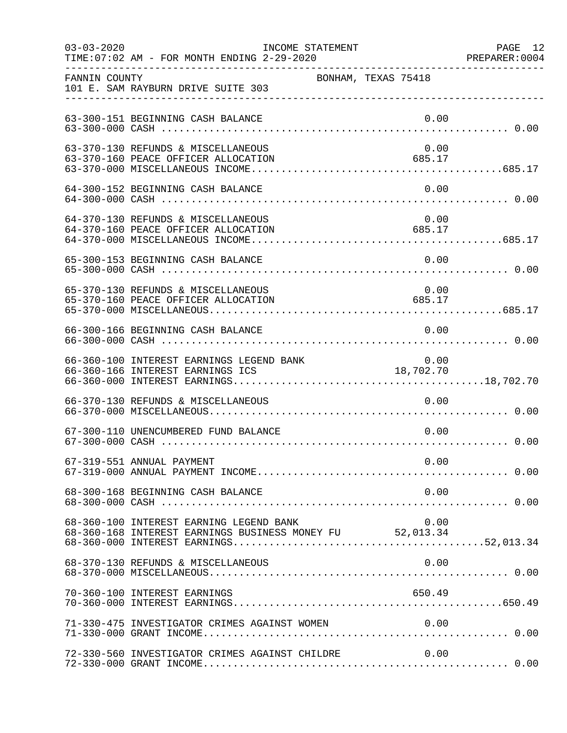| $03 - 03 - 2020$ | INCOME STATEMENT<br>TIME: 07:02 AM - FOR MONTH ENDING 2-29-2020                                     |                     | PAGE 12<br>PREPARER: 0004 |
|------------------|-----------------------------------------------------------------------------------------------------|---------------------|---------------------------|
| FANNIN COUNTY    | 101 E. SAM RAYBURN DRIVE SUITE 303                                                                  | BONHAM, TEXAS 75418 |                           |
|                  | 63-300-151 BEGINNING CASH BALANCE                                                                   | 0.00                |                           |
|                  | 63-370-130 REFUNDS & MISCELLANEOUS<br>63-370-160 PEACE OFFICER ALLOCATION                           | 0.00<br>685.17      |                           |
|                  | 64-300-152 BEGINNING CASH BALANCE                                                                   | 0.00                |                           |
|                  | 64-370-130 REFUNDS & MISCELLANEOUS<br>64-370-160 PEACE OFFICER ALLOCATION                           | 0.00<br>685.17      |                           |
|                  | 65-300-153 BEGINNING CASH BALANCE                                                                   | 0.00                |                           |
|                  | 65-370-130 REFUNDS & MISCELLANEOUS<br>65-370-160 PEACE OFFICER ALLOCATION                           | 0.00<br>685.17      |                           |
|                  | 66-300-166 BEGINNING CASH BALANCE                                                                   | 0.00                |                           |
|                  | 66-360-100 INTEREST EARNINGS LEGEND BANK<br>66-360-166 INTEREST EARNINGS ICS                        | ں.ں<br>18,702.70    |                           |
|                  | 66-370-130 REFUNDS & MISCELLANEOUS                                                                  | 0.00                |                           |
|                  | 67-300-110 UNENCUMBERED FUND BALANCE                                                                | 0.00                |                           |
|                  | 67-319-551 ANNUAL PAYMENT                                                                           | 0.00                |                           |
|                  | 68-300-168 BEGINNING CASH BALANCE                                                                   | 0.00                |                           |
|                  | 68-360-100 INTEREST EARNING LEGEND BANK<br>68-360-168 INTEREST EARNINGS BUSINESS MONEY FU 52,013.34 | 0.00                |                           |
|                  | 68-370-130 REFUNDS & MISCELLANEOUS                                                                  | 0.00                |                           |
|                  | 70-360-100 INTEREST EARNINGS                                                                        | 650.49              |                           |
|                  | 71-330-475 INVESTIGATOR CRIMES AGAINST WOMEN                                                        | 0.00                |                           |
|                  | 72-330-560 INVESTIGATOR CRIMES AGAINST CHILDRE                                                      | 0.00                |                           |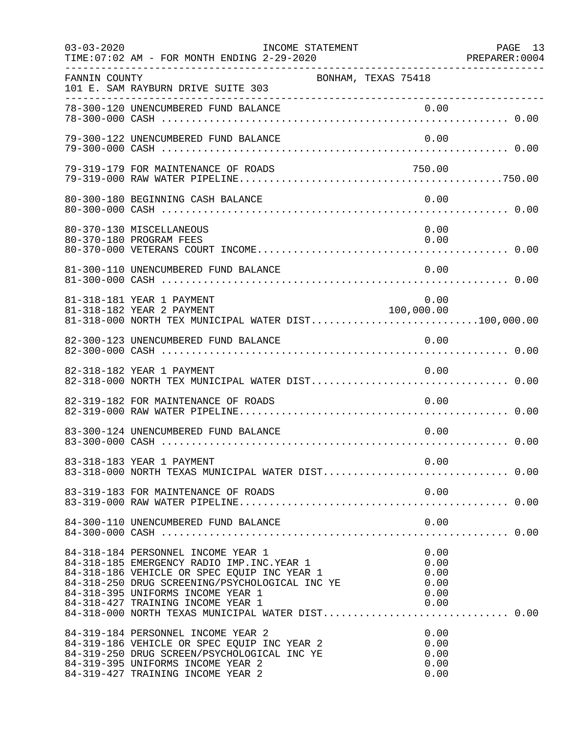| $03 - 03 - 2020$ | INCOME STATEMENT<br>TIME: 07:02 AM - FOR MONTH ENDING 2-29-2020                                                                                                                                                                                                |                                              | PAGE 13<br>PREPARER: 0004 |
|------------------|----------------------------------------------------------------------------------------------------------------------------------------------------------------------------------------------------------------------------------------------------------------|----------------------------------------------|---------------------------|
| FANNIN COUNTY    | 101 E. SAM RAYBURN DRIVE SUITE 303                                                                                                                                                                                                                             | BONHAM, TEXAS 75418                          |                           |
|                  | 78-300-120 UNENCUMBERED FUND BALANCE                                                                                                                                                                                                                           | 0.00                                         |                           |
|                  | 79-300-122 UNENCUMBERED FUND BALANCE                                                                                                                                                                                                                           | 0.00                                         |                           |
|                  | 79-319-179 FOR MAINTENANCE OF ROADS                                                                                                                                                                                                                            | 750.00                                       |                           |
|                  | 80-300-180 BEGINNING CASH BALANCE                                                                                                                                                                                                                              | 0.00                                         |                           |
|                  | 80-370-130 MISCELLANEOUS<br>80-370-180 PROGRAM FEES                                                                                                                                                                                                            | 0.00<br>0.00                                 |                           |
|                  | 81-300-110 UNENCUMBERED FUND BALANCE                                                                                                                                                                                                                           | 0.00                                         |                           |
|                  | 81-318-181 YEAR 1 PAYMENT<br>81-318-182 YEAR 2 PAYMENT<br>81-318-000 NORTH TEX MUNICIPAL WATER DIST100,000.00                                                                                                                                                  | 0.00<br>100,000.00                           |                           |
|                  | 82-300-123 UNENCUMBERED FUND BALANCE                                                                                                                                                                                                                           | 0.00                                         |                           |
|                  | 82-318-182 YEAR 1 PAYMENT                                                                                                                                                                                                                                      | 0.00                                         |                           |
|                  | 82-319-182 FOR MAINTENANCE OF ROADS                                                                                                                                                                                                                            | 0.00                                         |                           |
|                  | 83-300-124 UNENCUMBERED FUND BALANCE                                                                                                                                                                                                                           | 0.00                                         |                           |
|                  | 83-318-183 YEAR 1 PAYMENT<br>83-318-183 YEAR 1 PAYMENT<br>83-318-000 NORTH TEXAS MUNICIPAL WATER DIST 0.00                                                                                                                                                     | 0.00                                         |                           |
|                  | 83-319-183 FOR MAINTENANCE OF ROADS                                                                                                                                                                                                                            | 0.00                                         |                           |
|                  | 84-300-110 UNENCUMBERED FUND BALANCE                                                                                                                                                                                                                           | 0.00                                         |                           |
|                  | 84-318-184 PERSONNEL INCOME YEAR 1<br>84-318-185 EMERGENCY RADIO IMP. INC. YEAR 1<br>84-318-186 VEHICLE OR SPEC EQUIP INC YEAR 1<br>84-318-250 DRUG SCREENING/PSYCHOLOGICAL INC YE<br>84-318-395 UNIFORMS INCOME YEAR 1<br>84-318-427 TRAINING INCOME YEAR 1   | 0.00<br>0.00<br>0.00<br>0.00<br>0.00<br>0.00 |                           |
|                  | 84-318-000 NORTH TEXAS MUNICIPAL WATER DIST 0.00<br>84-319-184 PERSONNEL INCOME YEAR 2<br>84-319-186 VEHICLE OR SPEC EQUIP INC YEAR 2<br>84-319-250 DRUG SCREEN/PSYCHOLOGICAL INC YE<br>84-319-395 UNIFORMS INCOME YEAR 2<br>84-319-427 TRAINING INCOME YEAR 2 | 0.00<br>0.00<br>0.00<br>0.00<br>0.00         |                           |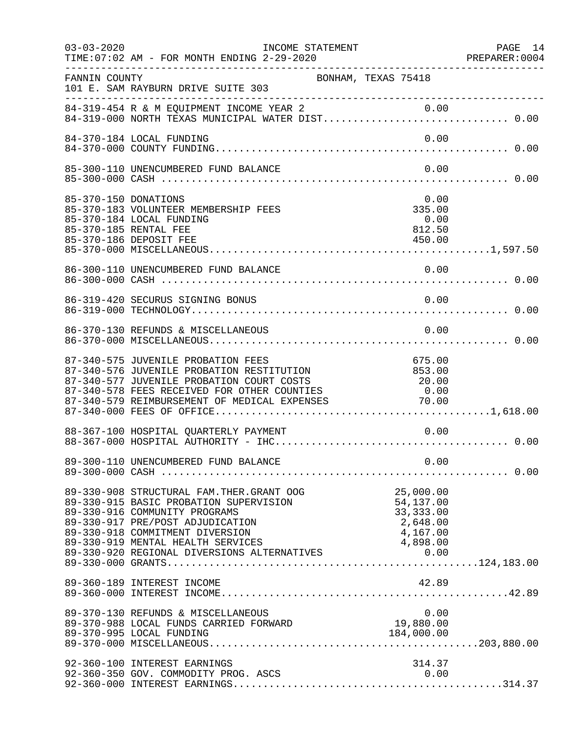| $03 - 03 - 2020$ | INCOME STATEMENT<br>TIME: 07:02 AM - FOR MONTH ENDING 2-29-2020                                                                                                                                                                                     |                     |                                                              | PAGE 14<br>PREPARER: 0004 |
|------------------|-----------------------------------------------------------------------------------------------------------------------------------------------------------------------------------------------------------------------------------------------------|---------------------|--------------------------------------------------------------|---------------------------|
| FANNIN COUNTY    | 101 E. SAM RAYBURN DRIVE SUITE 303                                                                                                                                                                                                                  | BONHAM, TEXAS 75418 |                                                              |                           |
|                  | 84-319-454 R & M EQUIPMENT INCOME YEAR 2 0.00<br>84-319-000 NORTH TEXAS MUNICIPAL WATER DIST 0.00                                                                                                                                                   |                     |                                                              |                           |
|                  | 84-370-184 LOCAL FUNDING                                                                                                                                                                                                                            |                     | 0.00                                                         |                           |
|                  | 85-300-110 UNENCUMBERED FUND BALANCE                                                                                                                                                                                                                |                     | 0.00                                                         |                           |
|                  | 85-370-150 DONATIONS<br>85-370-183 VOLUNTEER MEMBERSHIP FEES<br>85-370-184 LOCAL FUNDING<br>85-370-185 RENTAL FEE<br>85-370-186 DEPOSIT FEE                                                                                                         |                     | 0.00<br>335.00<br>0.00<br>812.50<br>450.00                   |                           |
|                  |                                                                                                                                                                                                                                                     |                     |                                                              |                           |
|                  | 86-319-420 SECURUS SIGNING BONUS                                                                                                                                                                                                                    |                     | 0.00                                                         |                           |
|                  | 86-370-130 REFUNDS & MISCELLANEOUS                                                                                                                                                                                                                  |                     | 0.00                                                         |                           |
|                  | 87-340-575 JUVENILE PROBATION FEES<br>87-340-576 JUVENILE PROBATION RESTITUTION 853.00<br>87-340-577 JUVENILE PROBATION COURT COSTS 20.00<br>87-340-578 FEES RECEIVED FOR OTHER COUNTIES 0.00<br>87-340-579 REIMBURSEMENT OF MEDICAL EXPENSES 70.00 |                     | 675.00                                                       |                           |
|                  | 88-367-100 HOSPITAL QUARTERLY PAYMENT                                                                                                                                                                                                               |                     | 0.00                                                         |                           |
|                  |                                                                                                                                                                                                                                                     |                     |                                                              |                           |
|                  | 89-330-908 STRUCTURAL FAM.THER.GRANT OOG<br>89-330-915 BASIC PROBATION SUPERVISION<br>89-330-916 COMMUNITY PROGRAMS<br>89-330-917 PRE/POST ADJUDICATION<br>89-330-918 COMMITMENT DIVERSION                                                          |                     | 25,000.00<br>54,137.00<br>33, 333.00<br>2,648.00<br>4,167.00 |                           |
|                  | 89-360-189 INTEREST INCOME                                                                                                                                                                                                                          |                     | 42.89                                                        |                           |
|                  | 89-370-130 REFUNDS & MISCELLANEOUS<br>89-370-130 REFONDS & MISCELLANEOUS<br>89-370-988 LOCAL FUNDS CARRIED FORWARD<br>89-370-995 LOCAL FUNDING                                                                                                      |                     | 0.00<br>19,880.00<br>184,000.00                              |                           |
|                  | 92-360-100 INTEREST EARNINGS<br>92-360-350 GOV. COMMODITY PROG. ASCS                                                                                                                                                                                |                     | 314.37<br>0.00                                               |                           |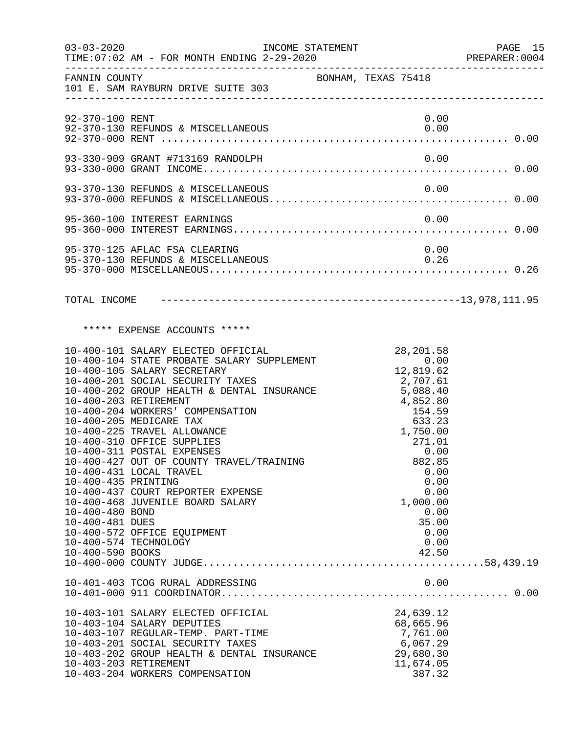| $03 - 03 - 2020$                                                                                                                | INCOME STATEMENT<br>TIME: $07:02$ AM - FOR MONTH ENDING $2-29-2020$                                                                                                                                                                                                                                                                                                                                                                                                                                                                        |                                                                                    |                                                                                                                              | PAGE 15<br>PREPARER: 0004 |
|---------------------------------------------------------------------------------------------------------------------------------|--------------------------------------------------------------------------------------------------------------------------------------------------------------------------------------------------------------------------------------------------------------------------------------------------------------------------------------------------------------------------------------------------------------------------------------------------------------------------------------------------------------------------------------------|------------------------------------------------------------------------------------|------------------------------------------------------------------------------------------------------------------------------|---------------------------|
|                                                                                                                                 | ------------<br>101 E. SAM RAYBURN DRIVE SUITE 303<br>---------------                                                                                                                                                                                                                                                                                                                                                                                                                                                                      |                                                                                    |                                                                                                                              |                           |
| 92-370-100 RENT                                                                                                                 |                                                                                                                                                                                                                                                                                                                                                                                                                                                                                                                                            |                                                                                    | 0.00                                                                                                                         |                           |
|                                                                                                                                 |                                                                                                                                                                                                                                                                                                                                                                                                                                                                                                                                            |                                                                                    |                                                                                                                              |                           |
|                                                                                                                                 |                                                                                                                                                                                                                                                                                                                                                                                                                                                                                                                                            |                                                                                    |                                                                                                                              |                           |
|                                                                                                                                 | 95-360-100 INTEREST EARNINGS                                                                                                                                                                                                                                                                                                                                                                                                                                                                                                               |                                                                                    | 0.00                                                                                                                         |                           |
|                                                                                                                                 | 95-370-125 AFLAC FSA CLEARING<br>95-370-130 REFUNDS & MISCELLANEOUS                                                                                                                                                                                                                                                                                                                                                                                                                                                                        |                                                                                    | 0.00<br>0.26                                                                                                                 |                           |
| TOTAL INCOME                                                                                                                    |                                                                                                                                                                                                                                                                                                                                                                                                                                                                                                                                            |                                                                                    |                                                                                                                              |                           |
|                                                                                                                                 | ***** EXPENSE ACCOUNTS *****                                                                                                                                                                                                                                                                                                                                                                                                                                                                                                               |                                                                                    |                                                                                                                              |                           |
| 10-400-203 RETIREMENT<br>10-400-435 PRINTING<br>10-400-480 BOND<br>10-400-481 DUES<br>10-400-574 TECHNOLOGY<br>10-400-590 BOOKS | 10-400-101 SALARY ELECTED OFFICIAL<br>10-400-104 STATE PROBATE SALARY SUPPLEMENT<br>10-400-105 SALARY SECRETARY<br>10-400-201 SOCIAL SECURITY TAXES<br>10-400-202 GROUP HEALTH & DENTAL INSURANCE<br>10-400-204 WORKERS' COMPENSATION<br>10-400-205 MEDICARE TAX<br>10-400-225 TRAVEL ALLOWANCE<br>10-400-310 OFFICE SUPPLIES<br>10-400-311 POSTAL EXPENSES<br>10-400-427 OUT OF COUNTY TRAVEL/TRAINING<br>10-400-431 LOCAL TRAVEL<br>10-400-437 COURT REPORTER EXPENSE<br>10-400-468 JUVENILE BOARD SALARY<br>10-400-572 OFFICE EQUIPMENT | 28, 201.58<br>0.00<br>12, 819.62<br>2, 707.61<br>5, 088.40<br>$4,852.80$<br>154.59 | 633.23<br>1,750.00<br>271.01<br>0.00<br>882.85<br>0.00<br>0.00<br>0.00<br>1,000.00<br>0.00<br>35.00<br>0.00<br>0.00<br>42.50 |                           |
|                                                                                                                                 | 10-401-403 TCOG RURAL ADDRESSING                                                                                                                                                                                                                                                                                                                                                                                                                                                                                                           |                                                                                    | 0.00                                                                                                                         |                           |
| 10-403-203 RETIREMENT                                                                                                           | 10-403-101 SALARY ELECTED OFFICIAL<br>10-403-104 SALARY DEPUTIES<br>10-403-107 REGULAR-TEMP. PART-TIME<br>10-403-201 SOCIAL SECURITY TAXES<br>10-403-202 GROUP HEALTH & DENTAL INSURANCE<br>10-403-204 WORKERS COMPENSATION                                                                                                                                                                                                                                                                                                                |                                                                                    | 24,639.12<br>68,665.96<br>7,761.00<br>6,067.29<br>29,680.30<br>11,674.05<br>387.32                                           |                           |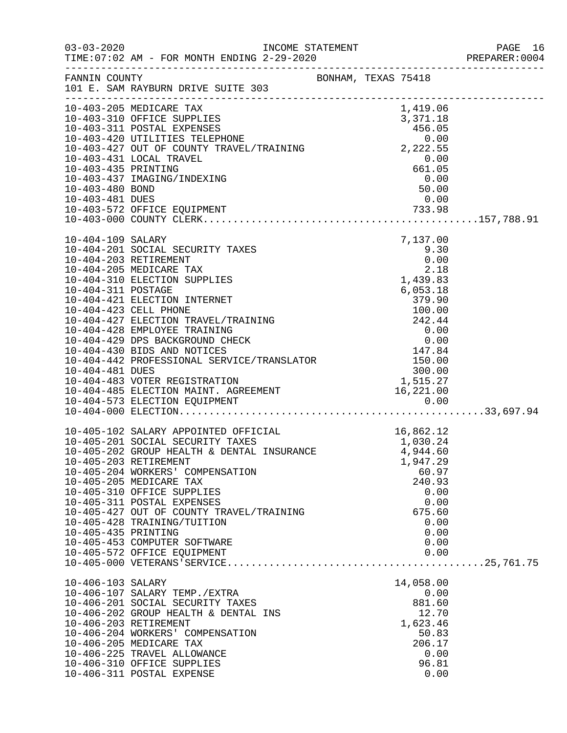| $03 - 03 - 2020$                                                 | TIME: 07:02 AM - FOR MONTH ENDING 2-29-2020                                                                                                                                                                                                                                                                                                                                                                          |  |                                                                                                                            | PAGE 16<br>PREPARER: 0004 |
|------------------------------------------------------------------|----------------------------------------------------------------------------------------------------------------------------------------------------------------------------------------------------------------------------------------------------------------------------------------------------------------------------------------------------------------------------------------------------------------------|--|----------------------------------------------------------------------------------------------------------------------------|---------------------------|
|                                                                  | FANNIN COUNTY BONHAM, TEXAS 75418<br>101 E. SAM RAYBURN DRIVE SUITE 303                                                                                                                                                                                                                                                                                                                                              |  |                                                                                                                            |                           |
| 10-403-480 BOND<br>10-403-481 DUES                               | 10-403-205 MEDICARE TAX<br>10-403-310 OFFICE SUPPLIES<br>3,371.18<br>10-403-420 UTILITIES TELEPHONE<br>10-403-427 OUT OF COUNTY TRAVEL/TRAINING<br>10-403-431 LOCAL TRAVEL<br>10-403-435 PRINTING<br>10-403-435 PRINTING<br>10-403-435 PRINTING<br>10-403-435 PRINTING<br>10-403-437 IMAGING/INDEXING                                                                                                                |  | 1,419.06<br>3,371.18<br>0.00<br>50.00<br>0.00                                                                              |                           |
| 10-404-109 SALARY<br>10-404-203 RETIREMENT<br>10-404-311 POSTAGE | 10-404-201 SOCIAL SECURITY TAXES<br>10-404-205 MEDICARE TAX<br>10-404-310 ELECTION SUPPLIES<br>10-404-421 ELECTION INTERNET                                                                                                                                                                                                                                                                                          |  | 7,137.00<br>$9.30$<br>$0.00$<br>2.18<br>1,439.83<br>6,053.18<br>379.90                                                     |                           |
| 10-405-435 PRINTING                                              | 10-405-102 SALARY APPOINTED OFFICIAL<br>10-405-201 SOCIAL SECURITY TAXES<br>10-405-202 GROUP HEALTH & DENTAL INSURANCE<br>10-405-203 RETIREMENT<br>10-405-204 WORKERS' COMPENSATION<br>10-405-205 MEDICARE TAX<br>10-405-310 OFFICE SUPPLIES<br>10-405-311 POSTAL EXPENSES<br>10-405-427 OUT OF COUNTY TRAVEL/TRAINING<br>10-405-428 TRAINING/TUITION<br>10-405-453 COMPUTER SOFTWARE<br>10-405-572 OFFICE EQUIPMENT |  | 16,862.12<br>1,030.24<br>4,944.60<br>1,947.29<br>60.97<br>240.93<br>0.00<br>0.00<br>675.60<br>0.00<br>0.00<br>0.00<br>0.00 |                           |
| 10-406-103 SALARY<br>10-406-203 RETIREMENT                       | 10-406-107 SALARY TEMP./EXTRA<br>10-406-201 SOCIAL SECURITY TAXES<br>10-406-202 GROUP HEALTH & DENTAL INS<br>10-406-204 WORKERS' COMPENSATION<br>10-406-205 MEDICARE TAX<br>10-406-225 TRAVEL ALLOWANCE<br>10-406-310 OFFICE SUPPLIES<br>10-406-311 POSTAL EXPENSE                                                                                                                                                   |  | 14,058.00<br>0.00<br>881.60<br>12.70<br>1,623.46<br>50.83<br>206.17<br>0.00<br>96.81<br>0.00                               |                           |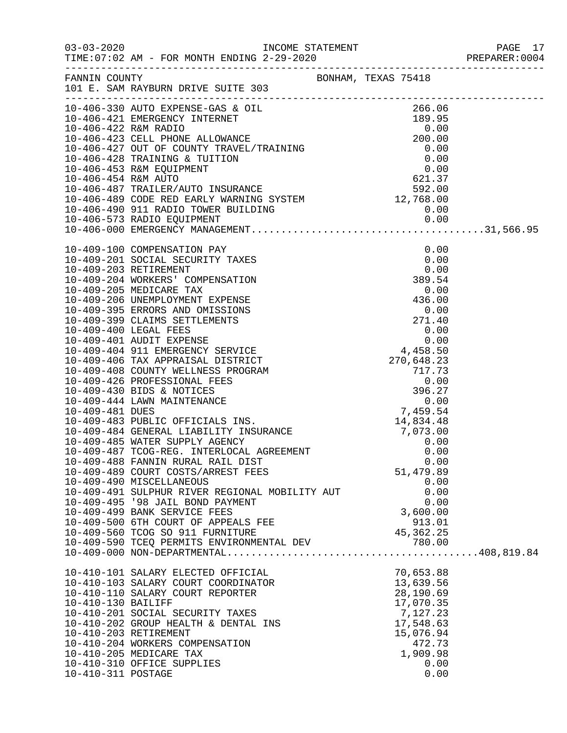|                                          |                                                                                                                                                                                                                                                                                                                                                   |                                                                                                                              | PAGE 17<br>PREPARER: 0004 |
|------------------------------------------|---------------------------------------------------------------------------------------------------------------------------------------------------------------------------------------------------------------------------------------------------------------------------------------------------------------------------------------------------|------------------------------------------------------------------------------------------------------------------------------|---------------------------|
|                                          | FANNIN COUNTY<br>101 E. SAM RAYBURN DRIVE SUITE 303                                                                                                                                                                                                                                                                                               |                                                                                                                              |                           |
|                                          | 10-406-330 AUTO EXPENSE-GAS & OIL<br>10-406-330 AUTO EXPENSE-GAS & OIL<br>10-406-421 EMERGENCY INTERNET<br>10-406-422 R&M RADIO<br>10-406-423 CELL PHONE ALLOWANCE<br>10-406-423 CELL PHONE ALLOWANCE<br>10-406-427 OUT OF COUNTY TRAVEL/T                                                                                                        |                                                                                                                              |                           |
|                                          | 10-409-488 FANNIN RURAL RAIL DIST<br>10-409-489 COURT COSTS/ARREST FEES<br>10-409-490 MISCELLANEOUS<br>10-409-491 SULPHUR RIVER REGIONAL MOBILITY AUT<br>10-409-495 '98 JAIL BOND PAYMENT<br>10-409-499 BANK SERVICE FEES<br>10-409-500 6TH COURT OF APPEALS FEE<br>10-409-560 TCOG SO 911 FURNITURE<br>10-409-590 TCEQ PERMITS ENVIRONMENTAL DEV | 0.00<br>51,479.89<br>0.00<br>0.00<br>0.00<br>3,600.00<br>913.01<br>45, 362. 25<br>780.00                                     |                           |
| 10-410-130 BAILIFF<br>10-410-311 POSTAGE | 10-410-101 SALARY ELECTED OFFICIAL<br>10-410-103 SALARY COURT COORDINATOR<br>10-410-110 SALARY COURT REPORTER<br>10-410-201 SOCIAL SECURITY TAXES<br>10-410-202 GROUP HEALTH & DENTAL INS<br>10-410-203 RETIREMENT<br>10-410-204 WORKERS COMPENSATION<br>10-410-205 MEDICARE TAX<br>10-410-310 OFFICE SUPPLIES                                    | 70,653.88<br>13,639.56<br>28,190.69<br>17,070.35<br>7,127.23<br>17,548.63<br>15,076.94<br>472.73<br>1,909.98<br>0.00<br>0.00 |                           |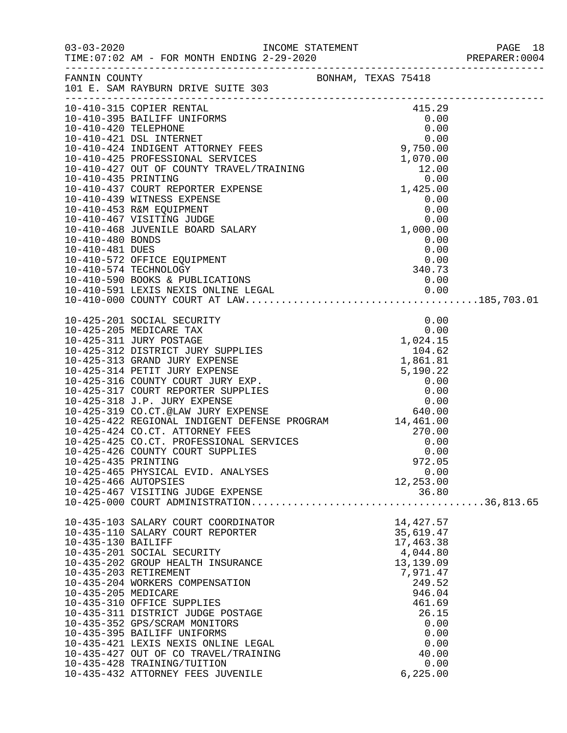|                                             |                                                                                                                                                                                                                                              |  |                                                 | PREPARER: 0004 |
|---------------------------------------------|----------------------------------------------------------------------------------------------------------------------------------------------------------------------------------------------------------------------------------------------|--|-------------------------------------------------|----------------|
|                                             | FANNIN COUNTY BONHAM, TEXAS 75418<br>101 E. SAM RAYBURN DRIVE SUITE 303                                                                                                                                                                      |  |                                                 |                |
|                                             | 10-410-315 COPIER RENTAL                                                                                                                                                                                                                     |  | 415.29                                          |                |
|                                             |                                                                                                                                                                                                                                              |  |                                                 |                |
|                                             |                                                                                                                                                                                                                                              |  |                                                 |                |
|                                             | 10-410-480 BONDS<br>10-410-481 DUES<br>10-410-572 OFFICE EQUIPMENT<br>10-410-574 TECHNOLOGY<br>10-410-590 BOOKS & PUBLICATIONS<br>10-410-591 LEXIS NEXIS ONLINE LEGAL<br>10-410-591 LEXIS NEXIS ONLINE LEGAL<br>10-410-000 COUNTY COURT AT L |  |                                                 |                |
|                                             |                                                                                                                                                                                                                                              |  |                                                 |                |
|                                             |                                                                                                                                                                                                                                              |  |                                                 |                |
|                                             |                                                                                                                                                                                                                                              |  |                                                 |                |
|                                             |                                                                                                                                                                                                                                              |  |                                                 |                |
| 10-425-435 PRINTING<br>10-425-466 AUTOPSIES | 10-425-465 PHYSICAL EVID. ANALYSES<br>10-425-467 VISITING JUDGE EXPENSE                                                                                                                                                                      |  | 972.05<br>0.00<br>12,253.00<br>36.80            |                |
|                                             |                                                                                                                                                                                                                                              |  |                                                 |                |
| 10-435-130 BAILIFF                          | 10-435-103 SALARY COURT COORDINATOR<br>10-435-110 SALARY COURT REPORTER<br>10-435-201 SOCIAL SECURITY                                                                                                                                        |  | 14,427.57<br>35,619.47<br>17,463.38<br>4,044.80 |                |
| 10-435-205 MEDICARE                         | 10-435-202 GROUP HEALTH INSURANCE<br>10-435-203 RETIREMENT<br>10-435-204 WORKERS COMPENSATION                                                                                                                                                |  | 13,139.09<br>7,971.47<br>249.52<br>946.04       |                |
|                                             | 10-435-310 OFFICE SUPPLIES<br>10-435-311 DISTRICT JUDGE POSTAGE<br>10-435-352 GPS/SCRAM MONITORS<br>10-435-395 BAILIFF UNIFORMS                                                                                                              |  | 461.69<br>26.15<br>0.00<br>0.00                 |                |
|                                             | 10-435-421 LEXIS NEXIS ONLINE LEGAL<br>10-435-427 OUT OF CO TRAVEL/TRAINING<br>10-435-428 TRAINING/TUITION<br>10-435-432 ATTORNEY FEES JUVENILE                                                                                              |  | 0.00<br>40.00<br>0.00<br>6, 225.00              |                |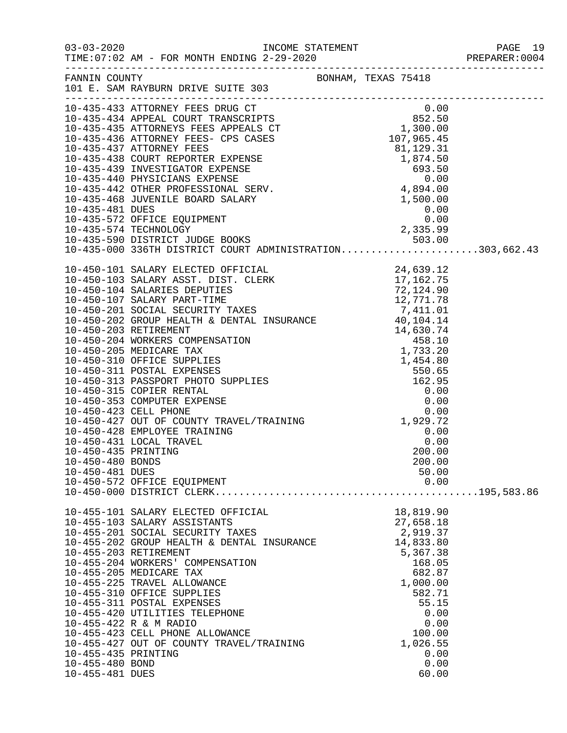|                     |                                                                                                                                                                                                                                    |                    | PREPARER: 0004 |
|---------------------|------------------------------------------------------------------------------------------------------------------------------------------------------------------------------------------------------------------------------------|--------------------|----------------|
|                     |                                                                                                                                                                                                                                    |                    |                |
|                     | 10-435-433 ATTORNEY FEES DRUG (1000 CHASE TRANSCRIPT 10-435-434 APPEAL COURT TRANSCRIPTS (62.50 10-435-435 ATTORNEYS FEES APPEALS CT 1,300.00<br>10-435-436 ATTORNEYS FEES APPEALS CT 1,300.00<br>10-435-436 ATTORNEY FEES- CPS CA |                    |                |
|                     |                                                                                                                                                                                                                                    |                    |                |
|                     |                                                                                                                                                                                                                                    |                    |                |
|                     |                                                                                                                                                                                                                                    |                    |                |
|                     |                                                                                                                                                                                                                                    |                    |                |
|                     |                                                                                                                                                                                                                                    |                    |                |
|                     |                                                                                                                                                                                                                                    |                    |                |
|                     |                                                                                                                                                                                                                                    |                    |                |
|                     |                                                                                                                                                                                                                                    |                    |                |
|                     |                                                                                                                                                                                                                                    |                    |                |
|                     |                                                                                                                                                                                                                                    |                    |                |
|                     |                                                                                                                                                                                                                                    |                    |                |
|                     | 10-435-590 DISTRICT JUDGE BOOKS 503.00<br>10-435-000 336TH DISTRICT COURT ADMINISTRATION303,662.43                                                                                                                                 |                    |                |
|                     |                                                                                                                                                                                                                                    |                    |                |
|                     |                                                                                                                                                                                                                                    |                    |                |
|                     |                                                                                                                                                                                                                                    |                    |                |
|                     |                                                                                                                                                                                                                                    |                    |                |
|                     |                                                                                                                                                                                                                                    |                    |                |
|                     |                                                                                                                                                                                                                                    |                    |                |
|                     |                                                                                                                                                                                                                                    |                    |                |
|                     |                                                                                                                                                                                                                                    |                    |                |
|                     |                                                                                                                                                                                                                                    |                    |                |
|                     |                                                                                                                                                                                                                                    |                    |                |
|                     |                                                                                                                                                                                                                                    |                    |                |
|                     |                                                                                                                                                                                                                                    |                    |                |
|                     |                                                                                                                                                                                                                                    |                    |                |
|                     |                                                                                                                                                                                                                                    |                    |                |
|                     |                                                                                                                                                                                                                                    |                    |                |
|                     |                                                                                                                                                                                                                                    |                    |                |
|                     | 10-450-428 EMPLOYEE TRAINING                                                                                                                                                                                                       | 0.00               |                |
| 10-450-435 PRINTING | 10-450-431 LOCAL TRAVEL                                                                                                                                                                                                            | 0.00<br>200.00     |                |
| 10-450-480 BONDS    |                                                                                                                                                                                                                                    | 200.00             |                |
| 10-450-481 DUES     |                                                                                                                                                                                                                                    | 50.00              |                |
|                     |                                                                                                                                                                                                                                    |                    |                |
|                     |                                                                                                                                                                                                                                    |                    |                |
|                     | 10-455-101 SALARY ELECTED OFFICIAL                                                                                                                                                                                                 | 18,819.90          |                |
|                     | 10-455-103 SALARY ASSISTANTS                                                                                                                                                                                                       | 27,658.18          |                |
|                     | 10-455-201 SOCIAL SECURITY TAXES                                                                                                                                                                                                   | 2,919.37           |                |
|                     | 10-455-202 GROUP HEALTH & DENTAL INSURANCE                                                                                                                                                                                         | 14,833.80          |                |
|                     | 10-455-203 RETIREMENT                                                                                                                                                                                                              | 5,367.38           |                |
|                     | 10-455-204 WORKERS' COMPENSATION                                                                                                                                                                                                   | 168.05             |                |
|                     | 10-455-205 MEDICARE TAX                                                                                                                                                                                                            | 682.87             |                |
|                     | 10-455-225 TRAVEL ALLOWANCE                                                                                                                                                                                                        | 1,000.00           |                |
|                     | 10-455-310 OFFICE SUPPLIES                                                                                                                                                                                                         | 582.71             |                |
|                     | 10-455-311 POSTAL EXPENSES                                                                                                                                                                                                         | 55.15              |                |
|                     | 10-455-420 UTILITIES TELEPHONE                                                                                                                                                                                                     |                    | 0.00           |
|                     | 10-455-422 R & M RADIO                                                                                                                                                                                                             |                    | 0.00           |
|                     | 10-455-423 CELL PHONE ALLOWANCE<br>10-455-427 OUT OF COUNTY TRAVEL/TRAINING                                                                                                                                                        | 100.00<br>1,026.55 |                |
| 10-455-435 PRINTING |                                                                                                                                                                                                                                    |                    | 0.00           |
| 10-455-480 BOND     |                                                                                                                                                                                                                                    |                    | 0.00           |
| 10-455-481 DUES     |                                                                                                                                                                                                                                    | 60.00              |                |
|                     |                                                                                                                                                                                                                                    |                    |                |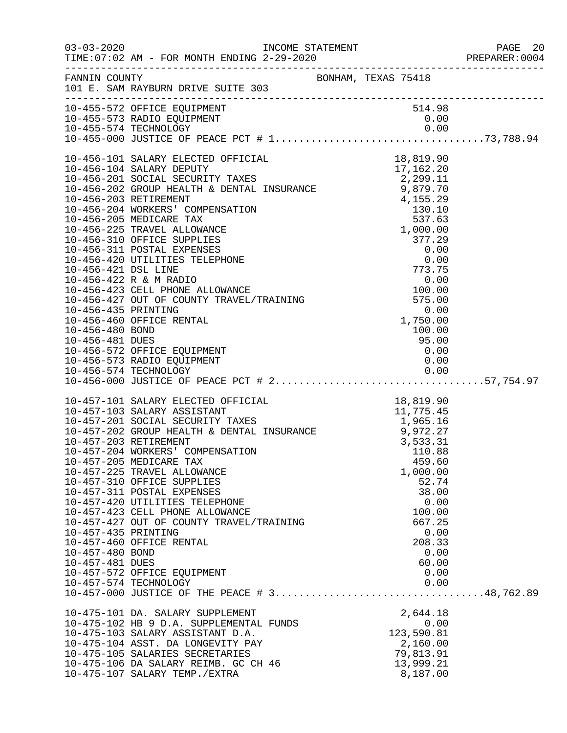|                                                           |                                                                                                                                                                                                                                                                                                                                                                                                                                                                                                                                                                     |                                                                                                                     | PREPARER: 0004 |
|-----------------------------------------------------------|---------------------------------------------------------------------------------------------------------------------------------------------------------------------------------------------------------------------------------------------------------------------------------------------------------------------------------------------------------------------------------------------------------------------------------------------------------------------------------------------------------------------------------------------------------------------|---------------------------------------------------------------------------------------------------------------------|----------------|
|                                                           | FANNIN COUNTY BONHAM, TEXAS 75418<br>101 E. SAM RAYBURN DRIVE SUITE 303                                                                                                                                                                                                                                                                                                                                                                                                                                                                                             |                                                                                                                     |                |
|                                                           | 10-455-572 OFFICE EQUIPMENT<br>10-455-573 RADIO EQUIPMENT                                                                                                                                                                                                                                                                                                                                                                                                                                                                                                           | 514.98<br>0.00                                                                                                      |                |
|                                                           |                                                                                                                                                                                                                                                                                                                                                                                                                                                                                                                                                                     |                                                                                                                     |                |
| 10-457-435 PRINTING<br>10-457-480 BOND<br>10-457-481 DUES | 10-457-101 SALARY ELECTED OFFICIAL 18,819.90<br>10-457-103 SALARY ASSISTANT 11,775.45<br>10-457-201 SOCIAL SECURITY TAXES 1,965.16<br>10-457-202 GROUP HEALTH & DENTAL INSURANCE 9,972.27<br>10-457-203 RETIREMENT 3,533.31<br>10-457-20<br>10-457-205 MEDICARE TAX<br>10-457-225 TRAVEL ALLOWANCE<br>10-457-310 OFFICE SUPPLIES<br>10-457-311 POSTAL EXPENSES<br>10-457-420 UTILITIES TELEPHONE<br>10-457-423 CELL PHONE ALLOWANCE<br>10-457-427 OUT OF COUNTY TRAVEL/TRAINING<br>10-457-460 OFFICE RENTAL<br>10-457-572 OFFICE EQUIPMENT<br>10-457-574 TECHNOLOGY | 459.60<br>1,000.00<br>52.74<br>38.00<br>0.00<br>100.00<br>667.25<br>0.00<br>208.33<br>0.00<br>60.00<br>0.00<br>0.00 |                |
|                                                           | 10-475-101 DA. SALARY SUPPLEMENT<br>10-475-102 HB 9 D.A. SUPPLEMENTAL FUNDS<br>10-475-103 SALARY ASSISTANT D.A.<br>10-475-104 ASST. DA LONGEVITY PAY<br>10-475-105 SALARIES SECRETARIES<br>10-475-106 DA SALARY REIMB. GC CH 46<br>10-475-107 SALARY TEMP./EXTRA                                                                                                                                                                                                                                                                                                    | 2,644.18<br>0.00<br>123,590.81<br>2,160.00<br>79,813.91<br>13,999.21<br>8,187.00                                    |                |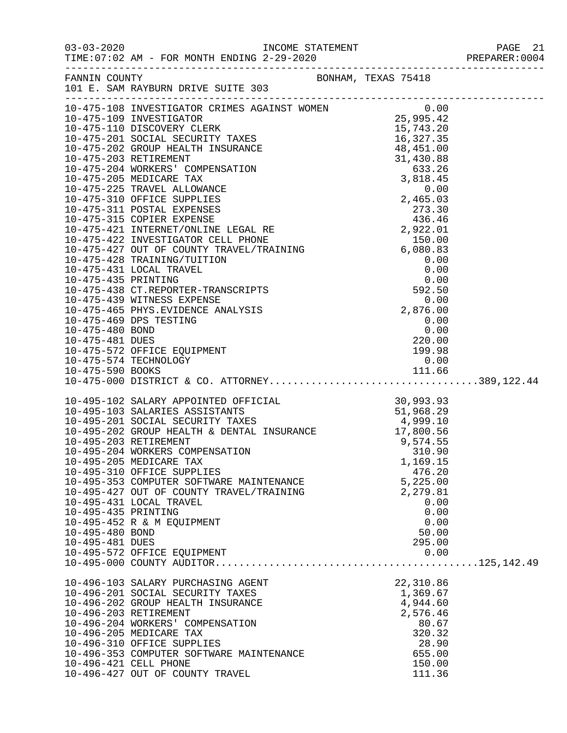| $03 - 03 - 2020$      | TIME: 07:02 AM - FOR MONTH ENDING 2-29-2020                                                                                                                                                                                              |                    |  |
|-----------------------|------------------------------------------------------------------------------------------------------------------------------------------------------------------------------------------------------------------------------------------|--------------------|--|
| FANNIN COUNTY         | BONHAM, TEXAS 75418<br>101 E. SAM RAYBURN DRIVE SUITE 303                                                                                                                                                                                |                    |  |
|                       |                                                                                                                                                                                                                                          |                    |  |
|                       |                                                                                                                                                                                                                                          |                    |  |
|                       |                                                                                                                                                                                                                                          |                    |  |
|                       |                                                                                                                                                                                                                                          |                    |  |
|                       |                                                                                                                                                                                                                                          |                    |  |
|                       |                                                                                                                                                                                                                                          |                    |  |
|                       |                                                                                                                                                                                                                                          |                    |  |
|                       |                                                                                                                                                                                                                                          |                    |  |
|                       |                                                                                                                                                                                                                                          |                    |  |
|                       |                                                                                                                                                                                                                                          |                    |  |
|                       |                                                                                                                                                                                                                                          |                    |  |
|                       |                                                                                                                                                                                                                                          |                    |  |
|                       |                                                                                                                                                                                                                                          |                    |  |
|                       |                                                                                                                                                                                                                                          |                    |  |
|                       |                                                                                                                                                                                                                                          |                    |  |
|                       |                                                                                                                                                                                                                                          |                    |  |
|                       |                                                                                                                                                                                                                                          |                    |  |
|                       |                                                                                                                                                                                                                                          |                    |  |
|                       | 10-475-469 DPS TESTING                                                                                                                                                                                                                   | 0.00               |  |
| 10-475-480 BOND       |                                                                                                                                                                                                                                          | 0.00               |  |
| 10-475-481 DUES       |                                                                                                                                                                                                                                          | 220.00             |  |
|                       | 10-475-572 OFFICE EQUIPMENT                                                                                                                                                                                                              | 199.98             |  |
| 10-475-574 TECHNOLOGY |                                                                                                                                                                                                                                          | 0.00               |  |
| 10-475-590 BOOKS      |                                                                                                                                                                                                                                          |                    |  |
|                       |                                                                                                                                                                                                                                          |                    |  |
|                       | 10-495-102 SALARY APPOINTED OFFICIAL 30,993.93<br>10-495-103 SALARIES ASSISTANTS 51,968.29<br>10-495-201 SOCIAL SECURITY TAXES 4,999.10<br>10-495-202 GROUP HEALTH & DENTAL INSURANCE 17,800.56<br>10-495-203 RETIREMENT 9,574.55<br>10- |                    |  |
|                       |                                                                                                                                                                                                                                          |                    |  |
|                       |                                                                                                                                                                                                                                          |                    |  |
|                       |                                                                                                                                                                                                                                          |                    |  |
|                       |                                                                                                                                                                                                                                          |                    |  |
|                       |                                                                                                                                                                                                                                          |                    |  |
|                       | 10-495-205 MEDICARE TAX<br>10-495-310 OFFICE SUPPLIES                                                                                                                                                                                    | 1,169.15<br>476.20 |  |
|                       | 10-495-353 COMPUTER SOFTWARE MAINTENANCE                                                                                                                                                                                                 | 5,225.00           |  |
|                       | 10-495-427 OUT OF COUNTY TRAVEL/TRAINING                                                                                                                                                                                                 | 2,279.81           |  |
|                       | 10-495-431 LOCAL TRAVEL                                                                                                                                                                                                                  | 0.00               |  |
| 10-495-435 PRINTING   |                                                                                                                                                                                                                                          | 0.00               |  |
|                       | 10-495-452 R & M EQUIPMENT                                                                                                                                                                                                               | 0.00               |  |
| 10-495-480 BOND       |                                                                                                                                                                                                                                          | 50.00              |  |
| 10-495-481 DUES       |                                                                                                                                                                                                                                          | 295.00             |  |
|                       | 10-495-572 OFFICE EQUIPMENT                                                                                                                                                                                                              | 0.00               |  |
|                       |                                                                                                                                                                                                                                          |                    |  |
|                       | 10-496-103 SALARY PURCHASING AGENT                                                                                                                                                                                                       | 22,310.86          |  |
|                       | 10-496-201 SOCIAL SECURITY TAXES                                                                                                                                                                                                         | 1,369.67           |  |
|                       | 10-496-202 GROUP HEALTH INSURANCE                                                                                                                                                                                                        | 4,944.60           |  |
| 10-496-203 RETIREMENT |                                                                                                                                                                                                                                          | 2,576.46           |  |
|                       | 10-496-204 WORKERS' COMPENSATION                                                                                                                                                                                                         | 80.67              |  |
|                       | 10-496-205 MEDICARE TAX<br>10-496-310 OFFICE SUPPLIES                                                                                                                                                                                    | 320.32<br>28.90    |  |
|                       | 10-496-353 COMPUTER SOFTWARE MAINTENANCE                                                                                                                                                                                                 | 655.00             |  |
| 10-496-421 CELL PHONE |                                                                                                                                                                                                                                          | 150.00             |  |

10-496-427 OUT OF COUNTY TRAVEL 110-496-427 OUT OF COUNTY TRAVEL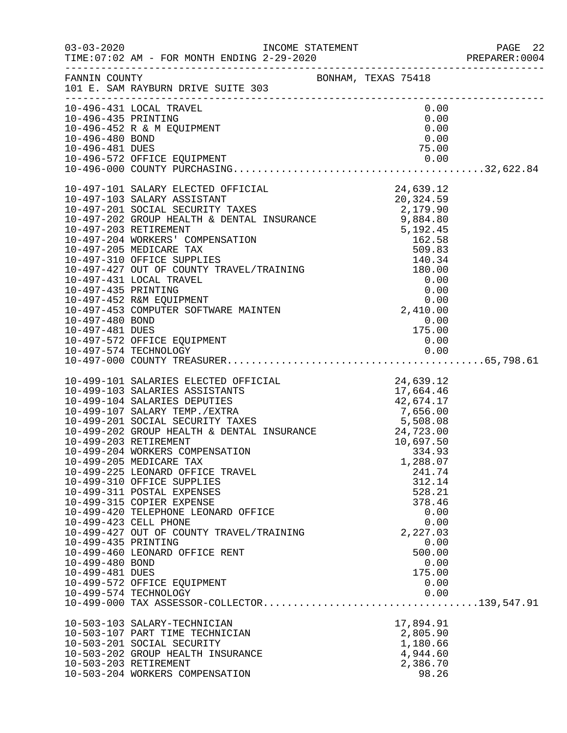|                                    |                                                                                                                                                                                                                                                                                                                                                                            |                    | PREPARER: 0004 |
|------------------------------------|----------------------------------------------------------------------------------------------------------------------------------------------------------------------------------------------------------------------------------------------------------------------------------------------------------------------------------------------------------------------------|--------------------|----------------|
|                                    | FANNIN COUNTY<br>101 E. SAM RAYBURN DRIVE SUITE 303                                                                                                                                                                                                                                                                                                                        |                    |                |
|                                    | 10-496-431 LOCAL TRAVEL                                                                                                                                                                                                                                                                                                                                                    | 0.00               |                |
| 10-496-435 PRINTING                |                                                                                                                                                                                                                                                                                                                                                                            | 0.00               |                |
|                                    | 10-496-452 R & M EQUIPMENT                                                                                                                                                                                                                                                                                                                                                 | 0.00               |                |
| 10-496-480 BOND<br>10-496-481 DUES |                                                                                                                                                                                                                                                                                                                                                                            | 0.00<br>75.00      |                |
|                                    | 10-496-572 OFFICE EQUIPMENT                                                                                                                                                                                                                                                                                                                                                |                    |                |
|                                    |                                                                                                                                                                                                                                                                                                                                                                            |                    |                |
|                                    | $\begin{tabular}{lllllllllllllllllllllllllllllllllllllllllllll} & & & & & 24\,,639\cdot 12\\ 10-497-101 & \text{SALARY ASSISTANT} & & & & 20\,,324\cdot 59\\ 10-497-201 & \text{SOCIAL SECURTIY TAXES} & & & 20\,,324\cdot 59\\ 10-497-202 & \text{GROUP HEALTH & \text{DENTAL INSURANCE} & & 2\,,179\cdot 90\\ 10-497-203 & \text{RETIREMENT} & & & 5\,,192\cdot 45\\ 10$ |                    |                |
|                                    |                                                                                                                                                                                                                                                                                                                                                                            |                    |                |
|                                    |                                                                                                                                                                                                                                                                                                                                                                            |                    |                |
|                                    |                                                                                                                                                                                                                                                                                                                                                                            |                    |                |
|                                    |                                                                                                                                                                                                                                                                                                                                                                            |                    |                |
|                                    |                                                                                                                                                                                                                                                                                                                                                                            |                    |                |
|                                    |                                                                                                                                                                                                                                                                                                                                                                            |                    |                |
|                                    |                                                                                                                                                                                                                                                                                                                                                                            |                    |                |
|                                    |                                                                                                                                                                                                                                                                                                                                                                            |                    |                |
|                                    |                                                                                                                                                                                                                                                                                                                                                                            |                    |                |
|                                    |                                                                                                                                                                                                                                                                                                                                                                            |                    |                |
|                                    |                                                                                                                                                                                                                                                                                                                                                                            |                    |                |
| 10-497-480 BOND                    |                                                                                                                                                                                                                                                                                                                                                                            |                    |                |
|                                    |                                                                                                                                                                                                                                                                                                                                                                            | $0.00$<br>$175.00$ |                |
|                                    |                                                                                                                                                                                                                                                                                                                                                                            |                    |                |
|                                    |                                                                                                                                                                                                                                                                                                                                                                            |                    |                |
|                                    |                                                                                                                                                                                                                                                                                                                                                                            |                    |                |
|                                    | 10-499-101 SALARIES ELECTED OFFICIAL<br>10-499-103 SALARIES ASSISTANTS<br>10-499-104 SALARIES DEPUTIES<br>10-499-107 SALARIES DEPUTIES<br>10-499-107 SALARY TEMP./EXTRA<br>10-499-201 SOCIAL SECURITY TAXES<br>10-499-201 SOCIAL SECURITY                                                                                                                                  |                    |                |
|                                    |                                                                                                                                                                                                                                                                                                                                                                            |                    |                |
|                                    |                                                                                                                                                                                                                                                                                                                                                                            |                    |                |
|                                    |                                                                                                                                                                                                                                                                                                                                                                            |                    |                |
|                                    |                                                                                                                                                                                                                                                                                                                                                                            |                    |                |
|                                    |                                                                                                                                                                                                                                                                                                                                                                            |                    |                |
|                                    |                                                                                                                                                                                                                                                                                                                                                                            |                    |                |
|                                    |                                                                                                                                                                                                                                                                                                                                                                            |                    |                |
|                                    | 10-499-205 MEDICARE TAX                                                                                                                                                                                                                                                                                                                                                    | 1,288.07           |                |
|                                    | 10-499-225 LEONARD OFFICE TRAVEL                                                                                                                                                                                                                                                                                                                                           | 241.74             |                |
|                                    | 10-499-310 OFFICE SUPPLIES<br>10-499-311 POSTAL EXPENSES                                                                                                                                                                                                                                                                                                                   | 312.14<br>528.21   |                |
|                                    | 10-499-315 COPIER EXPENSE                                                                                                                                                                                                                                                                                                                                                  | 378.46             |                |
|                                    | 10-499-420 TELEPHONE LEONARD OFFICE                                                                                                                                                                                                                                                                                                                                        | 0.00               |                |
|                                    | 10-499-423 CELL PHONE                                                                                                                                                                                                                                                                                                                                                      | 0.00               |                |
|                                    | 10-499-427 OUT OF COUNTY TRAVEL/TRAINING                                                                                                                                                                                                                                                                                                                                   | 2,227.03           |                |
| 10-499-435 PRINTING                |                                                                                                                                                                                                                                                                                                                                                                            | 0.00               |                |
|                                    | 10-499-460 LEONARD OFFICE RENT                                                                                                                                                                                                                                                                                                                                             | 500.00             |                |
| 10-499-480 BOND                    |                                                                                                                                                                                                                                                                                                                                                                            | 0.00               |                |
| 10-499-481 DUES                    |                                                                                                                                                                                                                                                                                                                                                                            | 175.00             |                |
|                                    | 10-499-572 OFFICE EQUIPMENT                                                                                                                                                                                                                                                                                                                                                | 0.00               |                |
|                                    | 10-499-574 TECHNOLOGY                                                                                                                                                                                                                                                                                                                                                      | 0.00               |                |
|                                    |                                                                                                                                                                                                                                                                                                                                                                            |                    |                |
|                                    | 10-503-103 SALARY-TECHNICIAN                                                                                                                                                                                                                                                                                                                                               | 17,894.91          |                |
|                                    | 10-503-107 PART TIME TECHNICIAN                                                                                                                                                                                                                                                                                                                                            | 2,805.90           |                |
|                                    | 10-503-201 SOCIAL SECURITY                                                                                                                                                                                                                                                                                                                                                 | 1,180.66           |                |
|                                    | 10-503-202 GROUP HEALTH INSURANCE                                                                                                                                                                                                                                                                                                                                          | 4,944.60           |                |
|                                    | 10-503-203 RETIREMENT                                                                                                                                                                                                                                                                                                                                                      | 2,386.70           |                |
|                                    | 10-503-204 WORKERS COMPENSATION                                                                                                                                                                                                                                                                                                                                            | 98.26              |                |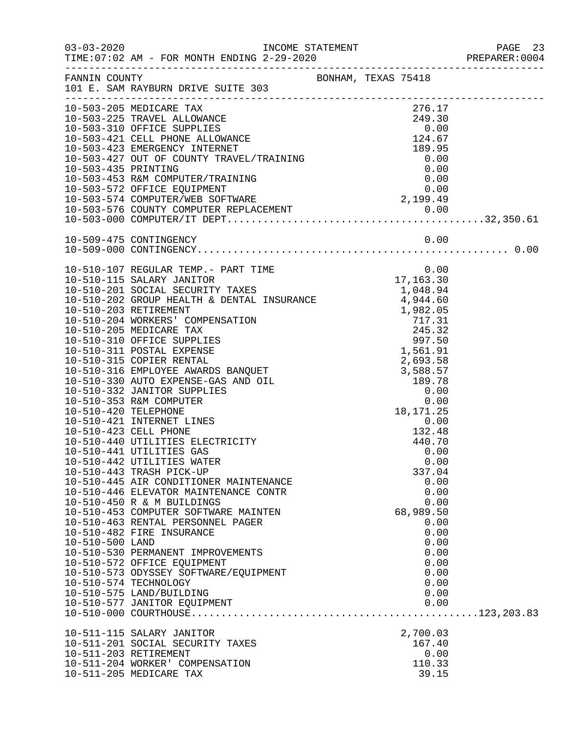|                 |                                                                                                                                                                                                                                                                         |  |           |              | PREPARER: 0004 |
|-----------------|-------------------------------------------------------------------------------------------------------------------------------------------------------------------------------------------------------------------------------------------------------------------------|--|-----------|--------------|----------------|
|                 | FANNIN COUNTY BONHAM, TEXAS 75418<br>101 E. SAM RAYBURN DRIVE SUITE 303                                                                                                                                                                                                 |  |           |              |                |
|                 | 10-503-205 MEDICARE TAX<br>10-503-205 MEDICARE TAX<br>10-503-225 TRAVEL ALLOWANCE<br>10-503-310 OFFICE SUPPLIES<br>10-503-421 CELL PHONE ALLOWANCE<br>10-503-421 CELL PHONE ALLOWANCE<br>10-503-423 EMERGENCY INTERNET<br>10-503-433 EMERGENCY INTERNET<br>10-503-435 P |  | 276.17    |              |                |
|                 |                                                                                                                                                                                                                                                                         |  |           |              |                |
|                 |                                                                                                                                                                                                                                                                         |  |           |              |                |
|                 |                                                                                                                                                                                                                                                                         |  |           |              |                |
|                 |                                                                                                                                                                                                                                                                         |  |           |              |                |
|                 |                                                                                                                                                                                                                                                                         |  |           |              |                |
|                 |                                                                                                                                                                                                                                                                         |  |           |              |                |
|                 |                                                                                                                                                                                                                                                                         |  |           |              |                |
|                 |                                                                                                                                                                                                                                                                         |  |           |              |                |
|                 |                                                                                                                                                                                                                                                                         |  |           |              |                |
|                 |                                                                                                                                                                                                                                                                         |  |           |              |                |
|                 | 10-510-107 REGULAR TEMP.- PART TIME 0.00<br>10-510-115 SALARY JANITOR 17,163.30<br>10-510-201 SOCIAL SECURITY TAXES 1,048.94<br>10-510-202 GROUP HEALTH & DENTAL INSURANCE 4,944.60<br>1 982.05                                                                         |  |           |              |                |
|                 |                                                                                                                                                                                                                                                                         |  |           |              |                |
|                 |                                                                                                                                                                                                                                                                         |  |           |              |                |
|                 |                                                                                                                                                                                                                                                                         |  |           |              |                |
|                 |                                                                                                                                                                                                                                                                         |  |           |              |                |
|                 |                                                                                                                                                                                                                                                                         |  |           |              |                |
|                 |                                                                                                                                                                                                                                                                         |  |           |              |                |
|                 |                                                                                                                                                                                                                                                                         |  |           |              |                |
|                 |                                                                                                                                                                                                                                                                         |  |           |              |                |
|                 |                                                                                                                                                                                                                                                                         |  |           |              |                |
|                 |                                                                                                                                                                                                                                                                         |  |           |              |                |
|                 |                                                                                                                                                                                                                                                                         |  |           |              |                |
|                 |                                                                                                                                                                                                                                                                         |  |           |              |                |
|                 | 10-510-423 CELL PHONE                                                                                                                                                                                                                                                   |  | 132.48    |              |                |
|                 | 10-510-440 UTILITIES ELECTRICITY                                                                                                                                                                                                                                        |  | 440.70    |              |                |
|                 | 10-510-441 UTILITIES GAS                                                                                                                                                                                                                                                |  |           | 0.00         |                |
|                 | 10-510-442 UTILITIES WATER<br>10-510-443 TRASH PICK-UP                                                                                                                                                                                                                  |  | 337.04    | 0.00         |                |
|                 | 10-510-445 AIR CONDITIONER MAINTENANCE                                                                                                                                                                                                                                  |  |           | 0.00         |                |
|                 | 10-510-446 ELEVATOR MAINTENANCE CONTR                                                                                                                                                                                                                                   |  |           | 0.00         |                |
|                 | 10-510-450 R & M BUILDINGS                                                                                                                                                                                                                                              |  |           | 0.00         |                |
|                 | 10-510-453 COMPUTER SOFTWARE MAINTEN                                                                                                                                                                                                                                    |  | 68,989.50 |              |                |
|                 | 10-510-463 RENTAL PERSONNEL PAGER<br>10-510-482 FIRE INSURANCE                                                                                                                                                                                                          |  |           | 0.00         |                |
| 10-510-500 LAND |                                                                                                                                                                                                                                                                         |  |           | 0.00<br>0.00 |                |
|                 | 10-510-530 PERMANENT IMPROVEMENTS                                                                                                                                                                                                                                       |  |           | 0.00         |                |
|                 | 10-510-572 OFFICE EQUIPMENT                                                                                                                                                                                                                                             |  |           | 0.00         |                |
|                 | 10-510-573 ODYSSEY SOFTWARE/EQUIPMENT                                                                                                                                                                                                                                   |  |           | 0.00         |                |
|                 | 10-510-574 TECHNOLOGY                                                                                                                                                                                                                                                   |  |           | 0.00         |                |
|                 | 10-510-575 LAND/BUILDING<br>10-510-577 JANITOR EQUIPMENT                                                                                                                                                                                                                |  |           | 0.00<br>0.00 |                |
|                 |                                                                                                                                                                                                                                                                         |  |           |              |                |
|                 | 10-511-115 SALARY JANITOR                                                                                                                                                                                                                                               |  | 2,700.03  |              |                |
|                 | 10-511-201 SOCIAL SECURITY TAXES                                                                                                                                                                                                                                        |  | 167.40    |              |                |
|                 | 10-511-203 RETIREMENT                                                                                                                                                                                                                                                   |  |           | 0.00         |                |
|                 | 10-511-204 WORKER' COMPENSATION                                                                                                                                                                                                                                         |  | 110.33    |              |                |
|                 | 10-511-205 MEDICARE TAX                                                                                                                                                                                                                                                 |  | 39.15     |              |                |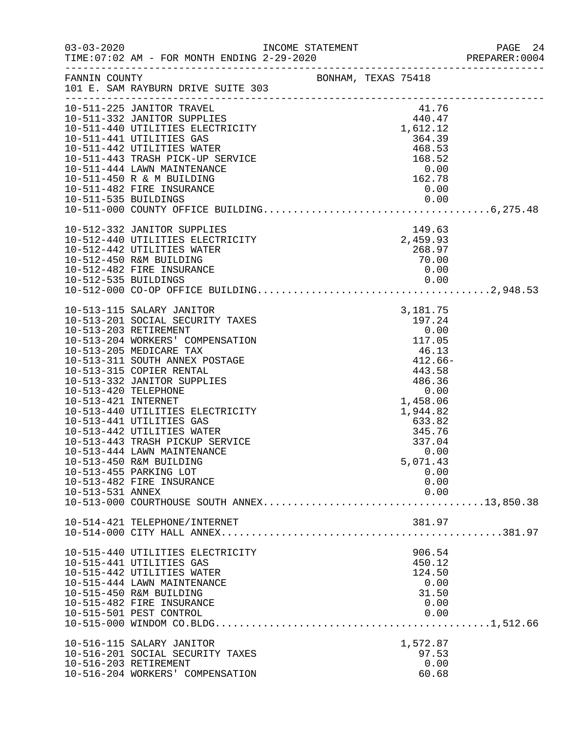|                      |                                                                                                                                                                                                                          |                                                                                                                  |                      | 24 PAGE<br>2004:PREPARER |
|----------------------|--------------------------------------------------------------------------------------------------------------------------------------------------------------------------------------------------------------------------|------------------------------------------------------------------------------------------------------------------|----------------------|--------------------------|
| FANNIN COUNTY        | 101 E. SAM RAYBURN DRIVE SUITE 303                                                                                                                                                                                       | BONHAM, TEXAS 75418                                                                                              |                      |                          |
|                      | 10-511-332 JANITOR SUPPLIES<br>10-511-440 UTILITIES ELECTRICITY<br>10-511-441 UTILITIES GAS<br>10-511-442 UTILITIES GAS<br>10-511-442 UTILITIES GAS                                                                      |                                                                                                                  |                      |                          |
|                      |                                                                                                                                                                                                                          |                                                                                                                  |                      |                          |
|                      |                                                                                                                                                                                                                          |                                                                                                                  |                      |                          |
|                      | 10-511-332 JANIJON<br>10-511-440 UTILITIES ELECTRICITY<br>10-511-441 UTILITIES GAS<br>10-511-442 UTILITIES WATER<br>10-511-443 TRASH PICK-UP SERVICE<br>168.52<br>168.52<br>168.52<br>168.52<br>162.78<br>162.78<br>0.00 |                                                                                                                  |                      |                          |
|                      |                                                                                                                                                                                                                          |                                                                                                                  |                      |                          |
|                      |                                                                                                                                                                                                                          |                                                                                                                  |                      |                          |
|                      |                                                                                                                                                                                                                          |                                                                                                                  |                      |                          |
|                      |                                                                                                                                                                                                                          |                                                                                                                  |                      |                          |
|                      |                                                                                                                                                                                                                          |                                                                                                                  |                      |                          |
|                      | 10-512-332 JANITOR SUPPLIES<br>10-512-440 UTILITIES ELECTRICITY<br>10-512-442 UTILITIES WATER<br>10-512-450 R&M BUILDING<br>268.97<br>10-512-450 R&M BUILDING<br>20.00                                                   |                                                                                                                  |                      |                          |
|                      |                                                                                                                                                                                                                          |                                                                                                                  |                      |                          |
|                      |                                                                                                                                                                                                                          |                                                                                                                  |                      |                          |
|                      |                                                                                                                                                                                                                          |                                                                                                                  |                      |                          |
|                      | 10-512-482 FIRE INSURANCE                                                                                                                                                                                                |                                                                                                                  | 0.00                 |                          |
|                      |                                                                                                                                                                                                                          |                                                                                                                  |                      |                          |
|                      | 10-513-115 SALARY JANITOR                                                                                                                                                                                                | 3, 181.75<br>197.24<br>0.00<br>SATION<br>TAGE<br>TAGE<br>S<br>$46.13$<br>$43.58$<br>$486.36$<br>0.00<br>1.458.06 |                      |                          |
|                      | 10-513-201 SOCIAL SECURITY TAXES                                                                                                                                                                                         |                                                                                                                  |                      |                          |
|                      | 10-513-203 RETIREMENT                                                                                                                                                                                                    |                                                                                                                  |                      |                          |
|                      | 10-513-204 WORKERS' COMPENSATION                                                                                                                                                                                         |                                                                                                                  |                      |                          |
|                      | 10-513-205 MEDICARE TAX                                                                                                                                                                                                  |                                                                                                                  |                      |                          |
|                      | 10-513-311 SOUTH ANNEX POSTAGE                                                                                                                                                                                           |                                                                                                                  |                      |                          |
|                      | 10-513-315 COPIER RENTAL<br>10-513-332 JANITOR SUPPLIES                                                                                                                                                                  |                                                                                                                  |                      |                          |
| 10-513-420 TELEPHONE |                                                                                                                                                                                                                          |                                                                                                                  |                      |                          |
| 10-513-421 INTERNET  |                                                                                                                                                                                                                          |                                                                                                                  | 1,458.06             |                          |
|                      | 10-513-440 UTILITIES ELECTRICITY                                                                                                                                                                                         |                                                                                                                  | 1,944.82             |                          |
|                      | 10-513-441 UTILITIES GAS                                                                                                                                                                                                 |                                                                                                                  | $633.82$<br>$345.76$ |                          |
|                      | 10-513-442 UTILITIES WATER                                                                                                                                                                                               |                                                                                                                  |                      |                          |
|                      | 10-513-443 TRASH PICKUP SERVICE                                                                                                                                                                                          |                                                                                                                  | 337.04               |                          |
|                      | 10-513-444 LAWN MAINTENANCE<br>10-513-450 R&M BUILDING                                                                                                                                                                   |                                                                                                                  | 0.00<br>5,071.43     |                          |
|                      | 10-513-455 PARKING LOT                                                                                                                                                                                                   |                                                                                                                  | 0.00                 |                          |
|                      | 10-513-482 FIRE INSURANCE                                                                                                                                                                                                |                                                                                                                  | 0.00                 |                          |
| 10-513-531 ANNEX     |                                                                                                                                                                                                                          |                                                                                                                  | 0.00                 |                          |
|                      |                                                                                                                                                                                                                          |                                                                                                                  |                      |                          |
|                      | 10-514-421 TELEPHONE/INTERNET                                                                                                                                                                                            |                                                                                                                  | 381.97               |                          |
|                      |                                                                                                                                                                                                                          |                                                                                                                  |                      |                          |
|                      | 10-515-440 UTILITIES ELECTRICITY                                                                                                                                                                                         |                                                                                                                  | 906.54               |                          |
|                      | 10-515-441 UTILITIES GAS                                                                                                                                                                                                 |                                                                                                                  | 450.12               |                          |
|                      | 10-515-442 UTILITIES WATER                                                                                                                                                                                               |                                                                                                                  | 124.50               |                          |
|                      | 10-515-444 LAWN MAINTENANCE<br>10-515-450 R&M BUILDING                                                                                                                                                                   |                                                                                                                  | 0.00<br>31.50        |                          |
|                      | 10-515-482 FIRE INSURANCE                                                                                                                                                                                                |                                                                                                                  | 0.00                 |                          |
|                      | 10-515-501 PEST CONTROL                                                                                                                                                                                                  |                                                                                                                  | 0.00                 |                          |
|                      |                                                                                                                                                                                                                          |                                                                                                                  |                      |                          |
|                      | 10-516-115 SALARY JANITOR                                                                                                                                                                                                |                                                                                                                  | 1,572.87             |                          |
|                      | 10-516-201 SOCIAL SECURITY TAXES                                                                                                                                                                                         |                                                                                                                  | 97.53                |                          |
|                      | 10-516-203 RETIREMENT                                                                                                                                                                                                    |                                                                                                                  | 0.00                 |                          |
|                      | 10-516-204 WORKERS' COMPENSATION                                                                                                                                                                                         |                                                                                                                  | 60.68                |                          |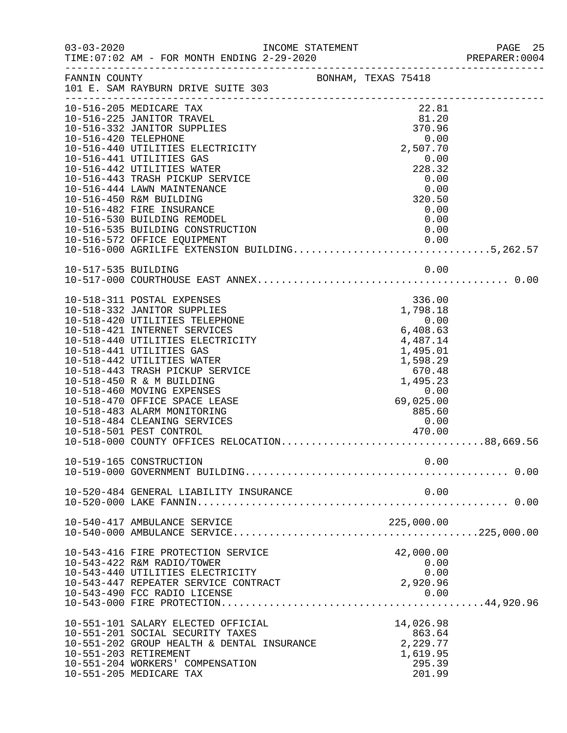| $03 - 03 - 2020$     |                                                                                                                                                                                                                                                                                                                                                                                                                                                                                                                             | INCOME STATEMENT |            |                            |                                                                                                     |                      | PAGE 25<br>PREPARER: 0004 |
|----------------------|-----------------------------------------------------------------------------------------------------------------------------------------------------------------------------------------------------------------------------------------------------------------------------------------------------------------------------------------------------------------------------------------------------------------------------------------------------------------------------------------------------------------------------|------------------|------------|----------------------------|-----------------------------------------------------------------------------------------------------|----------------------|---------------------------|
|                      | FANNIN COUNTY<br>101 E. SAM RAYBURN DRIVE SUITE 303                                                                                                                                                                                                                                                                                                                                                                                                                                                                         |                  |            |                            |                                                                                                     |                      |                           |
| 10-516-420 TELEPHONE | 10-516-205 MEDICARE TAX<br>10-516-225 JANITOR TRAVEL<br>10-516-332 JANITOR SUPPLIES<br>10-516-440 UTILITIES ELECTRICITY<br>10-516-441 UTILITIES GAS<br>10-516-442 UTILITIES WATER<br>10-516-443 TRASH PICKUP SERVICE<br>10-516-444 LAWN MAINTENANCE<br>10-516-450 R&M BUILDING<br>10-516-482 FIRE INSURANCE<br>10-516-530 BUILDING REMODEL<br>10-516-535 BUILDING CONSTRUCTION                                                                                                                                              |                  |            |                            | 22.81<br>81.20<br>370.96<br>2,507.70<br>0.00<br>228.32<br>0.00<br>320.50<br>$0\, .\, 00\,$          | 0.00<br>0.00<br>0.00 |                           |
|                      | 10-516-572 OFFICE EQUIPMENT 0.00<br>10-516-000 AGRILIFE EXTENSION BUILDING5,262.57                                                                                                                                                                                                                                                                                                                                                                                                                                          |                  |            |                            |                                                                                                     |                      |                           |
| 10-517-535 BUILDING  |                                                                                                                                                                                                                                                                                                                                                                                                                                                                                                                             |                  |            |                            |                                                                                                     | 0.00                 |                           |
|                      | 10-518-311 POSTAL EXPENSES<br>10-518-332 JANITOR SUPPLIES<br>10-518-420 UTILITIES TELEPHONE<br>10-518-421 INTERNET SERVICES<br>10-518-440 UTILITIES ELECTRICITY<br>10-518-441 UTILITIES GAS<br>10-518-442 UTILITIES WATER<br>10-518-443 TRASH PICKUP SERVICE<br>10-518-450 R & M BUILDING<br>10-518-460 MOVING EXPENSES<br>10-518-470 OFFICE SPACE LEASE<br>10-518-483 ALARM MONITORING<br>10-518-484 CLEANING SERVICES<br>ICES <b>Services</b><br>10-518-501 PEST CONTROL<br>10-518-000 COUNTY OFFICES RELOCATION88,669.56 |                  | $\epsilon$ | 6.4085<br>$885.60$<br>0.00 | 336.00<br>1,798.18<br>4,487.14<br>1,495.01<br>1,598.29<br>670.48<br>1,495.23<br>69,025.00<br>470.00 | 0.00                 |                           |
|                      | 10-519-165 CONSTRUCTION                                                                                                                                                                                                                                                                                                                                                                                                                                                                                                     |                  |            |                            | 0.00                                                                                                |                      |                           |
|                      | 10-520-484 GENERAL LIABILITY INSURANCE                                                                                                                                                                                                                                                                                                                                                                                                                                                                                      |                  |            |                            |                                                                                                     | 0.00                 |                           |
|                      | 10-540-417 AMBULANCE SERVICE                                                                                                                                                                                                                                                                                                                                                                                                                                                                                                |                  |            |                            | 225,000.00                                                                                          |                      |                           |
|                      | 10-543-416 FIRE PROTECTION SERVICE<br>10-543-422 R&M RADIO/TOWER<br>10-543-440 UTILITIES ELECTRICITY<br>10-543-447 REPEATER SERVICE CONTRACT<br>10-543-490 FCC RADIO LICENSE                                                                                                                                                                                                                                                                                                                                                |                  |            |                            | 42,000.00<br>2,920.96                                                                               | 0.00<br>0.00<br>0.00 |                           |
|                      | 10-551-101 SALARY ELECTED OFFICIAL<br>10-551-201 SOCIAL SECURITY TAXES<br>10-551-202 GROUP HEALTH & DENTAL INSURANCE<br>10-551-203 RETIREMENT<br>10-551-204 WORKERS' COMPENSATION<br>10-551-205 MEDICARE TAX                                                                                                                                                                                                                                                                                                                |                  |            |                            | 14,026.98<br>863.64<br>2,229.77<br>1,619.95<br>295.39<br>201.99                                     |                      |                           |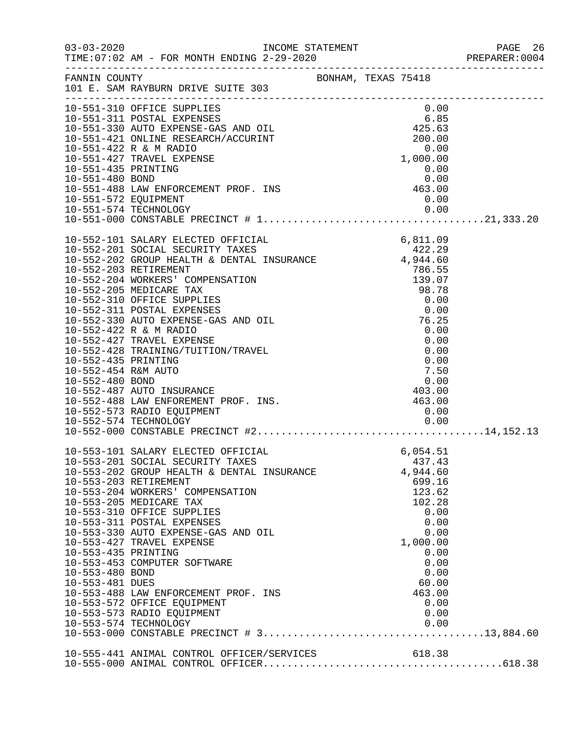|                                                           |                                                                                                                                                                                                                                                                                                                                                                                                                                                                                            |                                                            |                                                                                                                                       | PREPARER: 0004 |
|-----------------------------------------------------------|--------------------------------------------------------------------------------------------------------------------------------------------------------------------------------------------------------------------------------------------------------------------------------------------------------------------------------------------------------------------------------------------------------------------------------------------------------------------------------------------|------------------------------------------------------------|---------------------------------------------------------------------------------------------------------------------------------------|----------------|
|                                                           | FANNIN COUNTY<br>101 E. SAM RAYBURN DRIVE SUITE 303                                                                                                                                                                                                                                                                                                                                                                                                                                        |                                                            |                                                                                                                                       |                |
| 10-551-572 EQUIPMENT                                      | 10-551-310 OFFICE SUPPLIES<br>10-551-311 POSTAL EXPENSES<br>10-551-330 AUTO EXPENSE-GAS AND OIL<br>10-551-421 ONLINE RESEARCH/ACCURINT<br>10-551-422 R & M RADIO<br>10-551-427 TRAVEL EXPENSE<br>10-551-435 PRINTING<br>10-551-435 PRINTING<br>200.00<br>10-551-435 PRINTING<br>10-551-480 BOND 0.00<br>10-551-488 LAW ENFORCEMENT PROF. INS 463.00<br>10-551-572 FOULDMENT                                                                                                                |                                                            | 0.00<br>0.00                                                                                                                          |                |
|                                                           | 10-552-201 SOCIAL SECURITY TAXES<br>10-552-201 SOCIAL SECURITY TAXES<br>10-552-202 GROUP HEALTH & DENTAL INSURANCE 4,944.60<br>10-552-203 RETIREMENT<br>10-552-204 WORKERS' COMPENSATION<br>10-552-205 MEDICARE TAX<br>10-552-310 OFFICE SUPPLIES<br>10-552-311 POSTAL EXPENSES<br>10-552-330 AUTO EXPENSE-GAS AND OIL                                                                                                                                                                     | 786.55<br>139.07<br>98.78<br>0.00<br>0.00<br>76.25<br>0.00 |                                                                                                                                       |                |
| 10-553-435 PRINTING<br>10-553-480 BOND<br>10-553-481 DUES | 10-553-101 SALARY ELECTED OFFICIAL<br>10-553-201 SOCIAL SECURITY TAXES<br>10-553-202 GROUP HEALTH & DENTAL INSURANCE 4,944.60<br>10-553-203 RETIREMENT<br>10-553-204 WORKERS' COMPENSATION<br>10-553-205 MEDICARE TAX<br>10-553-310 OFFICE SUPPLIES<br>10-553-311 POSTAL EXPENSES<br>10-553-330 AUTO EXPENSE-GAS AND OIL<br>10-553-427 TRAVEL EXPENSE<br>10-553-453 COMPUTER SOFTWARE<br>10-553-488 LAW ENFORCEMENT PROF. INS<br>10-553-572 OFFICE EQUIPMENT<br>10-553-573 RADIO EQUIPMENT |                                                            | 6,054.51<br>699.16<br>123.62<br>102.28<br>0.00<br>0.00<br>0.00<br>1,000.00<br>0.00<br>0.00<br>0.00<br>60.00<br>463.00<br>0.00<br>0.00 |                |
|                                                           |                                                                                                                                                                                                                                                                                                                                                                                                                                                                                            |                                                            |                                                                                                                                       |                |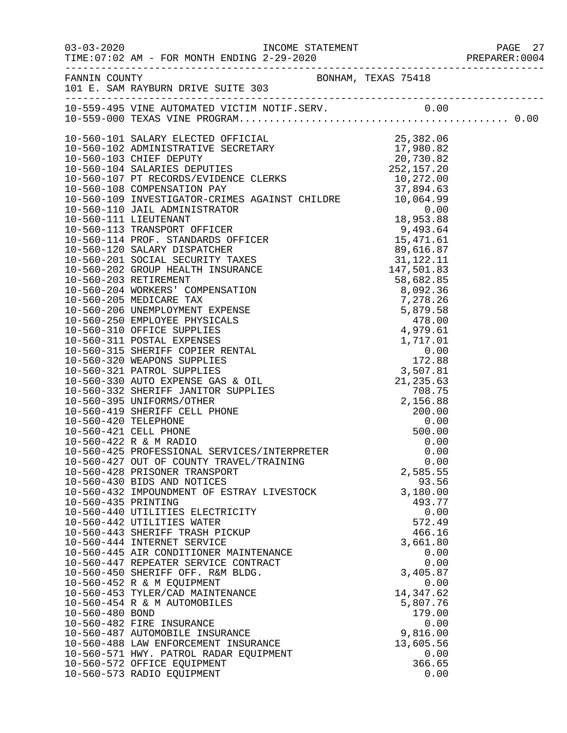|                     |                                                                                                                          |                   | PREPARER: 0004 |
|---------------------|--------------------------------------------------------------------------------------------------------------------------|-------------------|----------------|
|                     |                                                                                                                          |                   |                |
|                     |                                                                                                                          |                   |                |
|                     |                                                                                                                          |                   |                |
|                     |                                                                                                                          |                   |                |
|                     |                                                                                                                          |                   |                |
|                     |                                                                                                                          |                   |                |
|                     |                                                                                                                          |                   |                |
|                     | 10-560-109 INVESTIGATOR-CRIMES AGAINST CHILDRE<br>10-560-110 JAIL ADMINISTRATOR<br>10.064.99                             |                   |                |
|                     |                                                                                                                          |                   |                |
|                     |                                                                                                                          |                   |                |
|                     |                                                                                                                          |                   |                |
|                     |                                                                                                                          |                   |                |
|                     |                                                                                                                          |                   |                |
|                     |                                                                                                                          |                   |                |
|                     |                                                                                                                          |                   |                |
|                     |                                                                                                                          |                   |                |
|                     |                                                                                                                          |                   |                |
|                     |                                                                                                                          |                   |                |
|                     |                                                                                                                          |                   |                |
|                     |                                                                                                                          |                   |                |
|                     |                                                                                                                          |                   |                |
|                     |                                                                                                                          |                   |                |
|                     |                                                                                                                          |                   |                |
|                     |                                                                                                                          |                   |                |
|                     |                                                                                                                          |                   |                |
|                     |                                                                                                                          |                   |                |
|                     |                                                                                                                          |                   |                |
|                     |                                                                                                                          |                   |                |
|                     | 10-560-421 CELL PHONE<br>10-560-421 CELL PHONE<br>10-560-422 R & M RADIO<br>10-560-425 PROFESSIONAL SERVICES/INTERPRETER |                   |                |
|                     |                                                                                                                          | 0.00              |                |
|                     |                                                                                                                          | 0.00              |                |
|                     | 10-560-427 OUT OF COUNTY TRAVEL/TRAINING                                                                                 | 0.00              |                |
|                     | 10-560-428 PRISONER TRANSPORT<br>10-560-430 BIDS AND NOTICES                                                             | 2,585.55<br>93.56 |                |
|                     | 10-560-432 IMPOUNDMENT OF ESTRAY LIVESTOCK                                                                               | 3,180.00          |                |
| 10-560-435 PRINTING |                                                                                                                          | 493.77            |                |
|                     | 10-560-440 UTILITIES ELECTRICITY                                                                                         | 0.00              |                |
|                     | 10-560-442 UTILITIES WATER                                                                                               | 572.49            |                |
|                     | 10-560-443 SHERIFF TRASH PICKUP                                                                                          | 466.16            |                |
|                     | 10-560-444 INTERNET SERVICE                                                                                              | 3,661.80          |                |
|                     | 10-560-445 AIR CONDITIONER MAINTENANCE                                                                                   | 0.00              |                |
|                     | 10-560-447 REPEATER SERVICE CONTRACT<br>10-560-450 SHERIFF OFF. R&M BLDG.                                                | 0.00<br>3,405.87  |                |
|                     | 10-560-452 R & M EQUIPMENT                                                                                               | 0.00              |                |
|                     | 10-560-453 TYLER/CAD MAINTENANCE                                                                                         | 14, 347.62        |                |
|                     | 10-560-454 R & M AUTOMOBILES                                                                                             | 5,807.76          |                |
| 10-560-480 BOND     |                                                                                                                          | 179.00            |                |
|                     | 10-560-482 FIRE INSURANCE                                                                                                | 0.00              |                |
|                     | 10-560-487 AUTOMOBILE INSURANCE                                                                                          | 9,816.00          |                |
|                     | 10-560-488 LAW ENFORCEMENT INSURANCE                                                                                     | 13,605.56         |                |
|                     | 10-560-571 HWY. PATROL RADAR EQUIPMENT                                                                                   | 0.00              |                |
|                     | 10-560-572 OFFICE EQUIPMENT<br>10-560-573 RADIO EQUIPMENT                                                                | 366.65<br>0.00    |                |
|                     |                                                                                                                          |                   |                |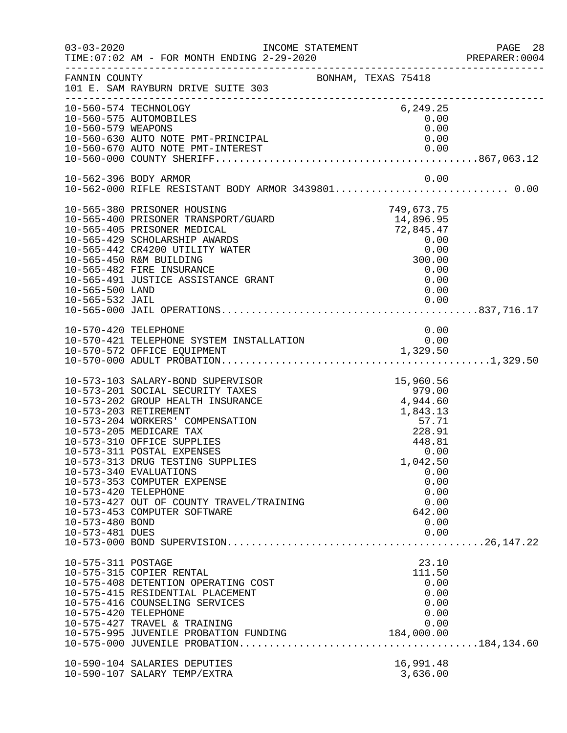| $03 - 03 - 2020$                                           | INCOME STATEMENT<br>TIME: 07:02 AM - FOR MONTH ENDING 2-29-2020                                                                                                                                                                                                                                                                                                                                                                         |                                                                                                                                                        | PAGE 28<br>PREPARER:0004 |
|------------------------------------------------------------|-----------------------------------------------------------------------------------------------------------------------------------------------------------------------------------------------------------------------------------------------------------------------------------------------------------------------------------------------------------------------------------------------------------------------------------------|--------------------------------------------------------------------------------------------------------------------------------------------------------|--------------------------|
| FANNIN COUNTY                                              | BONHAM, TEXAS 75418<br>101 E. SAM RAYBURN DRIVE SUITE 303                                                                                                                                                                                                                                                                                                                                                                               |                                                                                                                                                        |                          |
| 10-560-579 WEAPONS                                         | 10-560-574 TECHNOLOGY<br>10-560-575 AUTOMOBILES<br>10-560-630 AUTO NOTE PMT-PRINCIPAL                                                                                                                                                                                                                                                                                                                                                   | 6,249.25<br>0.00<br>0.00<br>0.00                                                                                                                       |                          |
|                                                            |                                                                                                                                                                                                                                                                                                                                                                                                                                         |                                                                                                                                                        |                          |
|                                                            | 10-562-396 BODY ARMOR                                                                                                                                                                                                                                                                                                                                                                                                                   | 0.00                                                                                                                                                   |                          |
| 10-565-500 LAND<br>10-565-532 JAIL                         | 10-565-380 PRISONER HOUSING<br>10-565-400 PRISONER TRANSPORT/GUARD<br>10-565-405 PRISONER MEDICAL<br>10-565-429 SCHOLARSHIP AWARDS<br>10-565-442 CR4200 UTILITY WATER<br>10-565-450 R&M BUILDING<br>10-565-482 FIRE INSURANCE<br>10-565-491 JUSTICE ASSISTANCE GRANT                                                                                                                                                                    | 749,673.75<br>14,896.95<br>72,845.47<br>0.00<br>0.00<br>300.00<br>0.00<br>0.00<br>0.00<br>0.00                                                         |                          |
| 10-570-420 TELEPHONE                                       |                                                                                                                                                                                                                                                                                                                                                                                                                                         | 0.00                                                                                                                                                   |                          |
| 10-573-420 TELEPHONE<br>10-573-480 BOND<br>10-573-481 DUES | 10-573-103 SALARY-BOND SUPERVISOR<br>10-573-201 SOCIAL SECURITY TAXES<br>10-573-202 GROUP HEALTH INSURANCE<br>10-573-203 RETIREMENT<br>10-573-204 WORKERS' COMPENSATION<br>10-573-205 MEDICARE TAX<br>10-573-310 OFFICE SUPPLIES<br>10-573-311 POSTAL EXPENSES<br>10-573-313 DRUG TESTING SUPPLIES<br>10-573-340 EVALUATIONS<br>10-573-353 COMPUTER EXPENSE<br>10-573-427 OUT OF COUNTY TRAVEL/TRAINING<br>10-573-453 COMPUTER SOFTWARE | 15,960.56<br>979.00<br>4,944.60<br>1,843.13<br>57.71<br>228.91<br>448.81<br>0.00<br>1,042.50<br>0.00<br>0.00<br>0.00<br>0.00<br>642.00<br>0.00<br>0.00 |                          |
| 10-575-311 POSTAGE<br>10-575-420 TELEPHONE                 | 10-575-315 COPIER RENTAL<br>10-575-408 DETENTION OPERATING COST<br>10-575-415 RESIDENTIAL PLACEMENT<br>10-575-416 COUNSELING SERVICES<br>10-575-427 TRAVEL & TRAINING<br>10-575-995 JUVENILE PROBATION FUNDING                                                                                                                                                                                                                          | 23.10<br>111.50<br>0.00<br>0.00<br>0.00<br>0.00<br>0.00<br>184,000.00                                                                                  |                          |
|                                                            | 10-590-104 SALARIES DEPUTIES<br>10-590-107 SALARY TEMP/EXTRA                                                                                                                                                                                                                                                                                                                                                                            | 16,991.48<br>3,636.00                                                                                                                                  |                          |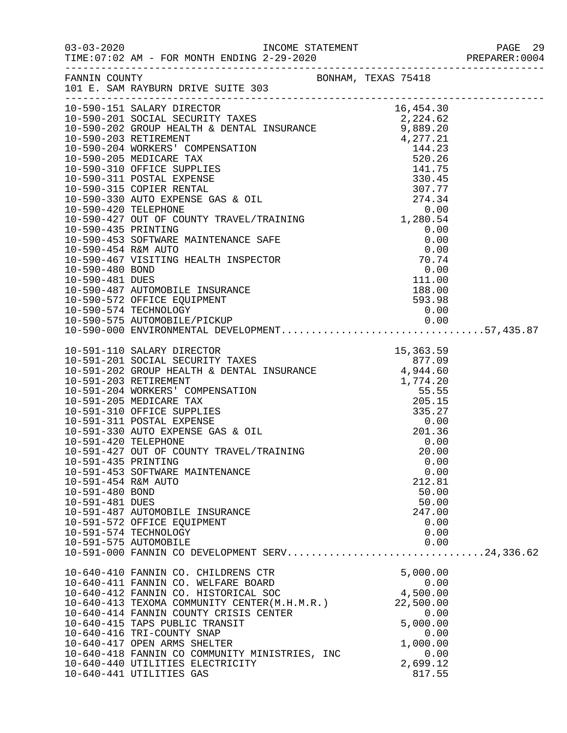|                                                                                  |                                                                                                                                                                                                                                                                                                                                                                                                                                                                                              |                                                                                                      | PAGE 29 |
|----------------------------------------------------------------------------------|----------------------------------------------------------------------------------------------------------------------------------------------------------------------------------------------------------------------------------------------------------------------------------------------------------------------------------------------------------------------------------------------------------------------------------------------------------------------------------------------|------------------------------------------------------------------------------------------------------|---------|
|                                                                                  | FANNIN COUNTY<br>FANNIN COUNTY BONHAM, TEXAS 75418<br>101 E. SAM RAYBURN DRIVE SUITE 303                                                                                                                                                                                                                                                                                                                                                                                                     |                                                                                                      |         |
|                                                                                  | 10-590-201 SOCIAL SECURITY TAXES<br>10-590-201 SOCIAL SECURITY TAXES<br>10-590-201 SOCIAL SECURITY TAXES<br>10-590-202 GROUP HEALTH & DENTAL INSURANCE<br>10-590-202 RETIREMENT<br>10-590-202 RETIREMENT (COMPENSATION<br>10-590-203 RETIR<br>10-590-427 OUT OF COUNTY TRAVEL/TRAINING<br>10-590-435 BORTWINE MAINTENANCE SAFE<br>0.00<br>10-590-453 SOFTWARE MAINTENANCE SAFE<br>0.00<br>10-590-467 VISITING HEALTH INSPECTOR<br>10-590-480 BOND<br>10-590-481 DUES<br>10-590-487 AUTOMOBIL |                                                                                                      |         |
|                                                                                  |                                                                                                                                                                                                                                                                                                                                                                                                                                                                                              |                                                                                                      |         |
| 10-591-435 PRINTING<br>10-591-454 R&M AUTO<br>10-591-480 BOND<br>10-591-481 DUES | 10-591-453 SOFTWARE MAINTENANCE<br>10-591-487 AUTOMOBILE INSURANCE<br>10-591-572 OFFICE EQUIPMENT<br>10-591-574 TECHNOLOGY<br>10-591-575 AUTOMOBILE<br>10-591-000 FANNIN CO DEVELOPMENT SERV24,336.62                                                                                                                                                                                                                                                                                        | 0.00<br>0.00<br>212.81<br>50.00<br>50.00<br>247.00<br>0.00<br>0.00<br>0.00                           |         |
|                                                                                  | 10-640-410 FANNIN CO. CHILDRENS CTR<br>10-640-411 FANNIN CO. WELFARE BOARD<br>10-640-412 FANNIN CO. HISTORICAL SOC<br>10-640-413 TEXOMA COMMUNITY CENTER(M.H.M.R.) 22,500.00<br>10-640-414 FANNIN COUNTY CRISIS CENTER<br>10-640-415 TAPS PUBLIC TRANSIT<br>10-640-416 TRI-COUNTY SNAP<br>10-640-417 OPEN ARMS SHELTER<br>10-640-418 FANNIN CO COMMUNITY MINISTRIES, INC<br>10-640-440 UTILITIES ELECTRICITY<br>10-640-441 UTILITIES GAS                                                     | 5,000.00<br>$0.00$<br>4,500.00<br>0.00<br>5,000.00<br>0.00<br>1,000.00<br>0.00<br>2,699.12<br>817.55 |         |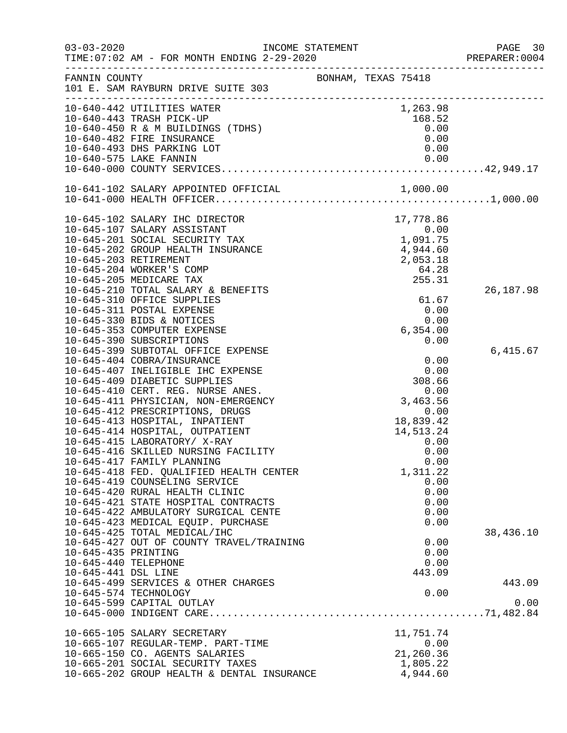|                      |                                                                            |                     |                  | PAGE 30<br>PREPARER: 0004 |
|----------------------|----------------------------------------------------------------------------|---------------------|------------------|---------------------------|
| FANNIN COUNTY        | 101 E. SAM RAYBURN DRIVE SUITE 303                                         | BONHAM, TEXAS 75418 |                  |                           |
|                      | 10-640-442 UTILITIES WATER                                                 |                     | 1,263.98         |                           |
|                      | 10-640-443 TRASH PICK-UP                                                   |                     | 168.52           |                           |
|                      | 10-640-450 R & M BUILDINGS (TDHS)                                          |                     | 0.00             |                           |
|                      | 10-640-482 FIRE INSURANCE                                                  |                     | 0.00             |                           |
|                      | 10-640-493 DHS PARKING LOT                                                 |                     | 0.00             |                           |
|                      | 10-640-575 LAKE FANNIN                                                     |                     | 0.00             |                           |
|                      |                                                                            |                     |                  |                           |
|                      |                                                                            |                     |                  |                           |
|                      |                                                                            |                     |                  |                           |
|                      | 10-645-102 SALARY IHC DIRECTOR                                             |                     | 17,778.86        |                           |
|                      | 10-645-107 SALARY ASSISTANT                                                |                     | 0.00             |                           |
|                      | 10-645-201 SOCIAL SECURITY TAX                                             |                     | 0.00<br>1,091.75 |                           |
|                      | 10-645-202 GROUP HEALTH INSURANCE                                          |                     | 4,944.60         |                           |
|                      | 10-645-203 RETIREMENT                                                      |                     | 2,053.18         |                           |
|                      | 10-645-204 WORKER'S COMP                                                   |                     | 64.28            |                           |
|                      | 10-645-205 MEDICARE TAX                                                    |                     | 255.31           |                           |
|                      | 10-645-210 TOTAL SALARY & BENEFITS                                         |                     |                  | 26, 187.98                |
|                      | 10-645-310 OFFICE SUPPLIES                                                 |                     | 61.67            |                           |
|                      | 10-645-311 POSTAL EXPENSE                                                  |                     | 0.00             |                           |
|                      | 10-645-330 BIDS & NOTICES                                                  |                     | 0.00             |                           |
|                      | 10-645-353 COMPUTER EXPENSE<br>10-645-390 SUBSCRIPTIONS                    |                     | 6,354.00<br>0.00 |                           |
|                      | 10-645-399 SUBTOTAL OFFICE EXPENSE                                         |                     |                  | 6,415.67                  |
|                      | 10-645-404 COBRA/INSURANCE                                                 |                     | 0.00             |                           |
|                      | 10-645-407 INELIGIBLE IHC EXPENSE                                          |                     | 0.00             |                           |
|                      | 10-645-409 DIABETIC SUPPLIES                                               |                     | 308.66           |                           |
|                      | 10-645-410 CERT. REG. NURSE ANES.                                          |                     | 0.00             |                           |
|                      | 10-645-411 PHYSICIAN, NON-EMERGENCY                                        |                     | 3,463.56         |                           |
|                      | 10-645-412 PRESCRIPTIONS, DRUGS                                            |                     | 0.00             |                           |
|                      | 10-645-413 HOSPITAL, INPATIENT                                             |                     | 18,839.42        |                           |
|                      | 10-645-414 HOSPITAL, OUTPATIENT                                            |                     | 14,513.24        |                           |
|                      | 10-645-415 LABORATORY/ X-RAY                                               |                     | 0.00             |                           |
|                      | 10-645-416 SKILLED NURSING FACILITY                                        |                     | 0.00             |                           |
|                      | 10-645-417 FAMILY PLANNING                                                 |                     | 0.00             |                           |
|                      | 10-645-418 FED. QUALIFIED HEALTH CENTER                                    |                     | 1,311.22         |                           |
|                      | 10-645-419 COUNSELING SERVICE                                              |                     | 0.00             |                           |
|                      | 10-645-420 RURAL HEALTH CLINIC                                             |                     | 0.00             |                           |
|                      | 10-645-421 STATE HOSPITAL CONTRACTS                                        |                     | 0.00<br>0.00     |                           |
|                      | 10-645-422 AMBULATORY SURGICAL CENTE<br>10-645-423 MEDICAL EQUIP. PURCHASE |                     | 0.00             |                           |
|                      | 10-645-425 TOTAL MEDICAL/IHC                                               |                     |                  | 38,436.10                 |
|                      | 10-645-427 OUT OF COUNTY TRAVEL/TRAINING                                   |                     | 0.00             |                           |
| 10-645-435 PRINTING  |                                                                            |                     | 0.00             |                           |
| 10-645-440 TELEPHONE |                                                                            |                     | 0.00             |                           |
| 10-645-441 DSL LINE  |                                                                            |                     | 443.09           |                           |
|                      | 10-645-499 SERVICES & OTHER CHARGES                                        |                     |                  | 443.09                    |
|                      | 10-645-574 TECHNOLOGY                                                      |                     | 0.00             |                           |
|                      | 10-645-599 CAPITAL OUTLAY                                                  |                     |                  | 0.00                      |
|                      |                                                                            |                     |                  |                           |
|                      | 10-665-105 SALARY SECRETARY                                                |                     | 11,751.74        |                           |
|                      | 10-665-107 REGULAR-TEMP. PART-TIME                                         |                     | 0.00             |                           |
|                      | 10-665-150 CO. AGENTS SALARIES                                             |                     | 21,260.36        |                           |
|                      | 10-665-201 SOCIAL SECURITY TAXES                                           |                     | 1,805.22         |                           |
|                      | 10-665-202 GROUP HEALTH & DENTAL INSURANCE                                 |                     | 4,944.60         |                           |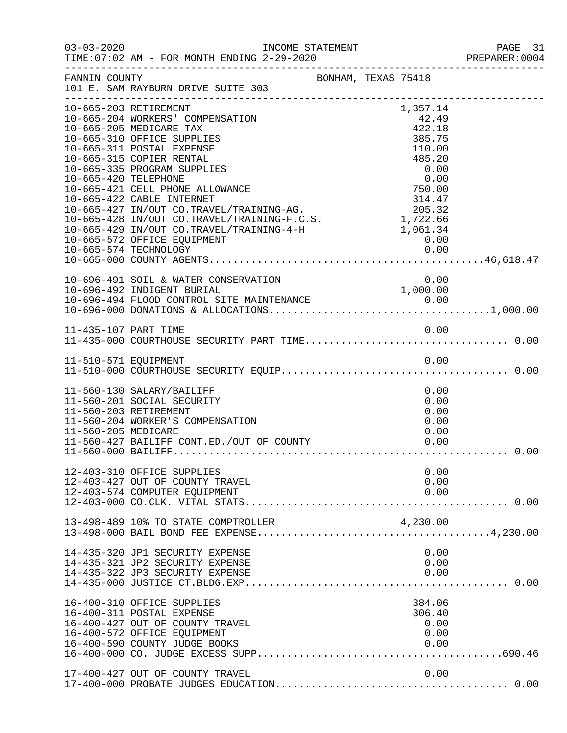|                     |                                                                                                                                                                                                                                                                                                                                                                                                                                                                                           |                     |  |                                                                           |                                      | PREPARER: 0004 |
|---------------------|-------------------------------------------------------------------------------------------------------------------------------------------------------------------------------------------------------------------------------------------------------------------------------------------------------------------------------------------------------------------------------------------------------------------------------------------------------------------------------------------|---------------------|--|---------------------------------------------------------------------------|--------------------------------------|----------------|
| FANNIN COUNTY       | 101 E. SAM RAYBURN DRIVE SUITE 303                                                                                                                                                                                                                                                                                                                                                                                                                                                        | BONHAM, TEXAS 75418 |  |                                                                           |                                      |                |
|                     | 10-665-203 RETIREMENT<br>10-665-204 WORKERS' COMPENSATION<br>10-665-205 MEDICARE TAX<br>10-665-310 OFFICE SUPPLIES<br>10-665-311 POSTAL EXPENSE<br>10-665-315 COPIER RENTAL<br>10-665-335 PROGRAM SUPPLIES<br>10-665-420 TELEPHONE<br>10-665-420 TELEPHONE<br>10-665-421 CELL PHONE ALLOWANCE<br>10-665-422 CABLE INTERNET<br>10-665-427 IN/OUT CO.TRAVEL/TRAINING-AG.<br>10-665-428 IN/OUT CO.TRAVEL/TRAINING-F.C.S.<br>1,722.66<br>10-665-429 IN/OUT CO.<br>10-665-572 OFFICE EQUIPMENT |                     |  | 1,357.14<br>42.49<br>422.18<br>385.75<br>110.00<br>485.20<br>0.00<br>0.00 |                                      |                |
|                     | 10-696-491 SOIL & WATER CONSERVATION                                                                                                                                                                                                                                                                                                                                                                                                                                                      |                     |  | 0.00                                                                      |                                      |                |
|                     |                                                                                                                                                                                                                                                                                                                                                                                                                                                                                           |                     |  |                                                                           |                                      |                |
|                     |                                                                                                                                                                                                                                                                                                                                                                                                                                                                                           |                     |  |                                                                           |                                      |                |
| 11-560-205 MEDICARE | 11-560-130 SALARY/BAILIFF<br>11-560-201 SOCIAL SECURITY<br>11-560-203 RETIREMENT<br>11-560-204 WORKER'S COMPENSATION                                                                                                                                                                                                                                                                                                                                                                      |                     |  |                                                                           | 0.00<br>0.00<br>0.00<br>0.00<br>0.00 |                |
|                     | 12-403-310 OFFICE SUPPLIES<br>12-403-427 OUT OF COUNTY TRAVEL<br>12-403-574 COMPUTER EQUIPMENT                                                                                                                                                                                                                                                                                                                                                                                            |                     |  |                                                                           | 0.00<br>0.00<br>0.00                 |                |
|                     | 13-498-489 10% TO STATE COMPTROLLER                                                                                                                                                                                                                                                                                                                                                                                                                                                       |                     |  | 4,230.00                                                                  |                                      |                |
|                     | 14-435-320 JP1 SECURITY EXPENSE<br>14-435-321 JP2 SECURITY EXPENSE<br>14-435-322 JP3 SECURITY EXPENSE                                                                                                                                                                                                                                                                                                                                                                                     |                     |  |                                                                           | 0.00<br>0.00<br>0.00                 |                |
|                     | 16-400-310 OFFICE SUPPLIES<br>16-400-311 POSTAL EXPENSE<br>16-400-427 OUT OF COUNTY TRAVEL<br>16-400-572 OFFICE EQUIPMENT<br>16-400-590 COUNTY JUDGE BOOKS                                                                                                                                                                                                                                                                                                                                |                     |  | 384.06<br>306.40<br>0.00                                                  | 0.00<br>0.00                         |                |
|                     | 17-400-427 OUT OF COUNTY TRAVEL                                                                                                                                                                                                                                                                                                                                                                                                                                                           |                     |  |                                                                           | 0.00                                 |                |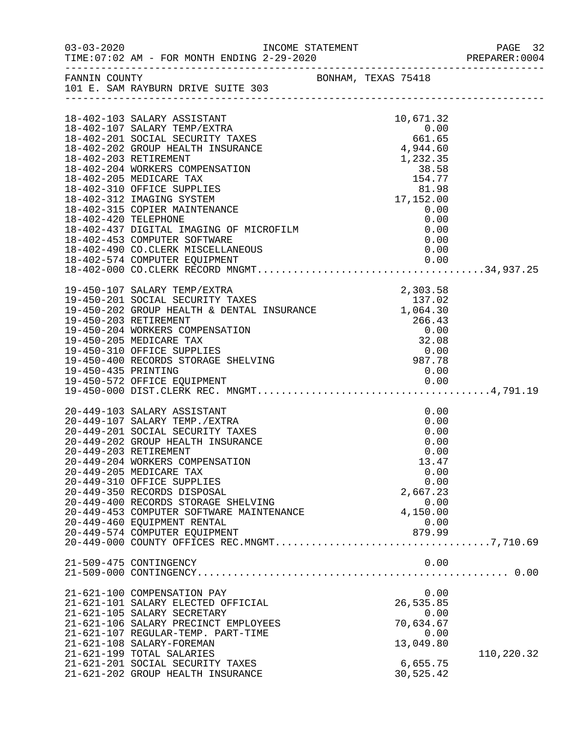|                     |                                                                                                                                                                                                                               |                                                                     | PAGE 32<br>PREPARER:0004 |
|---------------------|-------------------------------------------------------------------------------------------------------------------------------------------------------------------------------------------------------------------------------|---------------------------------------------------------------------|--------------------------|
|                     | FANNIN COUNTY<br>101 E. SAM RAYBURN DRIVE SUITE 303                                                                                                                                                                           |                                                                     |                          |
|                     |                                                                                                                                                                                                                               |                                                                     |                          |
|                     |                                                                                                                                                                                                                               |                                                                     |                          |
|                     | 18-402-103 SALARY ASSISTANT                                                                                                                                                                                                   | 10,671.32                                                           |                          |
|                     | 18-402-201 SOCIAL SECURITY TAXES<br>18-402-202 GROUP HEALTH INSURANCE<br>18-402-203 RETIREMENT<br>18-402-203 RETIREMENT                                                                                                       |                                                                     |                          |
|                     |                                                                                                                                                                                                                               |                                                                     |                          |
|                     |                                                                                                                                                                                                                               |                                                                     |                          |
|                     |                                                                                                                                                                                                                               | $1,232.35$<br>$38.58$<br>$154.77$<br>$81.98$<br>$17,152.00$<br>0.00 |                          |
|                     | 18-402-204 WORKERS COMPENSATION                                                                                                                                                                                               |                                                                     |                          |
|                     | 18-402-205 MEDICARE TAX<br>18-402-310 OFFICE SUPPLIES                                                                                                                                                                         |                                                                     |                          |
|                     | 18-402-312 IMAGING SYSTEM                                                                                                                                                                                                     |                                                                     |                          |
|                     | 18-402-315 COPIER MAINTENANCE                                                                                                                                                                                                 |                                                                     |                          |
|                     |                                                                                                                                                                                                                               | $\begin{array}{c} 0\, .\, 00 \ 0\, .\, 00 \end{array}$              |                          |
|                     | 18-402-420 TELEPHONE<br>18-402-437 DIGITAL IMAGING OF MICROFILM 0.00<br>18-402-453 COMPUTER SOFTWARE 0.00                                                                                                                     |                                                                     |                          |
|                     |                                                                                                                                                                                                                               |                                                                     |                          |
|                     | 18-402-453 COMPUTER SOFTWARE<br>18-402-490 CO.CLERK MISCELLANEOUS                                                                                                                                                             |                                                                     |                          |
|                     |                                                                                                                                                                                                                               |                                                                     |                          |
|                     | 18-402-493 COMPUTER EQUIPMENT<br>18-402-574 COMPUTER EQUIPMENT 0.00<br>18-402-574 COMPUTER EQUIPMENT 0.00                                                                                                                     |                                                                     |                          |
|                     |                                                                                                                                                                                                                               |                                                                     |                          |
|                     | 19-450-107 SALARY TEMP/EXTRA<br>19-450-201 SOCIAL SECURITY TAXES<br>19-450-202 GROUP HEALTH & DENTAL INSURANCE 1,064.30<br>19-450-203 RETIREMENT                                                                              |                                                                     |                          |
|                     |                                                                                                                                                                                                                               |                                                                     |                          |
|                     |                                                                                                                                                                                                                               |                                                                     |                          |
|                     |                                                                                                                                                                                                                               |                                                                     |                          |
|                     |                                                                                                                                                                                                                               |                                                                     |                          |
|                     |                                                                                                                                                                                                                               |                                                                     |                          |
|                     | 19-450-203 RETIREMENT<br>19-450-204 WORKERS COMPENSATION<br>19-450-205 MEDICARE TAX<br>19-450-310 OFFICE SUPPLIES<br>19-450-400 RECORDS STORAGE SHELVING<br>19-450-435 PRINTING<br>19-450-435 PRINTING<br>19-450-435 PRINTING |                                                                     |                          |
|                     |                                                                                                                                                                                                                               |                                                                     |                          |
| 19-450-435 PRINTING |                                                                                                                                                                                                                               | 0.00                                                                |                          |
|                     | 19-450-572 OFFICE EQUIPMENT                                                                                                                                                                                                   |                                                                     |                          |
|                     |                                                                                                                                                                                                                               |                                                                     |                          |
|                     | 20-449-103 SALARY ASSISTANT                                                                                                                                                                                                   | 0.00                                                                |                          |
|                     | 20-449-107 SALARY TEMP./EXTRA                                                                                                                                                                                                 | 0.00                                                                |                          |
|                     |                                                                                                                                                                                                                               | 0.00                                                                |                          |
|                     | 20-449-107 SADARI IBM . 20----<br>20-449-201 SOCIAL SECURITY TAXES                                                                                                                                                            | 0.00                                                                |                          |
|                     | 20-449-203 RETIREMENT                                                                                                                                                                                                         | 0.00                                                                |                          |
|                     | 20-449-204 WORKERS COMPENSATION                                                                                                                                                                                               | 13.47                                                               |                          |
|                     | 20-449-205 MEDICARE TAX                                                                                                                                                                                                       | 0.00                                                                |                          |
|                     | 20-449-310 OFFICE SUPPLIES                                                                                                                                                                                                    | 0.00                                                                |                          |
|                     | 20-449-350 RECORDS DISPOSAL                                                                                                                                                                                                   | 2,667.23                                                            |                          |
|                     | 20-449-400 RECORDS STORAGE SHELVING                                                                                                                                                                                           | 0.00                                                                |                          |
|                     | 20-449-453 COMPUTER SOFTWARE MAINTENANCE                                                                                                                                                                                      | 4,150.00                                                            |                          |
|                     | 20-449-460 EQUIPMENT RENTAL                                                                                                                                                                                                   | 0.00                                                                |                          |
|                     |                                                                                                                                                                                                                               |                                                                     |                          |
|                     |                                                                                                                                                                                                                               |                                                                     |                          |
|                     | 21-509-475 CONTINGENCY                                                                                                                                                                                                        | 0.00                                                                |                          |
|                     |                                                                                                                                                                                                                               |                                                                     |                          |
|                     |                                                                                                                                                                                                                               |                                                                     |                          |
|                     | 21-621-100 COMPENSATION PAY                                                                                                                                                                                                   | 0.00                                                                |                          |
|                     | 21-621-101 SALARY ELECTED OFFICIAL                                                                                                                                                                                            | 26,535.85                                                           |                          |
|                     | 21-621-105 SALARY SECRETARY                                                                                                                                                                                                   | 0.00                                                                |                          |
|                     | 21-621-106 SALARY PRECINCT EMPLOYEES                                                                                                                                                                                          | 70,634.67                                                           |                          |
|                     | 21-621-107 REGULAR-TEMP. PART-TIME                                                                                                                                                                                            | 0.00                                                                |                          |
|                     | 21-621-108 SALARY-FOREMAN                                                                                                                                                                                                     | 13,049.80                                                           |                          |
|                     | 21-621-199 TOTAL SALARIES                                                                                                                                                                                                     |                                                                     | 110,220.32               |
|                     | 21-621-201 SOCIAL SECURITY TAXES                                                                                                                                                                                              | 6,655.75                                                            |                          |
|                     | 21-621-202 GROUP HEALTH INSURANCE                                                                                                                                                                                             | 30,525.42                                                           |                          |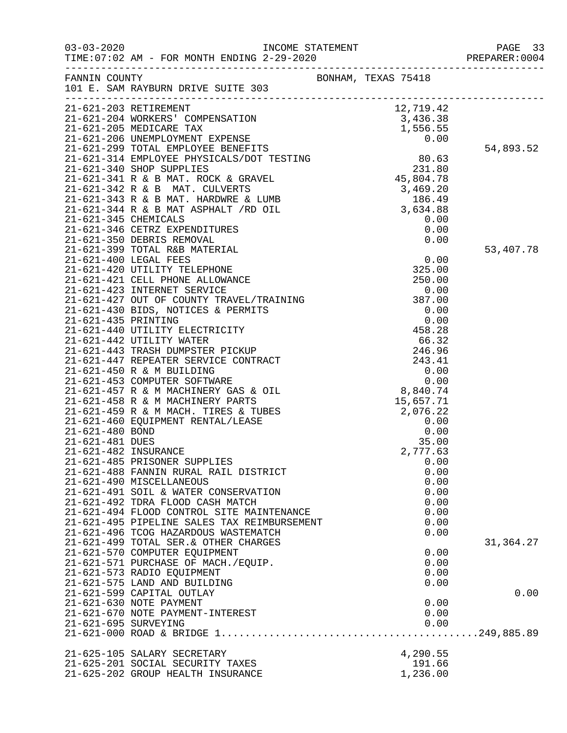|                      |                                                             |                     | PAGE 33<br>PREPARER: 0004 |
|----------------------|-------------------------------------------------------------|---------------------|---------------------------|
| FANNIN COUNTY        | 101 E. SAM RAYBURN DRIVE SUITE 303                          | BONHAM, TEXAS 75418 |                           |
|                      |                                                             |                     |                           |
|                      |                                                             |                     |                           |
|                      |                                                             |                     |                           |
|                      |                                                             |                     | 54,893.52                 |
|                      |                                                             |                     |                           |
|                      |                                                             |                     |                           |
|                      |                                                             |                     |                           |
|                      |                                                             |                     |                           |
|                      |                                                             |                     |                           |
|                      |                                                             |                     |                           |
|                      |                                                             |                     |                           |
|                      |                                                             |                     |                           |
|                      |                                                             |                     |                           |
|                      |                                                             |                     | 53,407.78                 |
|                      |                                                             |                     |                           |
|                      |                                                             |                     |                           |
|                      |                                                             |                     |                           |
|                      |                                                             |                     |                           |
|                      |                                                             |                     |                           |
|                      |                                                             |                     |                           |
|                      |                                                             |                     |                           |
|                      |                                                             |                     |                           |
|                      |                                                             |                     |                           |
|                      |                                                             |                     |                           |
|                      |                                                             |                     |                           |
|                      |                                                             |                     |                           |
|                      |                                                             |                     |                           |
|                      |                                                             |                     |                           |
|                      |                                                             |                     |                           |
|                      |                                                             |                     |                           |
|                      |                                                             |                     |                           |
|                      |                                                             |                     |                           |
|                      | 21-621-485 PRISONER SUPPLIES                                | 0.00                |                           |
|                      | 21-621-488 FANNIN RURAL RAIL DISTRICT                       | 0.00                |                           |
|                      | 21-621-490 MISCELLANEOUS                                    | 0.00                |                           |
|                      | 21-621-491 SOIL & WATER CONSERVATION                        | 0.00                |                           |
|                      | 21-621-492 TDRA FLOOD CASH MATCH                            | 0.00                |                           |
|                      | 21-621-494 FLOOD CONTROL SITE MAINTENANCE                   | 0.00                |                           |
|                      | 21-621-495 PIPELINE SALES TAX REIMBURSEMENT                 | 0.00                |                           |
|                      | 21-621-496 TCOG HAZARDOUS WASTEMATCH                        | 0.00                |                           |
|                      | 21-621-499 TOTAL SER. & OTHER CHARGES                       |                     | 31,364.27                 |
|                      | 21-621-570 COMPUTER EQUIPMENT                               | 0.00                |                           |
|                      | 21-621-571 PURCHASE OF MACH./EQUIP.                         | 0.00                |                           |
|                      | 21-621-573 RADIO EQUIPMENT                                  | 0.00                |                           |
|                      | 21-621-575 LAND AND BUILDING                                | 0.00                |                           |
|                      | 21-621-599 CAPITAL OUTLAY                                   |                     | 0.00                      |
|                      | 21-621-630 NOTE PAYMENT<br>21-621-670 NOTE PAYMENT-INTEREST | 0.00<br>0.00        |                           |
| 21-621-695 SURVEYING |                                                             | 0.00                |                           |
|                      |                                                             |                     |                           |
|                      |                                                             |                     |                           |
|                      | 21-625-105 SALARY SECRETARY                                 | 4,290.55            |                           |
|                      | 21-625-201 SOCIAL SECURITY TAXES                            | 191.66              |                           |
|                      | 21-625-202 GROUP HEALTH INSURANCE                           | 1,236.00            |                           |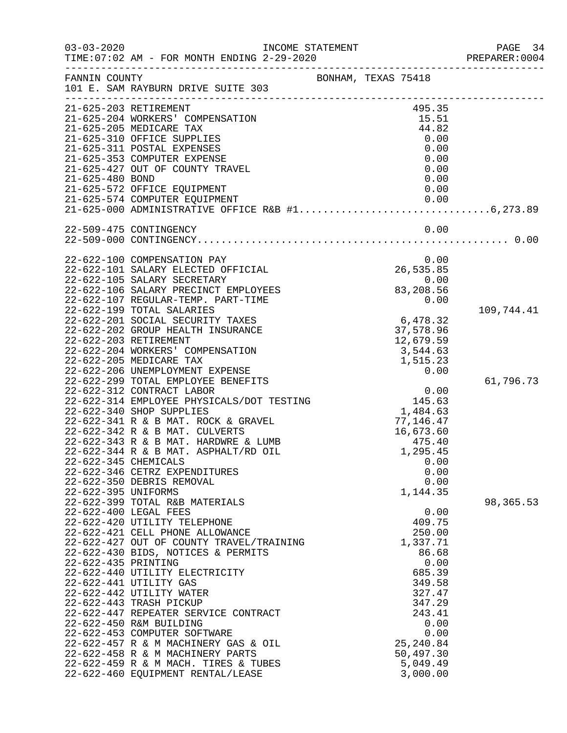|                                                                                                                                                                                                                                                                                                                                                                                                                                                                                                                                                                                                                                                                                                                                                                                                                                                                                                                                                                                                                                                                                                                                                                          |                                                                                                                                                                                                                                                                                                                                                                                                                                                                                                                                                                                                                                                                       | PAGE 34<br>PREPARER: 0004                                                                                                                                            |
|--------------------------------------------------------------------------------------------------------------------------------------------------------------------------------------------------------------------------------------------------------------------------------------------------------------------------------------------------------------------------------------------------------------------------------------------------------------------------------------------------------------------------------------------------------------------------------------------------------------------------------------------------------------------------------------------------------------------------------------------------------------------------------------------------------------------------------------------------------------------------------------------------------------------------------------------------------------------------------------------------------------------------------------------------------------------------------------------------------------------------------------------------------------------------|-----------------------------------------------------------------------------------------------------------------------------------------------------------------------------------------------------------------------------------------------------------------------------------------------------------------------------------------------------------------------------------------------------------------------------------------------------------------------------------------------------------------------------------------------------------------------------------------------------------------------------------------------------------------------|----------------------------------------------------------------------------------------------------------------------------------------------------------------------|
|                                                                                                                                                                                                                                                                                                                                                                                                                                                                                                                                                                                                                                                                                                                                                                                                                                                                                                                                                                                                                                                                                                                                                                          |                                                                                                                                                                                                                                                                                                                                                                                                                                                                                                                                                                                                                                                                       |                                                                                                                                                                      |
|                                                                                                                                                                                                                                                                                                                                                                                                                                                                                                                                                                                                                                                                                                                                                                                                                                                                                                                                                                                                                                                                                                                                                                          | 495.35<br>15.51<br>44.82<br>0.00<br>0.00<br>0.00<br>0.00<br>0.00<br>0.00<br>0.00                                                                                                                                                                                                                                                                                                                                                                                                                                                                                                                                                                                      |                                                                                                                                                                      |
|                                                                                                                                                                                                                                                                                                                                                                                                                                                                                                                                                                                                                                                                                                                                                                                                                                                                                                                                                                                                                                                                                                                                                                          | 0.00                                                                                                                                                                                                                                                                                                                                                                                                                                                                                                                                                                                                                                                                  |                                                                                                                                                                      |
|                                                                                                                                                                                                                                                                                                                                                                                                                                                                                                                                                                                                                                                                                                                                                                                                                                                                                                                                                                                                                                                                                                                                                                          | 0.00<br>26,535.85<br>0.00<br>83,208.56<br>0.00<br>37,578.96<br>12,679.59<br>3,544.63<br>0.00<br>0.00<br>1,484.63<br>77,146.47<br>16,673.60<br>475.40<br>1,295.45<br>0.00<br>0.00<br>0.00<br>1,144.35<br>0.00<br>409.75<br>250.00<br>1,337.71<br>86.68<br>0.00<br>685.39<br>349.58<br>327.47<br>347.29<br>243.41<br>0.00<br>0.00<br>25, 240.84                                                                                                                                                                                                                                                                                                                         | 109,744.41<br>61,796.73<br>98,365.53                                                                                                                                 |
|                                                                                                                                                                                                                                                                                                                                                                                                                                                                                                                                                                                                                                                                                                                                                                                                                                                                                                                                                                                                                                                                                                                                                                          | 5,049.49<br>3,000.00                                                                                                                                                                                                                                                                                                                                                                                                                                                                                                                                                                                                                                                  |                                                                                                                                                                      |
| 21-625-203 RETIREMENT<br>21-625-204 WORKERS' COMPENSATION<br>21-625-205 MEDICARE TAX<br>21-625-310 OFFICE SUPPLIES<br>21-625-311 POSTAL EXPENSES<br>21-625-353 COMPUTER EXPENSE<br>21-625-427 OUT OF COUNTY TRAVEL<br>21-625-480 BOND<br>21-625-572 OFFICE EQUIPMENT<br>21-625-574 COMPUTER EQUIPMENT<br>22-509-475 CONTINGENCY<br>22-622-100 COMPENSATION PAY<br>22-622-105 SALARY SECRETARY<br>22-622-199 TOTAL SALARIES<br>22-622-201 SOCIAL SECURITY TAXES<br>22-622-203 RETIREMENT<br>22-622-204 WORKERS' COMPENSATION<br>22-622-205 MEDICARE TAX<br>22-622-206 UNEMPLOYMENT EXPENSE<br>22-622-312 CONTRACT LABOR<br>22-622-340 SHOP SUPPLIES<br>22-622-342 R & B MAT. CULVERTS<br>22-622-345 CHEMICALS<br>22-622-346 CETRZ EXPENDITURES<br>22-622-350 DEBRIS REMOVAL<br>22-622-395 UNIFORMS<br>22-622-399 TOTAL R&B MATERIALS<br>22-622-400 LEGAL FEES<br>22-622-420 UTILITY TELEPHONE<br>22-622-421 CELL PHONE ALLOWANCE<br>22-622-435 PRINTING<br>22-622-440 UTILITY ELECTRICITY<br>22-622-441 UTILITY GAS<br>22-622-442 UTILITY WATER<br>22-622-443 TRASH PICKUP<br>22-622-450 R&M BUILDING<br>22-622-453 COMPUTER SOFTWARE<br>22-622-458 R & M MACHINERY PARTS | FANNIN COUNTY<br>101 E. SAM RAYBURN DRIVE SUITE 303<br>22-622-101 SALARY ELECTED OFFICIAL<br>22-622-106 SALARY PRECINCT EMPLOYEES<br>22-622-107 REGULAR-TEMP. PART-TIME<br>22-622-202 GROUP HEALTH INSURANCE<br>22-622-299 TOTAL EMPLOYEE BENEFITS<br>22-622-314 EMPLOYEE PHYSICALS/DOT TESTING<br>22-622-341 R & B MAT. ROCK & GRAVEL<br>22-622-343 R & B MAT. HARDWRE & LUMB<br>22-622-344 R & B MAT. ASPHALT/RD OIL<br>22-622-427 OUT OF COUNTY TRAVEL/TRAINING<br>22-622-430 BIDS, NOTICES & PERMITS<br>22-622-447 REPEATER SERVICE CONTRACT<br>22-622-457 R & M MACHINERY GAS & OIL<br>22-622-459 R & M MACH. TIRES & TUBES<br>22-622-460 EQUIPMENT RENTAL/LEASE | INCOME STATEMENT<br>TIME: $07:02$ AM - FOR MONTH ENDING $2-29-2020$<br>BONHAM, TEXAS 75418<br>$6,478.32$<br>$27,579,96$<br>1,515.23<br>$0.00$<br>145.63<br>50,497.30 |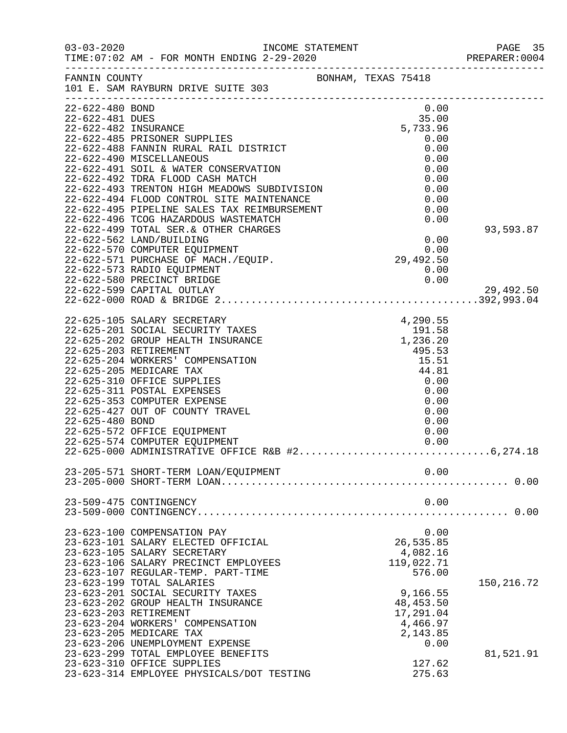| $03 - 03 - 2020$                                           | INCOME STATEMENT                                                                                                                                                                                                                                                                             |                                                                                                                                                                                                                                                     | PAGE 35<br>PREPARER: 0004 |
|------------------------------------------------------------|----------------------------------------------------------------------------------------------------------------------------------------------------------------------------------------------------------------------------------------------------------------------------------------------|-----------------------------------------------------------------------------------------------------------------------------------------------------------------------------------------------------------------------------------------------------|---------------------------|
|                                                            | FANNIN COUNTY<br>101 E. SAM RAYBURN DRIVE SUITE 303                                                                                                                                                                                                                                          | BONHAM, TEXAS 75418                                                                                                                                                                                                                                 |                           |
| 22-622-480 BOND<br>22-622-481 DUES<br>22-622-482 INSURANCE | 22-622-485 PRISONER SUPPLIES<br>22-622-488 FANNIN RURAL RAIL DISTRICT                                                                                                                                                                                                                        | 0.00<br>$35.00$<br>5,733.96<br>0.00<br>0.00                                                                                                                                                                                                         |                           |
|                                                            | 22-622-490 MISCELLANEOUS<br>22-622-491 SOIL & WATER CONSERVATION<br>22-622-492 TDRA FLOOD CASH MATCH<br>22-622-493 TRENTON HIGH MEADOWS SUBDIVISION<br>22-022-494 FLOOD CONTROL SITE MAINTENANCE<br>22-622-494 FLOOD CONTROL SITE MAINTENANCE<br>22-622-495 PIPELINE SALES TAX REIMBURSEMENT | 0.00<br>0.00<br>0.00<br>0.00<br>0.00                                                                                                                                                                                                                |                           |
|                                                            | 22-622-496 TCOG HAZARDOUS WASTEMATCH<br>22-622-499 TOTAL SER.& OTHER CHARGES<br>22-622-562 LAND/BUILDING<br>22-622-570 COMPUTER EQUIPMENT                                                                                                                                                    | 0.00<br>0.00<br>$\begin{array}{c} 0.00 \\ 0.00 \\ 29,492.50 \end{array}$                                                                                                                                                                            | 93,593.87                 |
|                                                            | 22-622-571 PURCHASE OF MACH./EQUIP.<br>22-622-573 RADIO EQUIPMENT<br>22-622-580 PRECINCT BRIDGE<br>22-622-599 CAPITAL OUTLAY                                                                                                                                                                 | 0.00<br>0.00                                                                                                                                                                                                                                        | 29,492.50                 |
|                                                            | 22-625-105 SALARY SECRETARY<br>22-625-201 SOCIAL SECURITY TAXES<br>22-625-202 GROUP HEALTH INSURANCE<br>22-625-203 RETIREMENT<br>22-625-204 WORKERS' COMPENSATION                                                                                                                            | 4, 290.55<br>AXES 191.58 193.02 1, 236.20 1, 236.20 1, 236.20 1, 236.20 1, 236.20 1, 236.20 1, 236.20 1, 236.20 1, 236.20 1, 236.20 1, 236.20 1, 236.20 1, 236.20 1, 236.20 1, 236.20 1, 236.20 1, 236.20 1, 236.20 1, 236.20 1,<br>495.53<br>15.51 |                           |
| 22-625-480 BOND                                            | 22-625-205 MEDICARE TAX<br>22-625-310 OFFICE SUPPLIES<br>22-625-311 POSTAL EXPENSES<br>22-625-353 COMPUTER EXPENSE<br>22-625-427 OUT OF COUNTY TRAVEL                                                                                                                                        | 44.81<br>0.00<br>0.00<br>0.00<br>0.00<br>0.00                                                                                                                                                                                                       |                           |
|                                                            | 22-625-572 OFFICE EQUIPMENT<br>22-625-574 COMPUTER EQUIPMENT                                                                                                                                                                                                                                 | 0.00                                                                                                                                                                                                                                                |                           |
|                                                            | 23-205-571 SHORT-TERM LOAN/EQUIPMENT                                                                                                                                                                                                                                                         | 0.00                                                                                                                                                                                                                                                |                           |
|                                                            | 23-509-475 CONTINGENCY                                                                                                                                                                                                                                                                       | 0.00                                                                                                                                                                                                                                                |                           |
|                                                            | 23-623-100 COMPENSATION PAY<br>23-623-101 SALARY ELECTED OFFICIAL<br>23-623-105 SALARY SECRETARY<br>23-623-106 SALARY PRECINCT EMPLOYEES<br>23-623-107 REGULAR-TEMP. PART-TIME                                                                                                               | 0.00<br>26,535.85<br>4,082.16<br>119,022.71<br>576.00                                                                                                                                                                                               |                           |
| 23-623-203 RETIREMENT                                      | 23-623-199 TOTAL SALARIES<br>23-623-201 SOCIAL SECURITY TAXES<br>23-623-202 GROUP HEALTH INSURANCE<br>23-623-204 WORKERS' COMPENSATION                                                                                                                                                       | 9,166.55<br>48, 453.50<br>17,291.04<br>4,466.97                                                                                                                                                                                                     | 150,216.72                |
|                                                            | 23-623-205 MEDICARE TAX<br>23-623-206 UNEMPLOYMENT EXPENSE<br>23-623-299 TOTAL EMPLOYEE BENEFITS<br>23-623-310 OFFICE SUPPLIES<br>23-623-314 EMPLOYEE PHYSICALS/DOT TESTING                                                                                                                  | 2,143.85<br>0.00<br>127.62<br>275.63                                                                                                                                                                                                                | 81,521.91                 |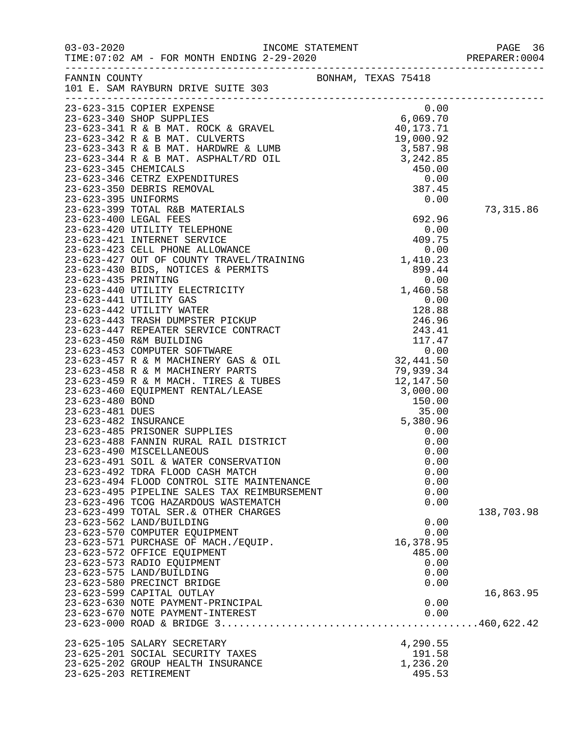|                                                     |           | PREPARER: 0004 |
|-----------------------------------------------------|-----------|----------------|
| FANNIN COUNTY<br>101 E. SAM RAYBURN DRIVE SUITE 303 |           |                |
| 23-623-315 COPIER EXPENSE                           | 0.00      |                |
|                                                     |           |                |
|                                                     |           |                |
|                                                     |           |                |
|                                                     |           |                |
|                                                     |           |                |
|                                                     |           |                |
|                                                     |           |                |
|                                                     |           |                |
|                                                     |           |                |
|                                                     |           | 73, 315.86     |
|                                                     |           |                |
|                                                     |           |                |
|                                                     |           |                |
|                                                     |           |                |
|                                                     |           |                |
|                                                     |           |                |
|                                                     |           |                |
|                                                     |           |                |
|                                                     |           |                |
|                                                     |           |                |
|                                                     |           |                |
|                                                     |           |                |
|                                                     |           |                |
|                                                     |           |                |
|                                                     |           |                |
|                                                     |           |                |
|                                                     |           |                |
|                                                     |           |                |
|                                                     |           |                |
|                                                     |           |                |
|                                                     |           |                |
|                                                     |           |                |
| 23-623-490 MISCELLANEOUS                            | 0.00      |                |
| 23-623-491 SOIL & WATER CONSERVATION                | 0.00      |                |
| 23-623-492 TDRA FLOOD CASH MATCH                    | 0.00      |                |
| 23-623-494 FLOOD CONTROL SITE MAINTENANCE           | 0.00      |                |
| 23-623-495 PIPELINE SALES TAX REIMBURSEMENT         | 0.00      |                |
| 23-623-496 TCOG HAZARDOUS WASTEMATCH                | 0.00      |                |
| 23-623-499 TOTAL SER. & OTHER CHARGES               |           | 138,703.98     |
| 23-623-562 LAND/BUILDING                            | 0.00      |                |
| 23-623-570 COMPUTER EQUIPMENT                       | 0.00      |                |
| 23-623-571 PURCHASE OF MACH./EQUIP.                 | 16,378.95 |                |
| 23-623-572 OFFICE EQUIPMENT                         | 485.00    |                |
| 23-623-573 RADIO EQUIPMENT                          | 0.00      |                |
| 23-623-575 LAND/BUILDING                            | 0.00      |                |
| 23-623-580 PRECINCT BRIDGE                          | 0.00      |                |
| 23-623-599 CAPITAL OUTLAY                           |           | 16,863.95      |
| 23-623-630 NOTE PAYMENT-PRINCIPAL                   | 0.00      |                |
| 23-623-670 NOTE PAYMENT-INTEREST                    | 0.00      |                |
|                                                     |           |                |
| 23-625-105 SALARY SECRETARY                         | 4,290.55  |                |
| 23-625-201 SOCIAL SECURITY TAXES                    | 191.58    |                |
| 23-625-202 GROUP HEALTH INSURANCE                   | 1,236.20  |                |
| 23-625-203 RETIREMENT                               | 495.53    |                |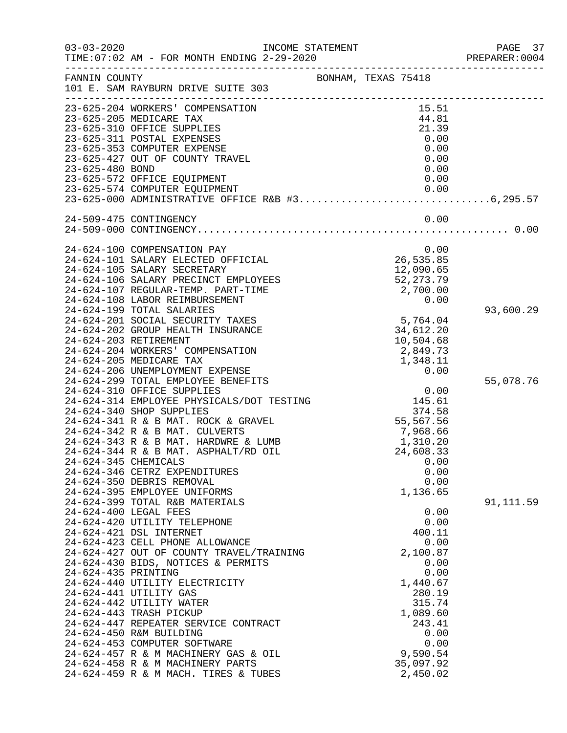| $03 - 03 - 2020$     | INCOME STATEMENT                                                                              |                     |                        | PAGE 37<br>PREPARER: 0004 |
|----------------------|-----------------------------------------------------------------------------------------------|---------------------|------------------------|---------------------------|
| FANNIN COUNTY        | 101 E. SAM RAYBURN DRIVE SUITE 303                                                            | BONHAM, TEXAS 75418 |                        |                           |
|                      |                                                                                               |                     |                        |                           |
|                      | 23-625-204 WORKERS' COMPENSATION                                                              |                     | 15.51                  |                           |
|                      | 23-625-205 MEDICARE TAX                                                                       |                     | 44.81                  |                           |
|                      | 23-625-310 OFFICE SUPPLIES                                                                    |                     | 21.39                  |                           |
|                      | 23-625-311 POSTAL EXPENSES                                                                    |                     | 0.00                   |                           |
|                      | 23-625-353 COMPUTER EXPENSE                                                                   |                     | 0.00                   |                           |
|                      | 23-625-427 OUT OF COUNTY TRAVEL                                                               |                     | 0.00                   |                           |
| 23-625-480 BOND      |                                                                                               |                     | 0.00                   |                           |
|                      | 23-625-572 OFFICE EQUIPMENT                                                                   |                     | 0.00                   |                           |
|                      | 23-625-574 COMPUTER EQUIPMENT<br>23-625-57<br>23-625-000 ADMINISTRATIVE OFFICE R&B #36,295.57 |                     | 0.00                   |                           |
|                      |                                                                                               |                     |                        |                           |
|                      | 24-509-475 CONTINGENCY                                                                        |                     | 0.00                   |                           |
|                      |                                                                                               |                     |                        |                           |
|                      |                                                                                               |                     |                        |                           |
|                      | 24-624-100 COMPENSATION PAY                                                                   |                     | 0.00                   |                           |
|                      | 24-624-101 SALARY ELECTED OFFICIAL<br>24-624-105 SALARY SECRETARY                             |                     | 26,535.85<br>12,090.65 |                           |
|                      | 24-624-106 SALARY PRECINCT EMPLOYEES                                                          |                     | 52, 273.79             |                           |
|                      | 24-624-107 REGULAR-TEMP. PART-TIME                                                            |                     | 2,700.00               |                           |
|                      | 24-624-108 LABOR REIMBURSEMENT                                                                |                     | 0.00                   |                           |
|                      | 24-624-199 TOTAL SALARIES                                                                     |                     |                        | 93,600.29                 |
|                      | 24-624-201 SOCIAL SECURITY TAXES                                                              |                     | 5,764.04               |                           |
|                      | 24-624-202 GROUP HEALTH INSURANCE                                                             |                     | 34,612.20              |                           |
|                      | 24-624-203 RETIREMENT                                                                         |                     | 10,504.68              |                           |
|                      | 24-624-204 WORKERS' COMPENSATION                                                              |                     | 2,849.73               |                           |
|                      | 24-624-205 MEDICARE TAX                                                                       |                     | 1,348.11               |                           |
|                      | 24-624-206 UNEMPLOYMENT EXPENSE                                                               |                     | 0.00                   |                           |
|                      | 24-624-299 TOTAL EMPLOYEE BENEFITS                                                            |                     |                        | 55,078.76                 |
|                      | 24-624-310 OFFICE SUPPLIES                                                                    |                     | 0.00                   |                           |
|                      | 24-624-314 EMPLOYEE PHYSICALS/DOT TESTING<br>24-624-340 SHOP SUPPLIES                         |                     | 145.61<br>374.58       |                           |
|                      | 24-624-341 R & B MAT. ROCK & GRAVEL                                                           |                     | 55,567.56              |                           |
|                      | 24-624-342 R & B MAT. CULVERTS                                                                |                     | 7,968.66               |                           |
|                      | 24-624-343 R & B MAT. HARDWRE & LUMB                                                          |                     | 1,310.20               |                           |
|                      | 24-624-344 R & B MAT. ASPHALT/RD OIL                                                          |                     | 24,608.33              |                           |
| 24-624-345 CHEMICALS |                                                                                               |                     | 0.00                   |                           |
|                      | 24-624-346 CETRZ EXPENDITURES                                                                 |                     | 0.00                   |                           |
|                      | 24-624-350 DEBRIS REMOVAL                                                                     |                     | 0.00                   |                           |
|                      | 24-624-395 EMPLOYEE UNIFORMS                                                                  |                     | 1,136.65               |                           |
|                      | 24-624-399 TOTAL R&B MATERIALS                                                                |                     |                        | 91, 111.59                |
|                      | 24-624-400 LEGAL FEES                                                                         |                     | 0.00                   |                           |
|                      | 24-624-420 UTILITY TELEPHONE                                                                  |                     | 0.00<br>400.11         |                           |
|                      | 24-624-421 DSL INTERNET<br>24-624-423 CELL PHONE ALLOWANCE                                    |                     | 0.00                   |                           |
|                      | 24-624-427 OUT OF COUNTY TRAVEL/TRAINING                                                      |                     | 2,100.87               |                           |
|                      | 24-624-430 BIDS, NOTICES & PERMITS                                                            |                     | 0.00                   |                           |
| 24-624-435 PRINTING  |                                                                                               |                     | 0.00                   |                           |
|                      | 24-624-440 UTILITY ELECTRICITY                                                                |                     | 1,440.67               |                           |
|                      | 24-624-441 UTILITY GAS                                                                        |                     | 280.19                 |                           |
|                      | 24-624-442 UTILITY WATER                                                                      |                     | 315.74                 |                           |
|                      | 24-624-443 TRASH PICKUP                                                                       |                     | 1,089.60               |                           |
|                      | 24-624-447 REPEATER SERVICE CONTRACT                                                          |                     | 243.41                 |                           |
|                      | 24-624-450 R&M BUILDING                                                                       |                     | 0.00                   |                           |
|                      | 24-624-453 COMPUTER SOFTWARE                                                                  |                     | 0.00                   |                           |
|                      | 24-624-457 R & M MACHINERY GAS & OIL                                                          |                     | 9,590.54               |                           |
|                      | 24-624-458 R & M MACHINERY PARTS<br>24-624-459 R & M MACH. TIRES & TUBES                      |                     | 35,097.92<br>2,450.02  |                           |
|                      |                                                                                               |                     |                        |                           |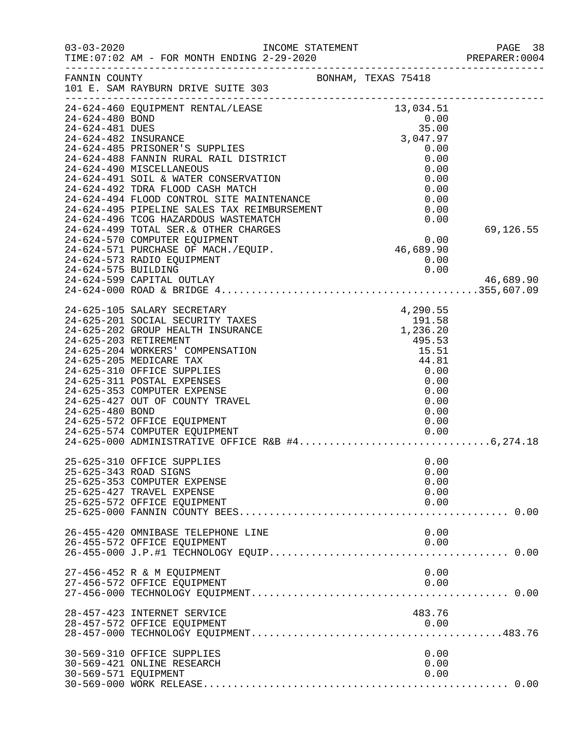| $03 - 03 - 2020$      | INCOME STATEMENT                                                                    |  |                     | PAGE 38<br>PREPARER:0004 |
|-----------------------|-------------------------------------------------------------------------------------|--|---------------------|--------------------------|
| FANNIN COUNTY         | 101 E. SAM RAYBURN DRIVE SUITE 303                                                  |  | BONHAM, TEXAS 75418 |                          |
| 24-624-480 BOND       | 24-624-460 EQUIPMENT RENTAL/LEASE                                                   |  | 13,034.51<br>0.00   |                          |
| 24-624-481 DUES       |                                                                                     |  | 35.00               |                          |
| 24-624-482 INSURANCE  | 24-624-485 PRISONER'S SUPPLIES                                                      |  | 3,047.97<br>0.00    |                          |
|                       | 24-624-488 FANNIN RURAL RAIL DISTRICT                                               |  | 0.00                |                          |
|                       | 24-624-490 MISCELLANEOUS                                                            |  | 0.00                |                          |
|                       | 24-624-491 SOIL & WATER CONSERVATION                                                |  | 0.00                |                          |
|                       | 24-624-492 TDRA FLOOD CASH MATCH                                                    |  | 0.00                |                          |
|                       | 24-624-494 FLOOD CONTROL SITE MAINTENANCE                                           |  | 0.00                |                          |
|                       | 24-624-495 PIPELINE SALES TAX REIMBURSEMENT<br>24-624-496 TCOG HAZARDOUS WASTEMATCH |  | 0.00<br>0.00        |                          |
|                       | 24-624-499 TOTAL SER. & OTHER CHARGES                                               |  |                     | 69,126.55                |
|                       | 24-624-570 COMPUTER EQUIPMENT                                                       |  | 0.00                |                          |
|                       | 24-624-571 PURCHASE OF MACH./EQUIP.                                                 |  | 46,689.90           |                          |
|                       | 24-624-573 RADIO EQUIPMENT                                                          |  | 0.00                |                          |
| 24-624-575 BUILDING   |                                                                                     |  | 0.00                |                          |
|                       | 24-624-599 CAPITAL OUTLAY                                                           |  |                     | 46,689.90                |
|                       |                                                                                     |  |                     |                          |
|                       | 24-625-105 SALARY SECRETARY                                                         |  | 4,290.55            |                          |
|                       | 24-625-201 SOCIAL SECURITY TAXES                                                    |  | 191.58<br>1,236.20  |                          |
|                       | 24-625-202 GROUP HEALTH INSURANCE                                                   |  |                     |                          |
|                       | 24-625-203 RETIREMENT                                                               |  | 495.53              |                          |
|                       | 24-625-204 WORKERS' COMPENSATION<br>24-625-205 MEDICARE TAX                         |  | 15.51<br>44.81      |                          |
|                       | 24-625-310 OFFICE SUPPLIES                                                          |  | 0.00                |                          |
|                       | 24-625-311 POSTAL EXPENSES                                                          |  | 0.00                |                          |
|                       | 24-625-353 COMPUTER EXPENSE                                                         |  | 0.00                |                          |
|                       | 24-625-427 OUT OF COUNTY TRAVEL                                                     |  | 0.00                |                          |
| 24-625-480 BOND       |                                                                                     |  | 0.00                |                          |
|                       | 24-625-572 OFFICE EQUIPMENT                                                         |  | 0.00                |                          |
|                       | 24-625-574 COMPUTER EQUIPMENT                                                       |  | 0.00                |                          |
|                       |                                                                                     |  |                     |                          |
|                       | 25-625-310 OFFICE SUPPLIES                                                          |  | 0.00                |                          |
| 25-625-343 ROAD SIGNS |                                                                                     |  | 0.00                |                          |
|                       | 25-625-353 COMPUTER EXPENSE                                                         |  | 0.00                |                          |
|                       | 25-625-427 TRAVEL EXPENSE<br>25-625-572 OFFICE EQUIPMENT                            |  | 0.00<br>0.00        |                          |
|                       |                                                                                     |  |                     |                          |
|                       |                                                                                     |  |                     |                          |
|                       | 26-455-420 OMNIBASE TELEPHONE LINE                                                  |  | 0.00                |                          |
|                       | 26-455-572 OFFICE EQUIPMENT                                                         |  | 0.00                |                          |
|                       |                                                                                     |  |                     |                          |
|                       | 27-456-452 R & M EQUIPMENT                                                          |  | 0.00                |                          |
|                       | 27-456-572 OFFICE EQUIPMENT                                                         |  | 0.00                |                          |
|                       |                                                                                     |  |                     |                          |
|                       | 28-457-423 INTERNET SERVICE                                                         |  | 483.76              |                          |
|                       | 28-457-572 OFFICE EQUIPMENT                                                         |  | 0.00                |                          |
|                       |                                                                                     |  |                     |                          |
|                       |                                                                                     |  |                     |                          |
|                       | 30-569-310 OFFICE SUPPLIES                                                          |  | 0.00                |                          |
|                       | 30-569-421 ONLINE RESEARCH                                                          |  | 0.00                |                          |
| 30-569-571 EQUIPMENT  |                                                                                     |  | 0.00                |                          |
|                       |                                                                                     |  |                     |                          |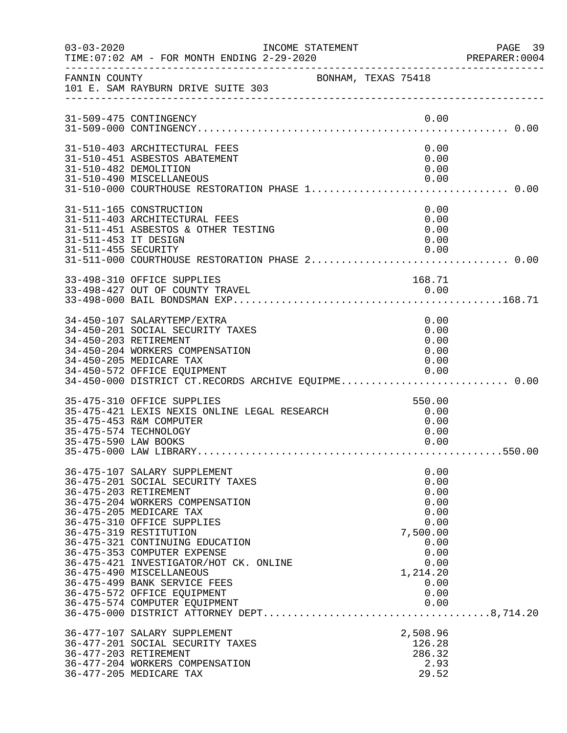| $03 - 03 - 2020$     | INCOME STATEMENT<br>TIME: 07:02 AM - FOR MONTH ENDING 2-29-2020                                                                                                                                                                                                                                                                                                                                                                                         |                     |                                                       | PAGE 39<br>PREPARER: 0004                                                                    |
|----------------------|---------------------------------------------------------------------------------------------------------------------------------------------------------------------------------------------------------------------------------------------------------------------------------------------------------------------------------------------------------------------------------------------------------------------------------------------------------|---------------------|-------------------------------------------------------|----------------------------------------------------------------------------------------------|
| FANNIN COUNTY        | 101 E. SAM RAYBURN DRIVE SUITE 303                                                                                                                                                                                                                                                                                                                                                                                                                      | BONHAM, TEXAS 75418 |                                                       |                                                                                              |
|                      | 31-509-475 CONTINGENCY                                                                                                                                                                                                                                                                                                                                                                                                                                  |                     |                                                       | 0.00                                                                                         |
|                      | 31-510-403 ARCHITECTURAL FEES<br>31-510-451 ASBESTOS ABATEMENT<br>31-510-482 DEMOLITION<br>31-510-490 MISCELLANEOUS<br>31-510-000 COURTHOUSE RESTORATION PHASE 1 0.00                                                                                                                                                                                                                                                                                   |                     |                                                       | 0.00<br>0.00<br>0.00<br>0.00                                                                 |
| 31-511-453 IT DESIGN | 31-511-165 CONSTRUCTION<br>31-511-403 ARCHITECTURAL FEES<br>31-511-451 ASBESTOS & OTHER TESTING                                                                                                                                                                                                                                                                                                                                                         |                     |                                                       | 0.00<br>0.00<br>0.00<br>0.00                                                                 |
|                      | 33-498-310 OFFICE SUPPLIES<br>33-498-427 OUT OF COUNTY TRAVEL                                                                                                                                                                                                                                                                                                                                                                                           |                     | 168.71<br>$\begin{array}{c} 0.00 \\ 0.00 \end{array}$ |                                                                                              |
|                      | 34-450-107 SALARYTEMP/EXTRA<br>34-450-201 SOCIAL SECURITY TAXES<br>34-450-203 RETIREMENT<br>34-450-204 WORKERS COMPENSATION<br>34-450-205 MEDICARE TAX<br>34-450-572 OFFICE EQUIPMENT<br>34-450-000 DISTRICT CT.RECORDS ARCHIVE EQUIPME 0.00                                                                                                                                                                                                            |                     | 0.00                                                  | 0.00<br>0.00<br>0.00<br>0.00<br>0.00                                                         |
| 35-475-590 LAW BOOKS | 35-475-310 OFFICE SUPPLIES<br>35-475-421 LEXIS NEXIS ONLINE LEGAL RESEARCH<br>35-475-453 R&M COMPUTER<br>35-475-574 TECHNOLOGY                                                                                                                                                                                                                                                                                                                          |                     | 550.00<br>0.00                                        | 0.00<br>0.00<br>0.00                                                                         |
|                      | 36-475-107 SALARY SUPPLEMENT<br>36-475-201 SOCIAL SECURITY TAXES<br>36-475-203 RETIREMENT<br>36-475-204 WORKERS COMPENSATION<br>36-475-205 MEDICARE TAX<br>36-475-310 OFFICE SUPPLIES<br>36-475-319 RESTITUTION<br>36-475-321 CONTINUING EDUCATION<br>36-475-353 COMPUTER EXPENSE<br>36-475-421 INVESTIGATOR/HOT CK. ONLINE<br>36-475-490 MISCELLANEOUS<br>36-475-499 BANK SERVICE FEES<br>36-475-572 OFFICE EQUIPMENT<br>36-475-574 COMPUTER EQUIPMENT |                     | 7,500.00<br>1,214.20                                  | 0.00<br>0.00<br>0.00<br>0.00<br>0.00<br>0.00<br>0.00<br>0.00<br>0.00<br>0.00<br>0.00<br>0.00 |
|                      | 36-477-107 SALARY SUPPLEMENT<br>36-477-201 SOCIAL SECURITY TAXES<br>36-477-203 RETIREMENT<br>36-477-204 WORKERS COMPENSATION<br>36-477-205 MEDICARE TAX                                                                                                                                                                                                                                                                                                 |                     | 2,508.96<br>126.28<br>286.32                          | 2.93<br>29.52                                                                                |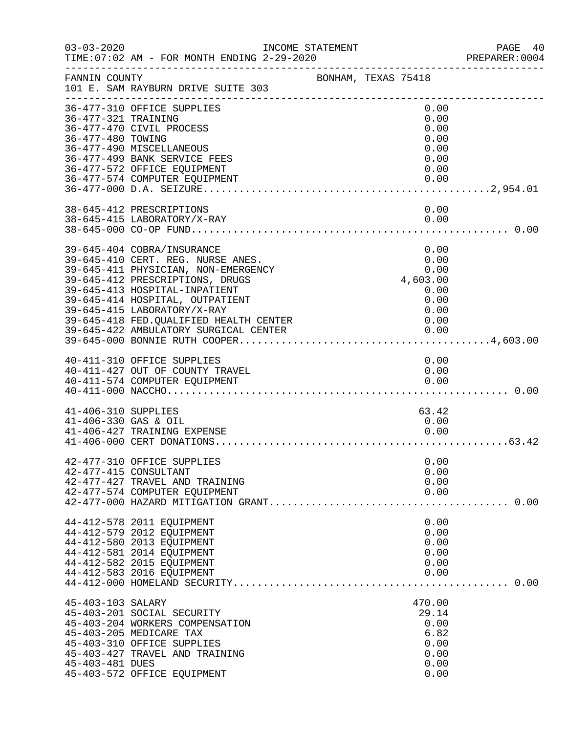| $03 - 03 - 2020$                            | INCOME STATEMENT<br>TIME: 07:02 AM - FOR MONTH ENDING 2-29-2020                                                                                                                                                                                                                                                                  |                     |  |                                                                          | PAGE 40<br>PREPARER:0004 |
|---------------------------------------------|----------------------------------------------------------------------------------------------------------------------------------------------------------------------------------------------------------------------------------------------------------------------------------------------------------------------------------|---------------------|--|--------------------------------------------------------------------------|--------------------------|
| FANNIN COUNTY                               | 101 E. SAM RAYBURN DRIVE SUITE 303                                                                                                                                                                                                                                                                                               | BONHAM, TEXAS 75418 |  |                                                                          |                          |
| 36-477-321 TRAINING<br>36-477-480 TOWING    | 36-477-310 OFFICE SUPPLIES<br>36-477-470 CIVIL PROCESS<br>36-477-490 MISCELLANEOUS<br>36-477-499 BANK SERVICE FEES<br>36-477-572 OFFICE EQUIPMENT                                                                                                                                                                                |                     |  | 0.00<br>0.00<br>0.00<br>0.00<br>0.00<br>0.00<br>0.00                     |                          |
|                                             | 36-477-574 COMPUTER EQUIPMENT<br>38-645-412 PRESCRIPTIONS                                                                                                                                                                                                                                                                        |                     |  | 0.00<br>0.00                                                             |                          |
|                                             | 38-645-415 LABORATORY/X-RAY                                                                                                                                                                                                                                                                                                      |                     |  | 0.00                                                                     |                          |
|                                             | 39-645-404 COBRA/INSURANCE<br>39-645-410 CERT. REG. NURSE ANES.<br>39-645-411 PHYSICIAN, NON-EMERGENCY<br>39-645-412 PRESCRIPTIONS, DRUGS<br>39-645-413 HOSPITAL-INPATIENT<br>39-645-414 HOSPITAL, OUTPATIENT<br>39-645-415 LABORATORY/X-RAY<br>39-645-418 FED. QUALIFIED HEALTH CENTER<br>39-645-422 AMBULATORY SURGICAL CENTER |                     |  | 0.00<br>0.00<br>0.00<br>4,603.00<br>0.00<br>0.00<br>0.00<br>0.00<br>0.00 |                          |
|                                             | 40-411-310 OFFICE SUPPLIES<br>40-411-427 OUT OF COUNTY TRAVEL<br>40-411-574 COMPUTER EQUIPMENT                                                                                                                                                                                                                                   |                     |  | 0.00<br>0.00<br>0.00                                                     |                          |
| 41-406-310 SUPPLIES<br>41-406-330 GAS & OIL | 41-406-427 TRAINING EXPENSE                                                                                                                                                                                                                                                                                                      |                     |  | 63.42<br>0.00<br>0.00                                                    |                          |
|                                             | 42-477-310 OFFICE SUPPLIES<br>42-477-415 CONSULTANT<br>42-477-427 TRAVEL AND TRAINING<br>42-477-574 COMPUTER EQUIPMENT                                                                                                                                                                                                           |                     |  | 0.00<br>0.00<br>0.00<br>0.00                                             |                          |
|                                             | 44-412-578 2011 EQUIPMENT<br>44-412-579 2012 EQUIPMENT<br>44-412-580 2013 EQUIPMENT<br>44-412-581 2014 EQUIPMENT<br>44-412-582 2015 EQUIPMENT<br>44-412-583 2016 EQUIPMENT                                                                                                                                                       |                     |  | 0.00<br>0.00<br>0.00<br>0.00<br>0.00<br>0.00                             |                          |
| 45-403-103 SALARY<br>45-403-481 DUES        | 45-403-201 SOCIAL SECURITY<br>45-403-204 WORKERS COMPENSATION<br>45-403-205 MEDICARE TAX<br>45-403-310 OFFICE SUPPLIES<br>45-403-427 TRAVEL AND TRAINING<br>45-403-572 OFFICE EQUIPMENT                                                                                                                                          |                     |  | 470.00<br>29.14<br>0.00<br>6.82<br>0.00<br>0.00<br>0.00<br>0.00          |                          |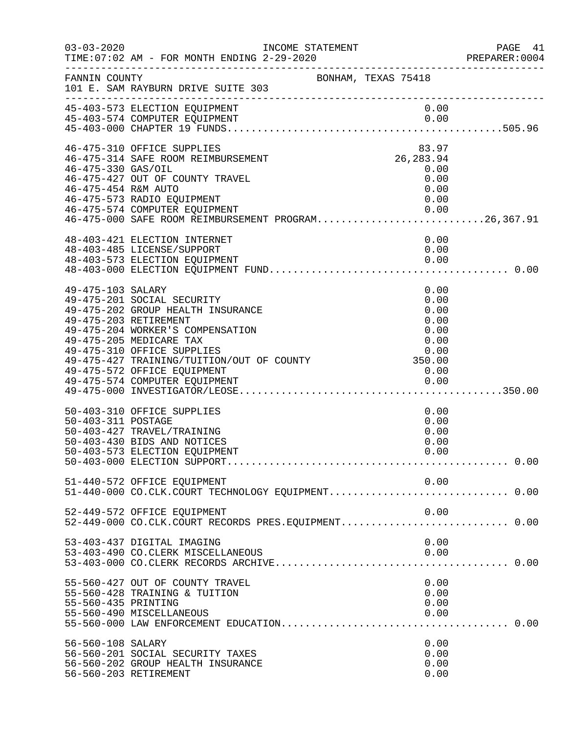| $03 - 03 - 2020$                          | INCOME STATEMENT<br>TIME: 07:02 AM - FOR MONTH ENDING 2-29-2020                                                                                                                                                                                                                                                                     |                                                              | PAGE 41<br>PREPARER:0004 |
|-------------------------------------------|-------------------------------------------------------------------------------------------------------------------------------------------------------------------------------------------------------------------------------------------------------------------------------------------------------------------------------------|--------------------------------------------------------------|--------------------------|
| FANNIN COUNTY                             | 101 E. SAM RAYBURN DRIVE SUITE 303<br>_____________________________                                                                                                                                                                                                                                                                 | BONHAM, TEXAS 75418                                          |                          |
|                                           | 45-403-573 ELECTION EQUIPMENT<br>45-403-574 COMPUTER EQUIPMENT                                                                                                                                                                                                                                                                      | 0.00<br>0.00                                                 |                          |
| 46-475-330 GAS/OIL<br>46-475-454 R&M AUTO | 46-475-310 OFFICE SUPPLIES<br>46-475-314 SAFE ROOM REIMBURSEMENT<br>46-475-427 OUT OF COUNTY TRAVEL<br>46-475-573 RADIO EQUIPMENT<br>46-475-574 COMPUTER EQUIPMENT<br>46-475-574 COMPUTER EQUIPMENT<br>46-475-000 SAFE ROOM REIMBURSEMENT PROGRAM26,367.91                                                                          | 83.97<br>26, 283.94<br>0.00<br>0.00<br>0.00<br>0.00<br>0.00  |                          |
|                                           | 48-403-421 ELECTION INTERNET<br>48-403-485 LICENSE/SUPPORT                                                                                                                                                                                                                                                                          | 0.00<br>0.00                                                 |                          |
| 49-475-103 SALARY                         | 49-475-201 SOCIAL SECURITY<br>49-475-202 GROUP HEALTH INSURANCE<br>49-475-203 RETIREMENT<br>49-475-204 WORKER'S COMPENSATION<br>49-475-205 MEDICARE TAX<br>49-475-310 OFFICE SUPPLIES<br>0.00 degree Supplies<br>49-475-427 TRAINING/TUITION/OUT OF COUNTY 49-475-427 TRAINING/TUITION/OUT OF COUNTY<br>49-475-572 OFFICE EQUIPMENT | 0.00<br>0.00<br>0.00<br>0.00<br>0.00<br>0.00<br>0.00<br>0.00 |                          |
| 50-403-311 POSTAGE                        | 50-403-310 OFFICE SUPPLIES<br>50-403-427 TRAVEL/TRAINING<br>50-403-430 BIDS AND NOTICES<br>50-403-573 ELECTION EQUIPMENT                                                                                                                                                                                                            | 0.00<br>0.00<br>0.00<br>0.00<br>0.00                         |                          |
|                                           | 51-440-572 OFFICE EQUIPMENT                                                                                                                                                                                                                                                                                                         | 0.00                                                         |                          |
|                                           | 52-449-572 OFFICE EQUIPMENT<br>52-449-000 CO.CLK.COURT RECORDS PRES.EQUIPMENT 0.00                                                                                                                                                                                                                                                  | 0.00                                                         |                          |
|                                           | 53-403-437 DIGITAL IMAGING<br>53-403-490 CO. CLERK MISCELLANEOUS                                                                                                                                                                                                                                                                    | 0.00<br>0.00                                                 |                          |
| 55-560-435 PRINTING                       | 55-560-427 OUT OF COUNTY TRAVEL<br>55-560-428 TRAINING & TUITION<br>55-560-490 MISCELLANEOUS                                                                                                                                                                                                                                        | 0.00<br>0.00<br>0.00<br>0.00                                 |                          |
| 56-560-108 SALARY                         | 56-560-201 SOCIAL SECURITY TAXES<br>56-560-202 GROUP HEALTH INSURANCE<br>56-560-203 RETIREMENT                                                                                                                                                                                                                                      | 0.00<br>0.00<br>0.00<br>0.00                                 |                          |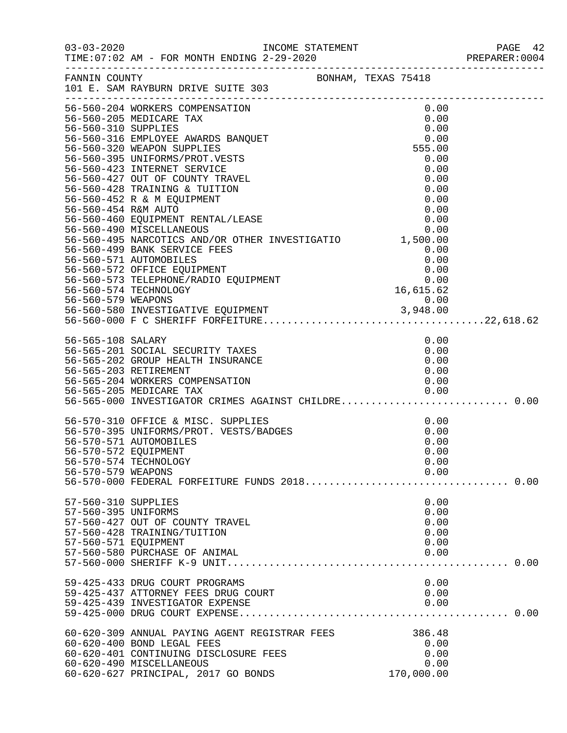|                                                                    |                                                                                                                                                                                                                         |                                                             | PAGE 42<br>PREPARER:0004 |
|--------------------------------------------------------------------|-------------------------------------------------------------------------------------------------------------------------------------------------------------------------------------------------------------------------|-------------------------------------------------------------|--------------------------|
|                                                                    | FANNIN COUNTY<br>101 E. SAM RAYBURN DRIVE SUITE 303                                                                                                                                                                     |                                                             |                          |
|                                                                    | 56-560-204 WORKERS COMPENSATION                                                                                                                                                                                         | 0.00<br>0.00<br>0.00<br>0.00<br>555.00                      |                          |
|                                                                    | 56-560-427 OUT OF COUNTY TRAVEL<br>56-560-428 TRAINING & TUITION                                                                                                                                                        | 0.00<br>0.00<br>0.00<br>0.00                                |                          |
| 56-560-454 R&M AUTO                                                | 56-560-452 R & M EQUIPMENT<br>56-560-454 K&M AUIO<br>56-560-460 EQUIPMENT RENTAL/LEASE<br>56-560-490 MISCELLANEOUS<br>56-560-495 NARCOTICS AND/OR OTHER INVESTIGATIO 1,500.00                                           | 0.00<br>0.00<br>0.00<br>0.00                                |                          |
|                                                                    | 56-560-499 BANK SERVICE FEES<br>56-560-571 AUTOMOBILES<br>56-560-572 OFFICE EQUIPMENT<br>56-560-573 CFFICE EQUIPMENT<br>56-560-573 TELEPHONE/RADIO EQUIPMENT                                                            | 0.00<br>$0.00$<br>$0.00$<br>$0.00$<br>$16,615.62$<br>$0.00$ |                          |
|                                                                    | 56-560-574 TECHNOLOGY                                                                                                                                                                                                   |                                                             |                          |
| 56-565-108 SALARY                                                  | 56-565-201 SOCIAL SECURITY TAXES<br>56-565-202 GROUP HEALTH INSURANCE<br>56-565-203 RETIREMENT<br>56-565-204 WORKERS COMPENSATION<br>56-565-205 MEDICARE TAX 0.00<br>56-565-000 INVESTIGATOR CRIMES AGAINST CHILDRE0.00 | 0.00<br>0.00<br>0.00<br>0.00<br>0.00                        |                          |
| 56-570-572 EQUIPMENT<br>56-570-579 WEAPONS                         | 56-570-310 OFFICE & MISC. SUPPLIES<br>56-570-395 UNIFORMS/PROT. VESTS/BADGES<br>56-570-571 AUTOMOBILES<br>56-570-574 TECHNOLOGY<br>56-570-000 FEDERAL FORFEITURE FUNDS 2018 0.00                                        | 0.00<br>0.00<br>0.00<br>0.00<br>0.00<br>0.00                |                          |
| 57-560-310 SUPPLIES<br>57-560-395 UNIFORMS<br>57-560-571 EQUIPMENT | 57-560-427 OUT OF COUNTY TRAVEL<br>57-560-428 TRAINING/TUITION<br>57-560-580 PURCHASE OF ANIMAL                                                                                                                         | 0.00<br>0.00<br>0.00<br>0.00<br>0.00<br>0.00                |                          |
|                                                                    | 59-425-433 DRUG COURT PROGRAMS<br>59-425-437 ATTORNEY FEES DRUG COURT<br>59-425-439 INVESTIGATOR EXPENSE                                                                                                                | 0.00<br>0.00<br>0.00                                        |                          |
|                                                                    | 60-620-309 ANNUAL PAYING AGENT REGISTRAR FEES<br>60-620-400 BOND LEGAL FEES<br>60-620-401 CONTINUING DISCLOSURE FEES<br>60-620-490 MISCELLANEOUS<br>60-620-627 PRINCIPAL, 2017 GO BONDS                                 | 386.48<br>0.00<br>0.00<br>0.00<br>170,000.00                |                          |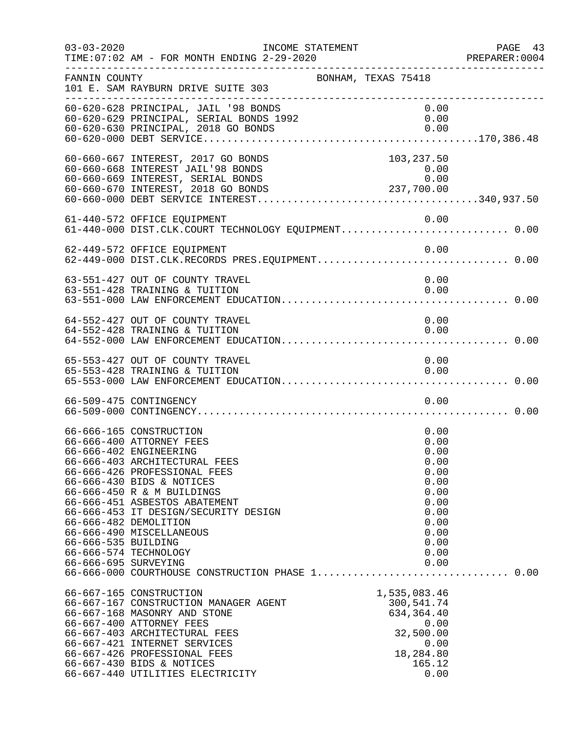| $03 - 03 - 2020$                            | TIME: 07:02 AM - FOR MONTH ENDING 2-29-2020                                                                                                                                                                                                                                                                                                                      | INCOME STATEMENT<br>--------------------------------------                                                   | PAGE 43<br>PREPARER: 0004 |
|---------------------------------------------|------------------------------------------------------------------------------------------------------------------------------------------------------------------------------------------------------------------------------------------------------------------------------------------------------------------------------------------------------------------|--------------------------------------------------------------------------------------------------------------|---------------------------|
| FANNIN COUNTY                               | 101 E. SAM RAYBURN DRIVE SUITE 303<br>_____________________________                                                                                                                                                                                                                                                                                              | BONHAM, TEXAS 75418                                                                                          |                           |
|                                             | 60-620-628 PRINCIPAL, JAIL '98 BONDS                                                                                                                                                                                                                                                                                                                             | 0.00                                                                                                         |                           |
|                                             | 60-660-667 INTEREST, 2017 GO BONDS<br>60-660-668 INTEREST JAIL'98 BONDS<br>60-660-669 INTEREST, SERIAL BONDS                                                                                                                                                                                                                                                     | 103,237.50<br>$\begin{smallmatrix} & & 0 & 0 & 0\ 0 & & 0 & 0 & 0\ 237 & 700 & 00 & 0\ \end{smallmatrix}$    |                           |
|                                             | 61-440-572 OFFICE EQUIPMENT<br>61-440-000 DIST.CLK.COURT TECHNOLOGY EQUIPMENT 0.00                                                                                                                                                                                                                                                                               | 0.00                                                                                                         |                           |
|                                             | 62-449-572 OFFICE EQUIPMENT                                                                                                                                                                                                                                                                                                                                      | 0.00                                                                                                         |                           |
|                                             | 63-551-427 OUT OF COUNTY TRAVEL<br>63-551-428 TRAINING & TUITION                                                                                                                                                                                                                                                                                                 | 0.00<br>0.00                                                                                                 |                           |
|                                             | 64-552-427 OUT OF COUNTY TRAVEL<br>64-552-428 TRAINING & TUITION                                                                                                                                                                                                                                                                                                 | 0.00<br>0.00                                                                                                 |                           |
|                                             | 65-553-427 OUT OF COUNTY TRAVEL<br>65-553-428 TRAINING & TUITION                                                                                                                                                                                                                                                                                                 | 0.00<br>0.00                                                                                                 |                           |
|                                             | 66-509-475 CONTINGENCY                                                                                                                                                                                                                                                                                                                                           | 0.00                                                                                                         |                           |
| 66-666-535 BUILDING<br>66-666-695 SURVEYING | 66-666-165 CONSTRUCTION<br>66-666-400 ATTORNEY FEES<br>66-666-402 ENGINEERING<br>66-666-403 ARCHITECTURAL FEES<br>66-666-426 PROFESSIONAL FEES<br>66-666-430 BIDS & NOTICES<br>66-666-450 R & M BUILDINGS<br>66-666-451 ASBESTOS ABATEMENT<br>66-666-453 IT DESIGN/SECURITY DESIGN<br>66-666-482 DEMOLITION<br>66-666-490 MISCELLANEOUS<br>66-666-574 TECHNOLOGY | 0.00<br>0.00<br>0.00<br>0.00<br>0.00<br>0.00<br>0.00<br>0.00<br>0.00<br>0.00<br>0.00<br>0.00<br>0.00<br>0.00 |                           |
|                                             | 66-666-000 COURTHOUSE CONSTRUCTION PHASE 1 0.00<br>66-667-165 CONSTRUCTION<br>66-667-167 CONSTRUCTION MANAGER AGENT<br>66-667-168 MASONRY AND STONE<br>66-667-400 ATTORNEY FEES<br>66-667-403 ARCHITECTURAL FEES<br>66-667-421 INTERNET SERVICES<br>66-667-426 PROFESSIONAL FEES<br>66-667-430 BIDS & NOTICES<br>66-667-440 UTILITIES ELECTRICITY                | 1,535,083.46<br>300,541.74<br>634, 364.40<br>0.00<br>32,500.00<br>0.00<br>18,284.80<br>165.12<br>0.00        |                           |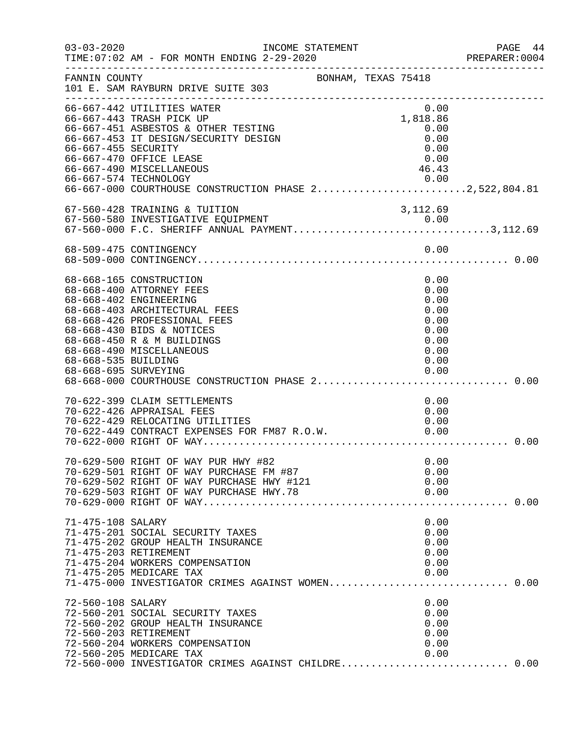| $03 - 03 - 2020$                           | TIME: 07:02 AM - FOR MONTH ENDING 2-29-2020<br>________________________________                                                                                                                                                       | INCOME STATEMENT    |                                                                      | PAGE<br>- 44<br>PREPARER: 0004 |
|--------------------------------------------|---------------------------------------------------------------------------------------------------------------------------------------------------------------------------------------------------------------------------------------|---------------------|----------------------------------------------------------------------|--------------------------------|
| FANNIN COUNTY                              | 101 E. SAM RAYBURN DRIVE SUITE 303                                                                                                                                                                                                    | BONHAM, TEXAS 75418 |                                                                      |                                |
| 66-667-455 SECURITY                        | 66-667-442 UTILITIES WATER<br>66-667-443 TRASH PICK UP<br>66-667-451 ASBESTOS & OTHER TESTING<br>66-667-453 IT DESIGN/SECURITY DESIGN<br>66-667-470 OFFICE LEASE<br>66-667-490 MISCELLANEOUS                                          |                     | 0.00<br>1,818.86<br>0.00<br>0.00<br>0.00<br>0.00<br>46.43            |                                |
|                                            | 67-560-428 TRAINING & TUITION                                                                                                                                                                                                         |                     | 3,112.69                                                             |                                |
|                                            |                                                                                                                                                                                                                                       |                     |                                                                      |                                |
| 68-668-535 BUILDING                        | 68-668-165 CONSTRUCTION<br>68-668-400 ATTORNEY FEES<br>68-668-402 ENGINEERING<br>68-668-403 ARCHITECTURAL FEES<br>68-668-426 PROFESSIONAL FEES<br>68-668-430 BIDS & NOTICES<br>68-668-450 R & M BUILDINGS<br>68-668-490 MISCELLANEOUS |                     | 0.00<br>0.00<br>0.00<br>0.00<br>0.00<br>0.00<br>0.00<br>0.00<br>0.00 |                                |
|                                            | 70-622-399 CLAIM SETTLEMENTS<br>70-622-426 APPRAISAL FEES<br>70-622-429 RELOCATING UTILITIES<br>70-622-449 CONTRACT EXPENSES FOR FM87 R.O.W.                                                                                          |                     | 0.00<br>0.00<br>0.00<br>0.00                                         | 0.00                           |
|                                            | 70-629-500 RIGHT OF WAY PUR HWY #82<br>70-629-501 RIGHT OF WAY PURCHASE FM #87<br>70-629-502 RIGHT OF WAY PURCHASE HWY #121                                                                                                           |                     | 0.00<br>0.00<br>0.00                                                 |                                |
| 71-475-108 SALARY<br>71-475-203 RETIREMENT | 71-475-201 SOCIAL SECURITY TAXES<br>71-475-202 GROUP HEALTH INSURANCE<br>71-475-204 WORKERS COMPENSATION<br>71-475-205 MEDICARE TAX<br>71-475-000 INVESTIGATOR CRIMES AGAINST WOMEN 0.00                                              |                     | 0.00<br>0.00<br>0.00<br>0.00<br>0.00<br>0.00                         |                                |
| 72-560-108 SALARY<br>72-560-203 RETIREMENT | 72-560-201 SOCIAL SECURITY TAXES<br>72-560-202 GROUP HEALTH INSURANCE<br>72-560-204 WORKERS COMPENSATION<br>72-560-205 MEDICARE TAX<br>72-560-000 INVESTIGATOR CRIMES AGAINST CHILDRE 0.00                                            |                     | 0.00<br>0.00<br>0.00<br>0.00<br>0.00<br>0.00                         |                                |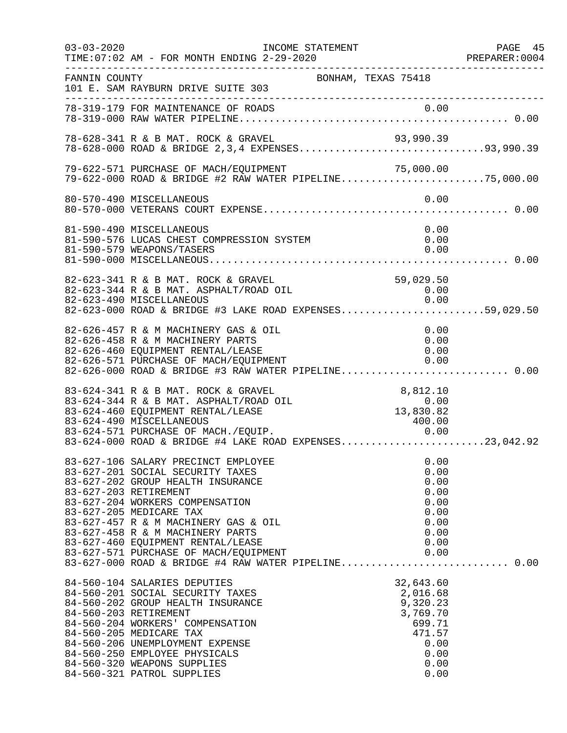| $03 - 03 - 2020$ | INCOME STATEMENT<br>TIME: 07:02 AM - FOR MONTH ENDING 2-29-2020                                                                                                                                                                                                                                                                                               |                                                                                                   | PAGE 45<br>PREPARER:0004<br>_________________ |
|------------------|---------------------------------------------------------------------------------------------------------------------------------------------------------------------------------------------------------------------------------------------------------------------------------------------------------------------------------------------------------------|---------------------------------------------------------------------------------------------------|-----------------------------------------------|
| FANNIN COUNTY    | 101 E. SAM RAYBURN DRIVE SUITE 303                                                                                                                                                                                                                                                                                                                            | BONHAM, TEXAS 75418                                                                               |                                               |
|                  |                                                                                                                                                                                                                                                                                                                                                               |                                                                                                   |                                               |
|                  | 78-628-341 R & B MAT. ROCK & GRAVEL 93,990.39<br>78-628-000 ROAD & BRIDGE 2,3,4 EXPENSES93,990.39                                                                                                                                                                                                                                                             |                                                                                                   |                                               |
|                  | 79-622-571 PURCHASE OF MACH/EQUIPMENT<br>79-622-571 PURCHASE OF MACH/EQUIPMENT 71,000.00<br>79-622-000 ROAD & BRIDGE #2 RAW WATER PIPELINE75,000.00                                                                                                                                                                                                           |                                                                                                   |                                               |
|                  | 80-570-490 MISCELLANEOUS                                                                                                                                                                                                                                                                                                                                      | 0.00                                                                                              |                                               |
|                  | 81-590-490 MISCELLANEOUS<br>81-590-576 LUCAS CHEST COMPRESSION SYSTEM<br>81-590-579 WEAPONS/TASERS                                                                                                                                                                                                                                                            | 0.00<br>0.00<br>0.00                                                                              |                                               |
|                  | 82-623-341 R & B MAT. ROCK & GRAVEL<br>82-623-344 R & B MAT. ASPHALT/ROAD OIL<br>82-623-490 MISCELLANEOUS<br>82-623-000 ROAD & BRIDGE #3 LAKE ROAD EXPENSES59,029.50                                                                                                                                                                                          | 59,029.50<br>0.00<br>0.00                                                                         |                                               |
|                  | 82-626-457 R & M MACHINERY GAS & OIL<br>82-626-458 R & M MACHINERY PARTS<br>82-626-460 EQUIPMENT RENTAL/LEASE<br>82-626-571 PURCHASE OF MACH/EQUIPMENT<br>82-626-000 ROAD & BRIDGE #3 RAW WATER PIPELINE 0.00                                                                                                                                                 | 0.00<br>0.00<br>0.00<br>0.00                                                                      |                                               |
|                  | 83-624-341 R & B MAT. ROCK & GRAVEL<br>83-624-344 R & B MAT. ASPHALT/ROAD OIL<br>83-624-460 EQUIPMENT RENTAL/LEASE<br>83-624-490 MISCELLANEOUS<br>83-624-571 PURCHASE OF MACH./EQUIP. 0.00<br>83-624-000 ROAD & BRIDGE #4 LAKE ROAD EXPENSES23,042.92                                                                                                         | 8,812.10<br>0.00<br>13,830.82<br>400.00                                                           |                                               |
|                  | 83-627-106 SALARY PRECINCT EMPLOYEE<br>83-627-201 SOCIAL SECURITY TAXES<br>83-627-202 GROUP HEALTH INSURANCE<br>83-627-203 RETIREMENT<br>83-627-204 WORKERS COMPENSATION<br>83-627-205 MEDICARE TAX<br>83-627-457 R & M MACHINERY GAS & OIL<br>83-627-458 R & M MACHINERY PARTS<br>83-627-460 EQUIPMENT RENTAL/LEASE<br>83-627-571 PURCHASE OF MACH/EQUIPMENT | 0.00<br>0.00<br>0.00<br>0.00<br>0.00<br>0.00<br>0.00<br>0.00<br>0.00<br>0.00                      |                                               |
|                  | 84-560-104 SALARIES DEPUTIES<br>84-560-201 SOCIAL SECURITY TAXES<br>84-560-202 GROUP HEALTH INSURANCE<br>84-560-203 RETIREMENT<br>84-560-204 WORKERS' COMPENSATION<br>84-560-205 MEDICARE TAX<br>84-560-206 UNEMPLOYMENT EXPENSE<br>84-560-250 EMPLOYEE PHYSICALS<br>84-560-320 WEAPONS SUPPLIES<br>84-560-321 PATROL SUPPLIES                                | 32,643.60<br>2,016.68<br>9,320.23<br>3,769.70<br>699.71<br>471.57<br>0.00<br>0.00<br>0.00<br>0.00 |                                               |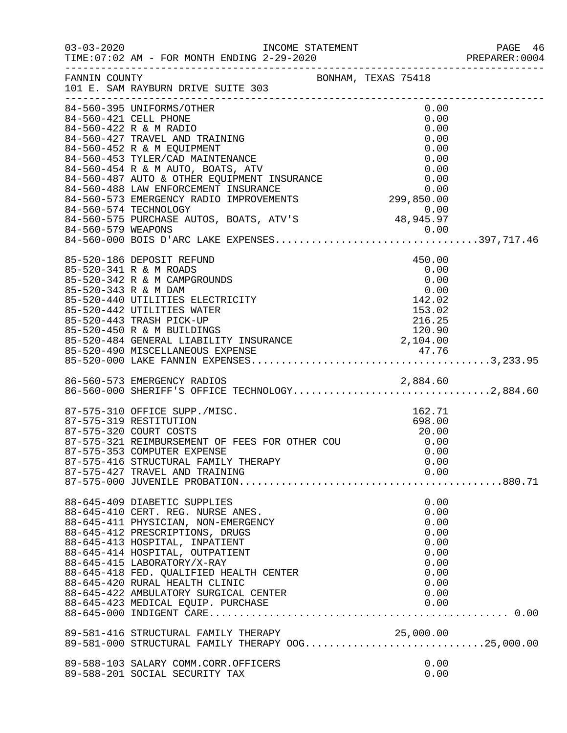|                      |                                                                                                                                                                                                                                                                                                                                                                                     |              | PREPARER: 0004 |
|----------------------|-------------------------------------------------------------------------------------------------------------------------------------------------------------------------------------------------------------------------------------------------------------------------------------------------------------------------------------------------------------------------------------|--------------|----------------|
|                      | FANNIN COUNTY<br>101 E. SAM RAYBURN DRIVE SUITE 303                                                                                                                                                                                                                                                                                                                                 |              |                |
|                      | 84-560-395 UNIFORMS/OTHER                                                                                                                                                                                                                                                                                                                                                           | 0.00         |                |
|                      | 84-560-421 CELL PHONE                                                                                                                                                                                                                                                                                                                                                               | 0.00         |                |
|                      |                                                                                                                                                                                                                                                                                                                                                                                     |              |                |
|                      |                                                                                                                                                                                                                                                                                                                                                                                     |              |                |
|                      |                                                                                                                                                                                                                                                                                                                                                                                     |              |                |
|                      | 84-560-427 TRAVEL AND TRAINING<br>84-560-427 TRAVEL AND TRAINING<br>84-560-452 R & M EQUIPMENT<br>84-560-453 TYLER/CAD MAINTENANCE<br>84-560-453 TYLER/CAD MAINTENANCE<br>84-560-483 TYLER/CAD MAINTENANCE<br>84-560-487 AUTO & OTHER EQUI                                                                                                                                          |              |                |
|                      |                                                                                                                                                                                                                                                                                                                                                                                     |              |                |
|                      |                                                                                                                                                                                                                                                                                                                                                                                     |              |                |
|                      |                                                                                                                                                                                                                                                                                                                                                                                     |              |                |
|                      |                                                                                                                                                                                                                                                                                                                                                                                     |              |                |
|                      | 0.00<br>84-560-575 PURCHASE AUTOS, BOATS, ATV'S 48,945.97<br>84-560-579 WEAPONS                                                                                                                                                                                                                                                                                                     |              |                |
|                      |                                                                                                                                                                                                                                                                                                                                                                                     |              |                |
|                      |                                                                                                                                                                                                                                                                                                                                                                                     |              |                |
|                      | 85-520-186 DEPOSIT REFUND                                                                                                                                                                                                                                                                                                                                                           | 450.00       |                |
|                      | 85-520-341 R & M ROADS                                                                                                                                                                                                                                                                                                                                                              | 0.00         |                |
|                      | 85-520-342 R & M CAMPGROUNDS                                                                                                                                                                                                                                                                                                                                                        | 0.00         |                |
| 85-520-343 R & M DAM |                                                                                                                                                                                                                                                                                                                                                                                     | 0.00         |                |
|                      |                                                                                                                                                                                                                                                                                                                                                                                     |              |                |
|                      |                                                                                                                                                                                                                                                                                                                                                                                     |              |                |
|                      |                                                                                                                                                                                                                                                                                                                                                                                     |              |                |
|                      |                                                                                                                                                                                                                                                                                                                                                                                     |              |                |
|                      |                                                                                                                                                                                                                                                                                                                                                                                     |              |                |
|                      | $\begin{array}{lllllllllllllllllllllllllllllllllll} \text{85-520-343 R &\&\text{M DAM} & & & & 0.00 \\ \text{85-520-440 UTILITIES ELECTRICITY} & & & & 142.02 \\ \text{85-520-442 UTILITIES WATER} & & & 153.02 \\ \text{85-520-443 TRASH PICK-UP} & & & 216.25 \\ \text{85-520-450 R &\&\text{M BULIDINGS} & & 120.90 \\ \text{85-520-484 GENERAL LIABILITY INSURANCE} & & & 2,10$ |              |                |
|                      | 86-560-573 EMERGENCY RADIOS<br>86-560-573 EMERGENCY RADIOS 2,884.60<br>86-560-000 SHERIFF'S OFFICE TECHNOLOGY2,884.60                                                                                                                                                                                                                                                               |              |                |
|                      |                                                                                                                                                                                                                                                                                                                                                                                     |              |                |
|                      |                                                                                                                                                                                                                                                                                                                                                                                     | 162.71       |                |
|                      |                                                                                                                                                                                                                                                                                                                                                                                     | 698.00       |                |
|                      | 87-575-310 OFFICE SUPP./MISC.<br>87-575-319 RESTITUTION<br>87-575-320 COURT COSTS<br>87-575-321 REIMBURSEMENT OF FEES FOR OTHER COU                                                                                                                                                                                                                                                 | 20.00        |                |
|                      |                                                                                                                                                                                                                                                                                                                                                                                     | 0.00         |                |
|                      | 87-575-353 COMPUTER EXPENSE                                                                                                                                                                                                                                                                                                                                                         | 0.00         |                |
|                      | 87-575-416 STRUCTURAL FAMILY THERAPY                                                                                                                                                                                                                                                                                                                                                | 0.00         |                |
|                      | 87-575-427 TRAVEL AND TRAINING                                                                                                                                                                                                                                                                                                                                                      | 0.00         |                |
|                      |                                                                                                                                                                                                                                                                                                                                                                                     |              |                |
|                      | 88-645-409 DIABETIC SUPPLIES                                                                                                                                                                                                                                                                                                                                                        | 0.00         |                |
|                      | 88-645-410 CERT. REG. NURSE ANES.                                                                                                                                                                                                                                                                                                                                                   | 0.00         |                |
|                      | 88-645-411 PHYSICIAN, NON-EMERGENCY                                                                                                                                                                                                                                                                                                                                                 | 0.00         |                |
|                      | 88-645-412 PRESCRIPTIONS, DRUGS                                                                                                                                                                                                                                                                                                                                                     | 0.00         |                |
|                      | 88-645-413 HOSPITAL, INPATIENT                                                                                                                                                                                                                                                                                                                                                      | 0.00         |                |
|                      | 88-645-414 HOSPITAL, OUTPATIENT<br>88-645-415 LABORATORY/X-RAY                                                                                                                                                                                                                                                                                                                      | 0.00<br>0.00 |                |
|                      | 88-645-418 FED. QUALIFIED HEALTH CENTER                                                                                                                                                                                                                                                                                                                                             | 0.00         |                |
|                      | 88-645-420 RURAL HEALTH CLINIC                                                                                                                                                                                                                                                                                                                                                      | 0.00         |                |
|                      | 88-645-422 AMBULATORY SURGICAL CENTER                                                                                                                                                                                                                                                                                                                                               | 0.00         |                |
|                      |                                                                                                                                                                                                                                                                                                                                                                                     |              |                |
|                      |                                                                                                                                                                                                                                                                                                                                                                                     |              |                |
|                      | 89-581-416 STRUCTURAL FAMILY THERAPY<br>89-581-000 STRUCTURAL FAMILY THERAPY OOG25,000.00                                                                                                                                                                                                                                                                                           |              |                |
|                      |                                                                                                                                                                                                                                                                                                                                                                                     |              |                |
|                      | 89-588-103 SALARY COMM.CORR.OFFICERS                                                                                                                                                                                                                                                                                                                                                | 0.00         |                |
|                      | 89-588-201 SOCIAL SECURITY TAX                                                                                                                                                                                                                                                                                                                                                      | 0.00         |                |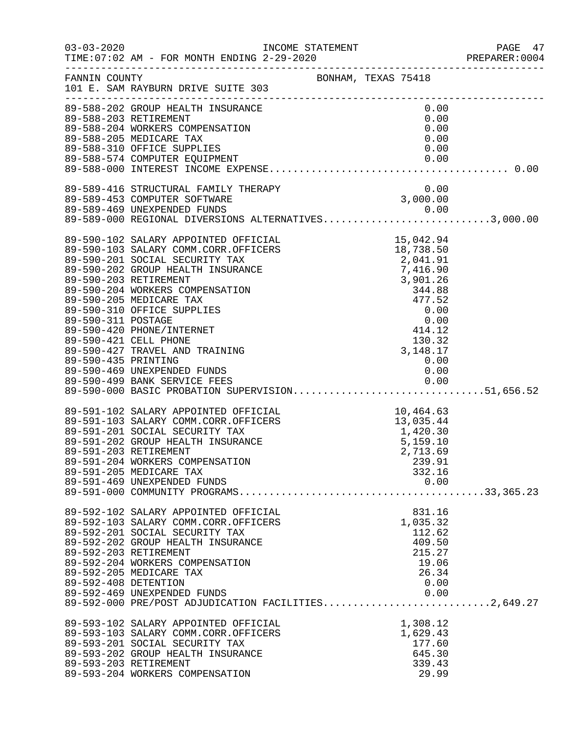|                      |                                                                                                                                                                                                                                                                                                                                                                                    |                                                                                                | PAGE 47<br>PREPARER:0004 |
|----------------------|------------------------------------------------------------------------------------------------------------------------------------------------------------------------------------------------------------------------------------------------------------------------------------------------------------------------------------------------------------------------------------|------------------------------------------------------------------------------------------------|--------------------------|
| FANNIN COUNTY        | 101 E. SAM RAYBURN DRIVE SUITE 303<br>______________________________________                                                                                                                                                                                                                                                                                                       | BONHAM, TEXAS 75418                                                                            |                          |
|                      | 89-588-202 GROUP HEALTH INSURANCE<br>89-588-204 WORKERS COMPENSATION<br>89-588-205 MEDICARE TAX<br>89-588-310 OFFICE SUPPLIES<br>89-588-574 COMPUTER EQUIPMENT<br>89-588-574 COMPUTER EQUIPMENT                                                                                                                                                                                    | 0.00<br>0.00<br>0.00<br>0.00<br>0.00                                                           |                          |
|                      | 89-589-416 STRUCTURAL FAMILY THERAPY<br>89-589-453 COMPUTER SOFTWARE<br>89-589-469 UNEXPENDED FUNDS<br>89-589-469 UNEXPENDED FUNDS<br>89-589-000 REGIONAL DIVERSIONS ALTERNATIVES3,000.00                                                                                                                                                                                          | $0.00$<br>3,000.00                                                                             |                          |
|                      | 89-590-469 UNEXPENDED FUNDS<br>89-590-499 BANK SERVICE FEES 0.00<br>89-590-000 BASIC PROBATION SUPERVISION51,656.52                                                                                                                                                                                                                                                                | 0.00                                                                                           |                          |
|                      | 89-591-102 SALARY APPOINTED OFFICIAL 10,464.63<br>89-591-103 SALARY COMM.CORR.OFFICERS 13,035.44<br>89-591-201 SOCIAL SECURITY TAX 1,420.30<br>89-591-202 GROUP HEALTH INSURANCE 5,159.10<br>89-591-203 RETIREMENT 2 7 713 69<br>89-591-203 RETIREMENT<br>89-591-204 WORKERS COMPENSATION<br>89-591-205 MEDICARE TAX<br>89-591-469 UNEXPENDED FUNDS                                | 2,713.69<br>239.91<br>332.16<br>0.00                                                           |                          |
| 89-592-408 DETENTION | 89-592-102 SALARY APPOINTED OFFICIAL<br>89-592-103 SALARY COMM.CORR.OFFICERS<br>89-592-201 SOCIAL SECURITY TAX<br>89-592-202 GROUP HEALTH INSURANCE<br>89-592-203 RETIREMENT<br>89-592-204 WORKERS COMPENSATION<br>89-592-205 MEDICARE TAX<br>89-592-469 UNEXPENDED FUNDS<br>$0.00$<br>89-592-000 PRE/POST ADJUDICATION FACILITIES2,649.27<br>89-593-102 SALARY APPOINTED OFFICIAL | 831.16<br>1,035.32<br>112.62<br>409.50<br>215.27<br>19.06<br>26.34<br>0.00<br>0.00<br>1,308.12 |                          |
|                      | 89-593-103 SALARY COMM.CORR.OFFICERS<br>89-593-201 SOCIAL SECURITY TAX<br>89-593-202 GROUP HEALTH INSURANCE<br>89-593-203 RETIREMENT<br>89-593-204 WORKERS COMPENSATION                                                                                                                                                                                                            | 1,629.43<br>177.60<br>645.30<br>339.43<br>29.99                                                |                          |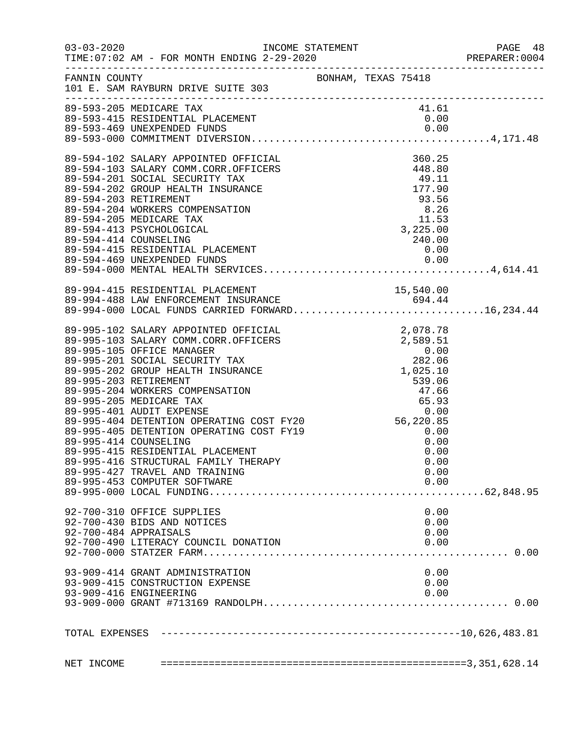|                                                                                                                             |  |       | 48 PAGE<br>PREPARER:0004 |
|-----------------------------------------------------------------------------------------------------------------------------|--|-------|--------------------------|
| FANNIN COUNTY<br>101 E. SAM RAYBURN DRIVE SUITE 303                                                                         |  |       |                          |
| 89-593-205 MEDICARE TAX                                                                                                     |  | 41.61 |                          |
|                                                                                                                             |  |       |                          |
|                                                                                                                             |  |       |                          |
|                                                                                                                             |  |       |                          |
|                                                                                                                             |  |       |                          |
|                                                                                                                             |  |       |                          |
|                                                                                                                             |  |       |                          |
|                                                                                                                             |  |       |                          |
|                                                                                                                             |  |       |                          |
|                                                                                                                             |  |       |                          |
|                                                                                                                             |  |       |                          |
|                                                                                                                             |  |       |                          |
|                                                                                                                             |  |       |                          |
|                                                                                                                             |  |       |                          |
| 89-994-415 RESIDENTIAL PLACEMENT<br>89-994-488 LAW ENFORCEMENT INSURANCE<br>89-994-000 LOCAL FUNDS CARRIED FORWARD16,234.44 |  |       |                          |
|                                                                                                                             |  |       |                          |
|                                                                                                                             |  |       |                          |
|                                                                                                                             |  |       |                          |
|                                                                                                                             |  |       |                          |
|                                                                                                                             |  |       |                          |
|                                                                                                                             |  |       |                          |
|                                                                                                                             |  |       |                          |
|                                                                                                                             |  |       |                          |
|                                                                                                                             |  |       |                          |
|                                                                                                                             |  |       |                          |
|                                                                                                                             |  |       |                          |
|                                                                                                                             |  |       |                          |
|                                                                                                                             |  |       |                          |
|                                                                                                                             |  |       |                          |
| 89-995-416 STRUCTURAL FAMILY THERAPY                                                                                        |  | 0.00  |                          |
| 89-995-427 TRAVEL AND TRAINING                                                                                              |  | 0.00  |                          |
| 89-995-453 COMPUTER SOFTWARE                                                                                                |  | 0.00  |                          |
|                                                                                                                             |  |       |                          |
| 92-700-310 OFFICE SUPPLIES                                                                                                  |  | 0.00  |                          |
| 92-700-430 BIDS AND NOTICES                                                                                                 |  | 0.00  |                          |
| 92-700-484 APPRAISALS                                                                                                       |  | 0.00  |                          |
| 92-700-490 LITERACY COUNCIL DONATION                                                                                        |  | 0.00  |                          |
|                                                                                                                             |  |       |                          |
| 93-909-414 GRANT ADMINISTRATION                                                                                             |  | 0.00  |                          |
| 93-909-415 CONSTRUCTION EXPENSE                                                                                             |  | 0.00  |                          |
| 93-909-416 ENGINEERING                                                                                                      |  | 0.00  |                          |
|                                                                                                                             |  |       |                          |
|                                                                                                                             |  |       |                          |
|                                                                                                                             |  |       |                          |
|                                                                                                                             |  |       |                          |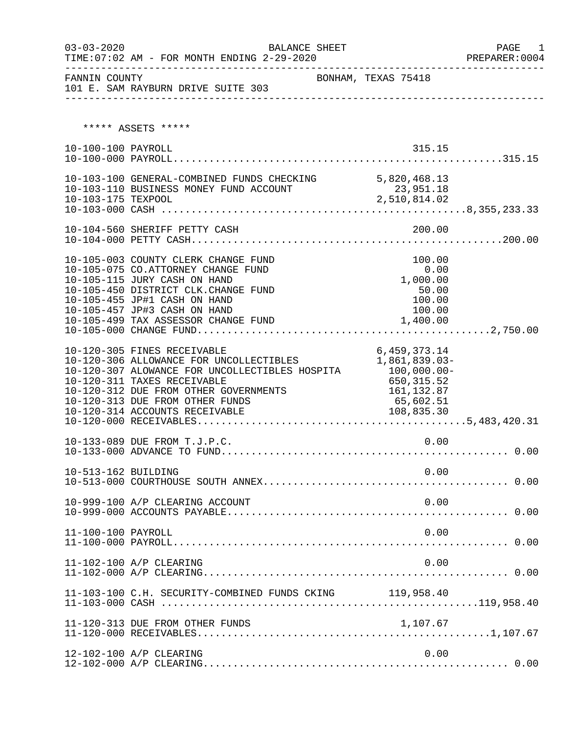| $03 - 03 - 2020$    | BALANCE SHEET                                                                                                                                                                                                                                                         |                                                                                                      | PAGE<br>1 |
|---------------------|-----------------------------------------------------------------------------------------------------------------------------------------------------------------------------------------------------------------------------------------------------------------------|------------------------------------------------------------------------------------------------------|-----------|
| FANNIN COUNTY       | 101 E. SAM RAYBURN DRIVE SUITE 303                                                                                                                                                                                                                                    | BONHAM, TEXAS 75418                                                                                  |           |
|                     | ***** ASSETS *****                                                                                                                                                                                                                                                    |                                                                                                      |           |
| 10-100-100 PAYROLL  |                                                                                                                                                                                                                                                                       | 315.15                                                                                               |           |
| 10-103-175 TEXPOOL  | 10-103-100 GENERAL-COMBINED FUNDS CHECKING 5,820,468.13<br>10-103-110 BUSINESS MONEY FUND ACCOUNT                                                                                                                                                                     | 23,951.18<br>2,510,814.02                                                                            |           |
|                     |                                                                                                                                                                                                                                                                       |                                                                                                      |           |
|                     | 10-105-003 COUNTY CLERK CHANGE FUND<br>10-105-075 CO.ATTORNEY CHANGE FUND<br>10-105-115 JURY CASH ON HAND<br>10-105-450 DISTRICT CLK. CHANGE FUND<br>10-105-455 JP#1 CASH ON HAND<br>10-105-457 JP#3 CASH ON HAND<br>10-105-499 TAX ASSESSOR CHANGE FUND              | 100.00<br>0.00<br>1,000.00<br>50.00<br>100.00<br>100.00<br>1,400.00                                  |           |
|                     | 10-120-305 FINES RECEIVABLE<br>10-120-306 ALLOWANCE FOR UNCOLLECTIBLES<br>10-120-307 ALOWANCE FOR UNCOLLECTIBLES HOSPITA<br>10-120-311 TAXES RECEIVABLE<br>10-120-312 DUE FROM OTHER GOVERNMENTS<br>10-120-313 DUE FROM OTHER FUNDS<br>10-120-314 ACCOUNTS RECEIVABLE | 6,459,373.14<br>1,861,839.03-<br>100,000.00-<br>650,315.52<br>161, 132.87<br>65,602.51<br>108,835.30 |           |
|                     | 10-133-089 DUE FROM T.J.P.C.                                                                                                                                                                                                                                          | 0.00                                                                                                 |           |
| 10-513-162 BUILDING |                                                                                                                                                                                                                                                                       | 0.00                                                                                                 |           |
|                     | 10-999-100 A/P CLEARING ACCOUNT                                                                                                                                                                                                                                       | 0.00                                                                                                 |           |
| 11-100-100 PAYROLL  |                                                                                                                                                                                                                                                                       | 0.00                                                                                                 |           |
|                     | 11-102-100 A/P CLEARING                                                                                                                                                                                                                                               | 0.00                                                                                                 |           |
|                     | 11-103-100 C.H. SECURITY-COMBINED FUNDS CKING 119,958.40                                                                                                                                                                                                              |                                                                                                      |           |
|                     | 11-120-313 DUE FROM OTHER FUNDS                                                                                                                                                                                                                                       | 1,107.67                                                                                             |           |
|                     | 12-102-100 A/P CLEARING                                                                                                                                                                                                                                               | 0.00                                                                                                 |           |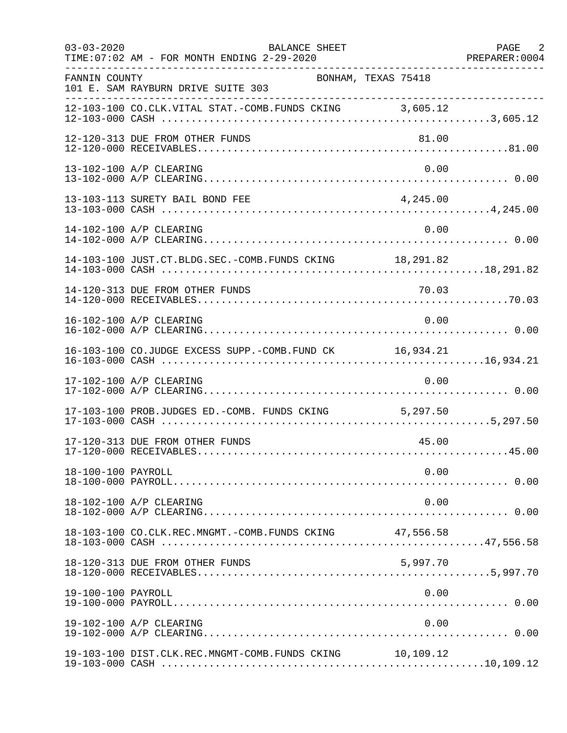| $03 - 03 - 2020$   | BALANCE SHEET<br>TIME: 07:02 AM - FOR MONTH ENDING 2-29-2020 |          | PAGE 2<br>PREPARER: 0004 |
|--------------------|--------------------------------------------------------------|----------|--------------------------|
| FANNIN COUNTY      | BONHAM, TEXAS 75418<br>101 E. SAM RAYBURN DRIVE SUITE 303    |          |                          |
|                    | 12-103-100 CO.CLK.VITAL STAT.-COMB.FUNDS CKING 3,605.12      |          |                          |
|                    | 12-120-313 DUE FROM OTHER FUNDS                              | 81.00    |                          |
|                    | 13-102-100 A/P CLEARING                                      | 0.00     |                          |
|                    | 13-103-113 SURETY BAIL BOND FEE                              | 4,245.00 |                          |
|                    | 14-102-100 A/P CLEARING                                      | 0.00     |                          |
|                    | 14-103-100 JUST.CT.BLDG.SEC.-COMB.FUNDS CKING 18,291.82      |          |                          |
|                    | 14-120-313 DUE FROM OTHER FUNDS                              | 70.03    |                          |
|                    | 16-102-100 A/P CLEARING                                      | 0.00     |                          |
|                    | 16-103-100 CO.JUDGE EXCESS SUPP.-COMB.FUND CK 16,934.21      |          |                          |
|                    | 17-102-100 A/P CLEARING                                      | 0.00     |                          |
|                    | 17-103-100 PROB.JUDGES ED.-COMB. FUNDS CKING 5,297.50        |          |                          |
|                    | 17-120-313 DUE FROM OTHER FUNDS                              | 45.00    |                          |
| 18-100-100 PAYROLL |                                                              | 0.00     |                          |
|                    | 18-102-100 A/P CLEARING                                      | 0.00     |                          |
|                    | 18-103-100 CO.CLK.REC.MNGMT.-COMB.FUNDS CKING 47,556.58      |          |                          |
|                    | 18-120-313 DUE FROM OTHER FUNDS                              | 5,997.70 |                          |
| 19-100-100 PAYROLL |                                                              | 0.00     |                          |
|                    | 19-102-100 A/P CLEARING                                      | 0.00     |                          |
|                    | 19-103-100 DIST.CLK.REC.MNGMT-COMB.FUNDS CKING 10,109.12     |          |                          |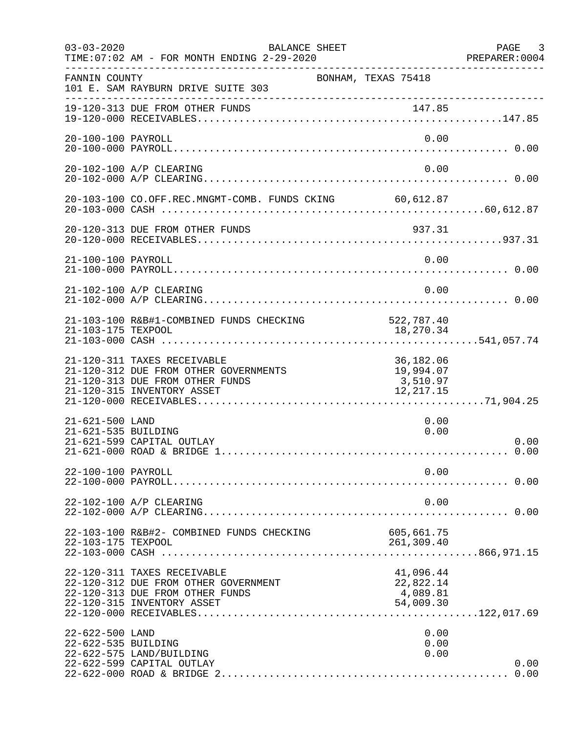| $03 - 03 - 2020$                       | BALANCE SHEET<br>TIME: 07:02 AM - FOR MONTH ENDING 2-29-2020                                                                          |                                                  | PAGE 3<br>PREPARER: 0004 |
|----------------------------------------|---------------------------------------------------------------------------------------------------------------------------------------|--------------------------------------------------|--------------------------|
| FANNIN COUNTY                          | BONHAM, TEXAS 75418<br>101 E. SAM RAYBURN DRIVE SUITE 303                                                                             |                                                  |                          |
|                                        | 19-120-313 DUE FROM OTHER FUNDS                                                                                                       |                                                  |                          |
| 20-100-100 PAYROLL                     |                                                                                                                                       | 0.00                                             |                          |
|                                        | 20-102-100 A/P CLEARING                                                                                                               | 0.00                                             |                          |
|                                        | 20-103-100 CO.OFF.REC.MNGMT-COMB. FUNDS CKING 60,612.87                                                                               |                                                  |                          |
|                                        | 20-120-313 DUE FROM OTHER FUNDS                                                                                                       | 937.31                                           |                          |
| 21-100-100 PAYROLL                     |                                                                                                                                       | 0.00                                             |                          |
|                                        | 21-102-100 A/P CLEARING                                                                                                               | 0.00                                             |                          |
| 21-103-175 TEXPOOL                     | 21-103-100 R&B#1-COMBINED FUNDS CHECKING                                                                                              | 522,787.40<br>18,270.34                          |                          |
|                                        | 21-120-311 TAXES RECEIVABLE<br>21-120-312 DUE FROM OTHER GOVERNMENTS<br>21-120-313 DUE FROM OTHER FUNDS<br>21-120-315 INVENTORY ASSET | 36,182.06<br>19,994.07<br>3,510.97<br>12, 217.15 |                          |
| 21-621-500 LAND<br>21-621-535 BUILDING | 21-621-599 CAPITAL OUTLAY                                                                                                             | 0.00<br>0.00                                     | 0.00                     |
| 22-100-100 PAYROLL                     |                                                                                                                                       | 0.00                                             |                          |
|                                        | 22-102-100 A/P CLEARING                                                                                                               | 0.00                                             |                          |
| 22-103-175 TEXPOOL                     | 22-103-100 R&B#2- COMBINED FUNDS CHECKING                                                                                             | 605, 661.75<br>261,309.40                        |                          |
|                                        | 22-120-311 TAXES RECEIVABLE<br>22-120-312 DUE FROM OTHER GOVERNMENT<br>22-120-313 DUE FROM OTHER FUNDS<br>22-120-315 INVENTORY ASSET  | 41,096.44<br>22,822.14<br>4,089.81<br>54,009.30  |                          |
| 22-622-500 LAND<br>22-622-535 BUILDING | 22-622-575 LAND/BUILDING<br>22-622-599 CAPITAL OUTLAY                                                                                 | 0.00<br>0.00<br>0.00                             | 0.00<br>0.00             |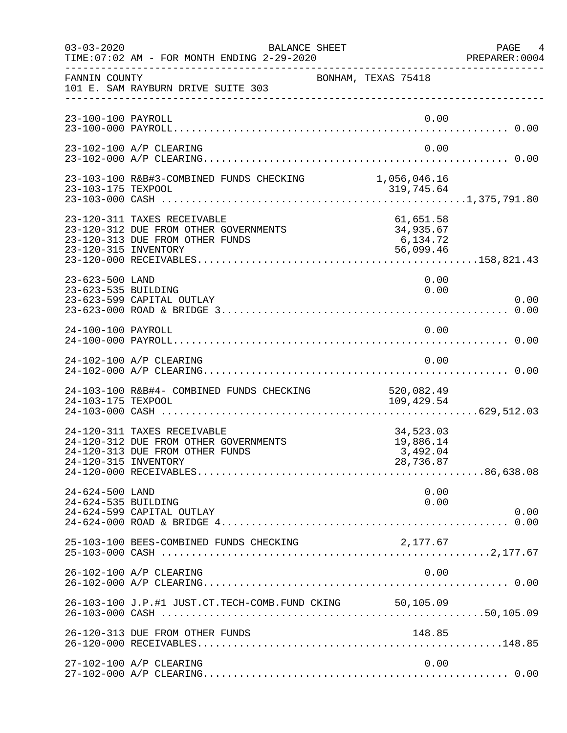| $03 - 03 - 2020$                       | BALANCE SHEET<br>TIME: 07:02 AM - FOR MONTH ENDING 2-29-2020                                                                    |                                                              | PAGE 4<br>PREPARER:0004 |
|----------------------------------------|---------------------------------------------------------------------------------------------------------------------------------|--------------------------------------------------------------|-------------------------|
| FANNIN COUNTY                          | 101 E. SAM RAYBURN DRIVE SUITE 303                                                                                              | BONHAM, TEXAS 75418                                          |                         |
| 23-100-100 PAYROLL                     |                                                                                                                                 | 0.00                                                         |                         |
|                                        | 23-102-100 A/P CLEARING                                                                                                         | 0.00                                                         |                         |
|                                        | 23-103-100 R&B#3-COMBINED FUNDS CHECKING                                                                                        | 1,056,046.16                                                 |                         |
| 23-120-315 INVENTORY                   | 23-120-311 TAXES RECEIVABLE<br>23-120-312 DUE FROM OTHER GOVERNMENTS<br>23-120-313 DUE FROM OTHER FUNDS                         | 61,651.58<br>34,935.67<br>$34,332$<br>6, 134.72<br>56,099.46 |                         |
| 23-623-500 LAND<br>23-623-535 BUILDING | 23-623-599 CAPITAL OUTLAY                                                                                                       | 0.00<br>0.00                                                 | 0.00                    |
| 24-100-100 PAYROLL                     |                                                                                                                                 | 0.00                                                         |                         |
|                                        | 24-102-100 A/P CLEARING                                                                                                         | 0.00                                                         |                         |
| 24-103-175 TEXPOOL                     | 24-103-100 R&B#4- COMBINED FUNDS CHECKING                                                                                       | 520,082.49<br>109,429.54                                     |                         |
|                                        | 24-120-311 TAXES RECEIVABLE<br>24-120-312 DUE FROM OTHER GOVERNMENTS<br>24-120-313 DUE FROM OTHER FUNDS<br>24-120-315 INVENTORY | 34,523.03<br>19,886.14<br>3,492.04<br>28,736.87              |                         |
| 24-624-500 LAND<br>24-624-535 BUILDING | 24-624-599 CAPITAL OUTLAY                                                                                                       | 0.00<br>0.00                                                 | 0.00                    |
|                                        | 25-103-100 BEES-COMBINED FUNDS CHECKING                                                                                         | 2,177.67                                                     |                         |
|                                        | 26-102-100 A/P CLEARING                                                                                                         | 0.00                                                         |                         |
|                                        | 26-103-100 J.P.#1 JUST.CT.TECH-COMB.FUND CKING 50,105.09                                                                        |                                                              |                         |
|                                        | 26-120-313 DUE FROM OTHER FUNDS                                                                                                 | 148.85                                                       |                         |
|                                        | 27-102-100 A/P CLEARING                                                                                                         | 0.00                                                         |                         |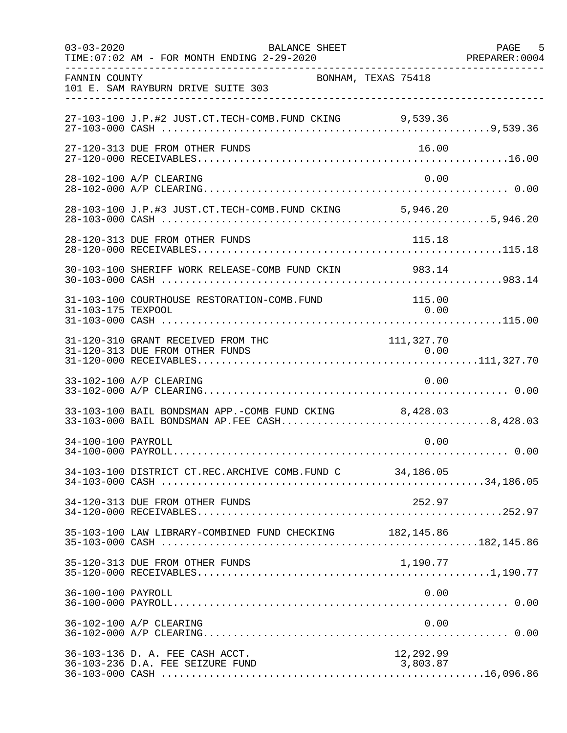| $03 - 03 - 2020$   | BALANCE SHEET<br>TIME: 07:02 AM - FOR MONTH ENDING 2-29-2020                                           |                       | PAGE 5<br>PREPARER: 0004 |
|--------------------|--------------------------------------------------------------------------------------------------------|-----------------------|--------------------------|
| FANNIN COUNTY      | BONHAM, TEXAS 75418<br>101 E. SAM RAYBURN DRIVE SUITE 303                                              |                       |                          |
|                    | 27-103-100 J.P.#2 JUST.CT.TECH-COMB.FUND CKING 9,539.36                                                |                       |                          |
|                    | 27-120-313 DUE FROM OTHER FUNDS                                                                        | 16.00                 |                          |
|                    | 28-102-100 A/P CLEARING                                                                                | 0.00                  |                          |
|                    | 28-103-100 J.P.#3 JUST.CT.TECH-COMB.FUND CKING 5,946.20                                                |                       |                          |
|                    | 28-120-313 DUE FROM OTHER FUNDS                                                                        | 115.18                |                          |
|                    | 30-103-100 SHERIFF WORK RELEASE-COMB FUND CKIN 983.14                                                  |                       |                          |
| 31-103-175 TEXPOOL | 31-103-100 COURTHOUSE RESTORATION-COMB.FUND                                                            | 115.00<br>0.00        |                          |
|                    | 31-120-310 GRANT RECEIVED FROM THC                                                                     | 111, 327.70           |                          |
|                    | 33-102-100 A/P CLEARING                                                                                | 0.00                  |                          |
|                    | 33-103-100 BAIL BONDSMAN APP.-COMB FUND CKING 8,428.03<br>33-103-000 BAIL BONDSMAN AP.FEE CASH8,428.03 |                       |                          |
| 34-100-100 PAYROLL |                                                                                                        | 0.00                  |                          |
|                    | 34-103-100 DISTRICT CT.REC.ARCHIVE COMB.FUND C 34,186.05                                               |                       |                          |
|                    | 34-120-313 DUE FROM OTHER FUNDS                                                                        | 252.97                |                          |
|                    | 35-103-100 LAW LIBRARY-COMBINED FUND CHECKING 182,145.86                                               |                       |                          |
|                    | 35-120-313 DUE FROM OTHER FUNDS                                                                        | 1,190.77              |                          |
| 36-100-100 PAYROLL |                                                                                                        | 0.00                  |                          |
|                    | 36-102-100 A/P CLEARING                                                                                | 0.00                  |                          |
|                    | 36-103-136 D. A. FEE CASH ACCT.<br>36-103-236 D.A. FEE SEIZURE FUND                                    | 12,292.99<br>3,803.87 |                          |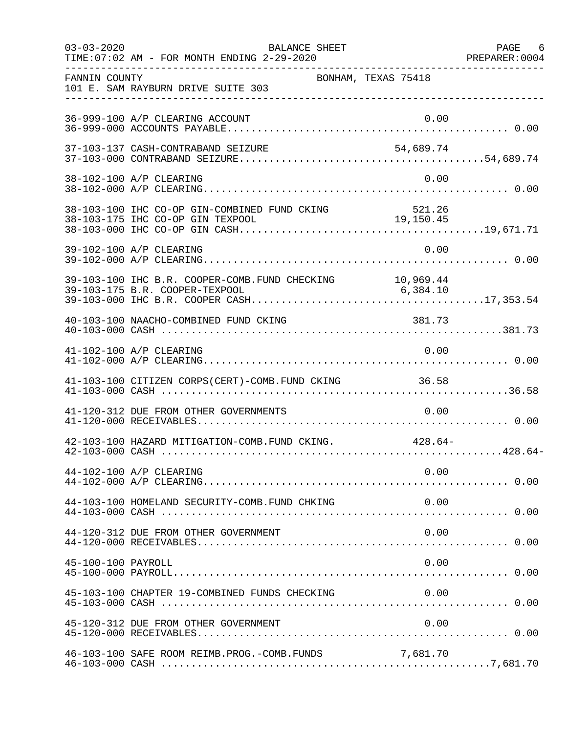| $03 - 03 - 2020$   | BALANCE SHEET<br>TIME: 07:02 AM - FOR MONTH ENDING 2-29-2020 |           | PAGE 6 |
|--------------------|--------------------------------------------------------------|-----------|--------|
| FANNIN COUNTY      | BONHAM, TEXAS 75418<br>101 E. SAM RAYBURN DRIVE SUITE 303    |           |        |
|                    | 36-999-100 A/P CLEARING ACCOUNT                              | 0.00      |        |
|                    | 37-103-137 CASH-CONTRABAND SEIZURE                           | 54,689.74 |        |
|                    | 38-102-100 A/P CLEARING                                      | 0.00      |        |
|                    |                                                              |           |        |
|                    | 39-102-100 A/P CLEARING                                      | 0.00      |        |
|                    |                                                              |           |        |
|                    | 40-103-100 NAACHO-COMBINED FUND CKING                        | 381.73    |        |
|                    | 41-102-100 A/P CLEARING                                      | 0.00      |        |
|                    | 41-103-100 CITIZEN CORPS(CERT)-COMB.FUND CKING 36.58         |           |        |
|                    | 41-120-312 DUE FROM OTHER GOVERNMENTS                        | 0.00      |        |
|                    | 42-103-100 HAZARD MITIGATION-COMB. FUND CKING. 428.64-       |           |        |
|                    | 44-102-100 A/P CLEARING                                      | 0.00      |        |
|                    | 44-103-100 HOMELAND SECURITY-COMB. FUND CHKING               | 0.00      |        |
|                    | 44-120-312 DUE FROM OTHER GOVERNMENT                         | 0.00      |        |
| 45-100-100 PAYROLL |                                                              | 0.00      |        |
|                    | 45-103-100 CHAPTER 19-COMBINED FUNDS CHECKING                | 0.00      |        |
|                    | 45-120-312 DUE FROM OTHER GOVERNMENT                         | 0.00      |        |
|                    | 46-103-100 SAFE ROOM REIMB.PROG.-COMB.FUNDS                  | 7,681.70  |        |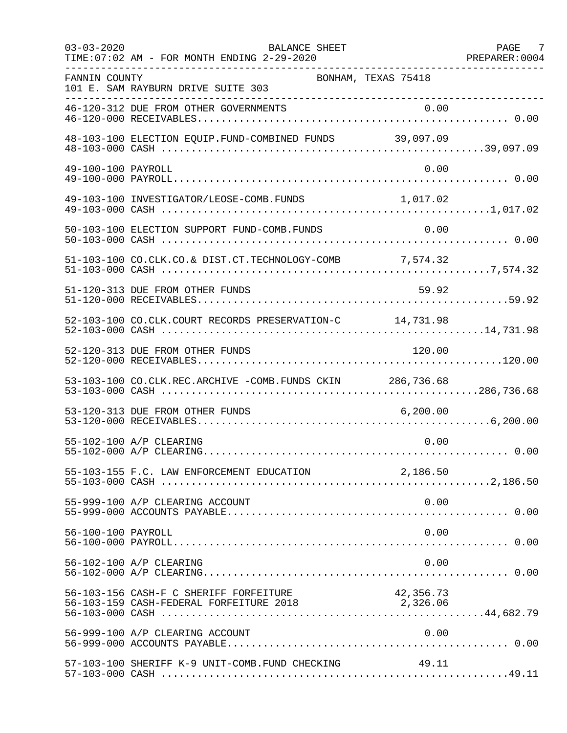| $03 - 03 - 2020$   | <b>BALANCE SHEET</b><br>TIME: 07:02 AM - FOR MONTH ENDING 2-29-2020<br>---------------------------- |           | PAGE 7<br>PREPARER: 0004 |
|--------------------|-----------------------------------------------------------------------------------------------------|-----------|--------------------------|
| FANNIN COUNTY      | BONHAM, TEXAS 75418<br>101 E. SAM RAYBURN DRIVE SUITE 303                                           |           |                          |
|                    | 46-120-312 DUE FROM OTHER GOVERNMENTS                                                               |           |                          |
|                    | 48-103-100 ELECTION EQUIP. FUND-COMBINED FUNDS 39,097.09                                            |           |                          |
| 49-100-100 PAYROLL |                                                                                                     | 0.00      |                          |
|                    | 49-103-100 INVESTIGATOR/LEOSE-COMB.FUNDS 1,017.02                                                   |           |                          |
|                    | 50-103-100 ELECTION SUPPORT FUND-COMB.FUNDS                                                         | 0.00      |                          |
|                    | 51-103-100 CO.CLK.CO.& DIST.CT.TECHNOLOGY-COMB 7,574.32                                             |           |                          |
|                    | 51-120-313 DUE FROM OTHER FUNDS                                                                     | 59.92     |                          |
|                    | 52-103-100 CO.CLK.COURT RECORDS PRESERVATION-C 14,731.98                                            |           |                          |
|                    | 52-120-313 DUE FROM OTHER FUNDS                                                                     | 120.00    |                          |
|                    | 53-103-100 CO.CLK.REC.ARCHIVE -COMB.FUNDS CKIN 286,736.68                                           |           |                          |
|                    | 53-120-313 DUE FROM OTHER FUNDS                                                                     | 6, 200.00 |                          |
|                    | 55-102-100 A/P CLEARING                                                                             | 0.00      |                          |
|                    | 55-103-155 F.C. LAW ENFORCEMENT EDUCATION 2,186.50                                                  |           |                          |
|                    | 55-999-100 A/P CLEARING ACCOUNT                                                                     | 0.00      |                          |
| 56-100-100 PAYROLL |                                                                                                     | 0.00      |                          |
|                    | 56-102-100 A/P CLEARING                                                                             | 0.00      |                          |
|                    | 56-103-156 CASH-F C SHERIFF FORFEITURE                                                              | 42,356.73 |                          |
|                    | 56-999-100 A/P CLEARING ACCOUNT                                                                     | 0.00      |                          |
|                    | 57-103-100 SHERIFF K-9 UNIT-COMB.FUND CHECKING                                                      | 49.11     |                          |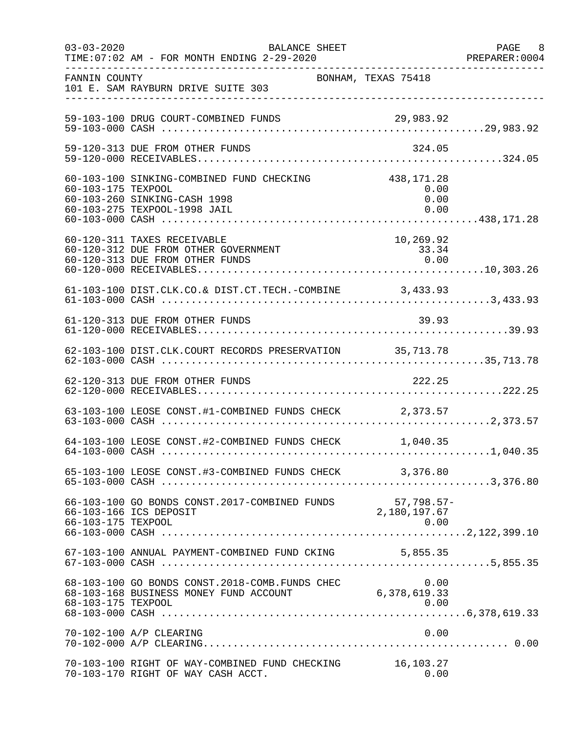| $03 - 03 - 2020$   | BALANCE SHEET<br>TIME: 07:02 AM - FOR MONTH ENDING 2-29-2020                                                         |                             | PAGE 8<br>PREPARER:0004 |
|--------------------|----------------------------------------------------------------------------------------------------------------------|-----------------------------|-------------------------|
| FANNIN COUNTY      | 101 E. SAM RAYBURN DRIVE SUITE 303                                                                                   | BONHAM, TEXAS 75418         |                         |
|                    | 59-103-100 DRUG COURT-COMBINED FUNDS                                                                                 | 29,983.92                   |                         |
|                    | 59-120-313 DUE FROM OTHER FUNDS                                                                                      | 324.05                      |                         |
| 60-103-175 TEXPOOL | 60-103-100 SINKING-COMBINED FUND CHECKING 438,171.28<br>60-103-260 SINKING-CASH 1998<br>60-103-275 TEXPOOL-1998 JAIL | 0.00<br>0.00<br>0.00        |                         |
|                    | 60-120-311 TAXES RECEIVABLE<br>60-120-312 DUE FROM OTHER GOVERNMENT<br>60-120-313 DUE FROM OTHER FUNDS               | 10, 269.92<br>33.34<br>0.00 |                         |
|                    | 61-103-100 DIST.CLK.CO.& DIST.CT.TECH.-COMBINE 3,433.93                                                              |                             |                         |
|                    | 61-120-313 DUE FROM OTHER FUNDS                                                                                      | 39.93                       |                         |
|                    | 62-103-100 DIST.CLK.COURT RECORDS PRESERVATION 35,713.78                                                             |                             |                         |
|                    | 62-120-313 DUE FROM OTHER FUNDS                                                                                      | 222.25                      |                         |
|                    | 63-103-100 LEOSE CONST.#1-COMBINED FUNDS CHECK 2,373.57                                                              |                             |                         |
|                    | 64-103-100 LEOSE CONST.#2-COMBINED FUNDS CHECK 1,040.35                                                              |                             |                         |
|                    | 65-103-100 LEOSE CONST.#3-COMBINED FUNDS CHECK 3,376.80                                                              |                             |                         |
| 66-103-175 TEXPOOL | 66-103-100 GO BONDS CONST.2017-COMBINED FUNDS 57,798.57<br>66-103-166 ICS DEPOSIT 2,180,197.67                       | 57,798.57-<br>0.00          |                         |
|                    | 67-103-100 ANNUAL PAYMENT-COMBINED FUND CKING 5,855.35                                                               |                             |                         |
| 68-103-175 TEXPOOL | 68-103-100 GO BONDS CONST.2018-COMB.FUNDS CHEC 0.00<br>68-103-168 BUSINESS MONEY FUND ACCOUNT 6,378,619.33           | 0.00                        |                         |
|                    | 70-102-100 A/P CLEARING                                                                                              | 0.00                        |                         |
|                    | 70-103-100 RIGHT OF WAY-COMBINED FUND CHECKING<br>70-103-170 RIGHT OF WAY CASH ACCT.                                 | 16,103.27<br>0.00           |                         |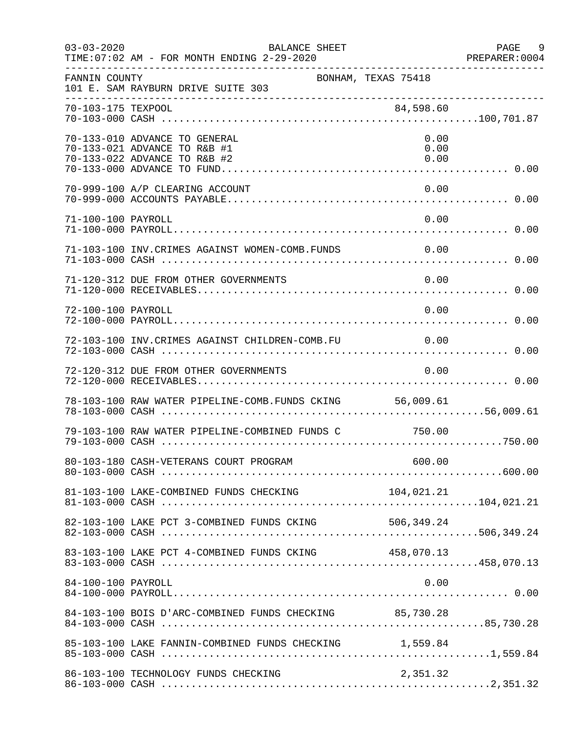| $03 - 03 - 2020$   | BALANCE SHEET<br>TIME: 07:02 AM - FOR MONTH ENDING 2-29-2020                                  |                      | PAGE 9<br>PREPARER:0004 |
|--------------------|-----------------------------------------------------------------------------------------------|----------------------|-------------------------|
| FANNIN COUNTY      | 101 E. SAM RAYBURN DRIVE SUITE 303                                                            | BONHAM, TEXAS 75418  |                         |
| 70-103-175 TEXPOOL |                                                                                               | 84,598.60            |                         |
|                    | 70-133-010 ADVANCE TO GENERAL<br>70-133-021 ADVANCE TO R&B #1<br>70-133-022 ADVANCE TO R&B #2 | 0.00<br>0.00<br>0.00 |                         |
|                    | 70-999-100 A/P CLEARING ACCOUNT                                                               | 0.00                 |                         |
| 71-100-100 PAYROLL |                                                                                               | 0.00                 |                         |
|                    | 71-103-100 INV. CRIMES AGAINST WOMEN-COMB. FUNDS                                              | 0.00                 |                         |
|                    | 71-120-312 DUE FROM OTHER GOVERNMENTS                                                         | 0.00                 |                         |
| 72-100-100 PAYROLL |                                                                                               | 0.00                 |                         |
|                    | 72-103-100 INV. CRIMES AGAINST CHILDREN-COMB. FU 0.00                                         |                      |                         |
|                    | 72-120-312 DUE FROM OTHER GOVERNMENTS                                                         | 0.00                 |                         |
|                    | 78-103-100 RAW WATER PIPELINE-COMB.FUNDS CKING 56,009.61                                      |                      |                         |
|                    | 79-103-100 RAW WATER PIPELINE-COMBINED FUNDS C 750.00                                         |                      |                         |
|                    |                                                                                               |                      |                         |
|                    |                                                                                               |                      |                         |
|                    | 82-103-100 LAKE PCT 3-COMBINED FUNDS CKING 506,349.24                                         |                      |                         |
|                    | 83-103-100 LAKE PCT 4-COMBINED FUNDS CKING 458,070.13                                         |                      |                         |
| 84-100-100 PAYROLL |                                                                                               | 0.00                 |                         |
|                    | 84-103-100 BOIS D'ARC-COMBINED FUNDS CHECKING 85,730.28                                       |                      |                         |
|                    | 85-103-100 LAKE FANNIN-COMBINED FUNDS CHECKING 1,559.84                                       |                      |                         |
|                    | 86-103-100 TECHNOLOGY FUNDS CHECKING                                                          | 2,351.32             |                         |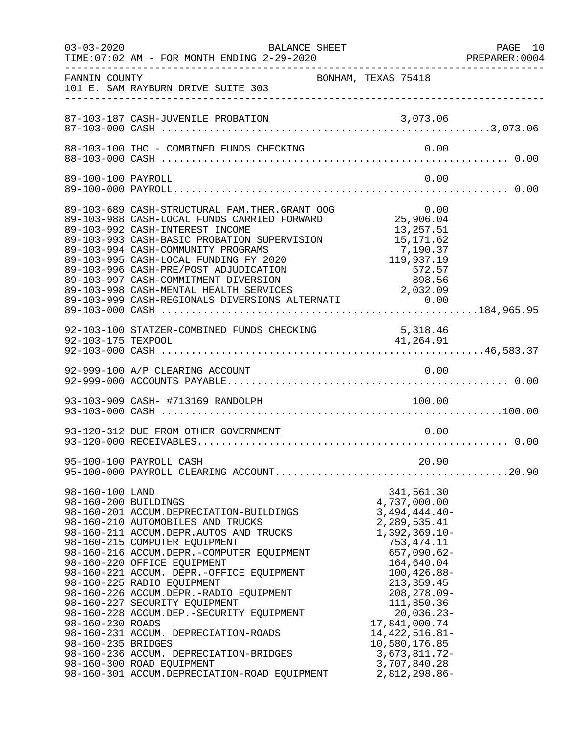| $03 - 03 - 2020$                                                                  | BALANCE SHEET                                                                                                                                                                                                                                                                                                                                                                                                                                                                                                                                                                                       |                                                                                                                                                                                                                                                                                                                                | PAGE 10<br>PREPARER:0004 |
|-----------------------------------------------------------------------------------|-----------------------------------------------------------------------------------------------------------------------------------------------------------------------------------------------------------------------------------------------------------------------------------------------------------------------------------------------------------------------------------------------------------------------------------------------------------------------------------------------------------------------------------------------------------------------------------------------------|--------------------------------------------------------------------------------------------------------------------------------------------------------------------------------------------------------------------------------------------------------------------------------------------------------------------------------|--------------------------|
| FANNIN COUNTY                                                                     | BONHAM, TEXAS 75418<br>101 E. SAM RAYBURN DRIVE SUITE 303                                                                                                                                                                                                                                                                                                                                                                                                                                                                                                                                           |                                                                                                                                                                                                                                                                                                                                |                          |
|                                                                                   |                                                                                                                                                                                                                                                                                                                                                                                                                                                                                                                                                                                                     |                                                                                                                                                                                                                                                                                                                                |                          |
|                                                                                   |                                                                                                                                                                                                                                                                                                                                                                                                                                                                                                                                                                                                     |                                                                                                                                                                                                                                                                                                                                |                          |
| 89-100-100 PAYROLL                                                                |                                                                                                                                                                                                                                                                                                                                                                                                                                                                                                                                                                                                     | 0.00                                                                                                                                                                                                                                                                                                                           |                          |
|                                                                                   | 89-103-689 CASH-STRUCTURAL FAM.THER.GRANT OOG 0.00<br>89-103-988 CASH-LOCAL FUNDS CARRIED FORWARD 25,906.04<br>89-103-992 CASH-INTEREST INCOME<br>89-103-993 CASH-BASIC PROBATION SUPERVISION<br>89-103-994 CASH-COMMUNITY PROGRAMS<br>89-103-995 CASH-LOCAL FUNDING FY 2020<br>89-103-996 CASH-PRE/POST ADJUDICATION<br>89-103-997 CASH-COMMITMENT DIVERSION<br>89-103-998 CASH-MENTAL HEALTH SERVICES<br>89-103-999 CASH-REGIONALS DIVERSIONS ALTERNATI 0.00                                                                                                                                      | 13,257.51<br>15, 171.62<br>7,190.37<br>119,937.19<br>572.57<br>898.56<br>2,032.09                                                                                                                                                                                                                                              |                          |
| 92-103-175 TEXPOOL                                                                | 92-103-100 STATZER-COMBINED FUNDS CHECKING                                                                                                                                                                                                                                                                                                                                                                                                                                                                                                                                                          | 5, 318.46<br>41,264.91                                                                                                                                                                                                                                                                                                         |                          |
|                                                                                   |                                                                                                                                                                                                                                                                                                                                                                                                                                                                                                                                                                                                     |                                                                                                                                                                                                                                                                                                                                |                          |
|                                                                                   | 93-103-909 CASH- #713169 RANDOLPH                                                                                                                                                                                                                                                                                                                                                                                                                                                                                                                                                                   | 100.00                                                                                                                                                                                                                                                                                                                         |                          |
|                                                                                   | 93-120-312 DUE FROM OTHER GOVERNMENT                                                                                                                                                                                                                                                                                                                                                                                                                                                                                                                                                                | 0.00                                                                                                                                                                                                                                                                                                                           |                          |
|                                                                                   | 95-100-100 PAYROLL CASH                                                                                                                                                                                                                                                                                                                                                                                                                                                                                                                                                                             | 20.90                                                                                                                                                                                                                                                                                                                          |                          |
| 98-160-100 LAND<br>98-160-200 BUILDINGS<br>98-160-230 ROADS<br>98-160-235 BRIDGES | 98-160-201 ACCUM.DEPRECIATION-BUILDINGS<br>98-160-210 AUTOMOBILES AND TRUCKS<br>98-160-211 ACCUM.DEPR.AUTOS AND TRUCKS<br>98-160-215 COMPUTER EQUIPMENT<br>98-160-216 ACCUM.DEPR.-COMPUTER EQUIPMENT<br>98-160-220 OFFICE EQUIPMENT<br>98-160-221 ACCUM. DEPR.-OFFICE EQUIPMENT<br>98-160-225 RADIO EQUIPMENT<br>98-160-226 ACCUM.DEPR.-RADIO EQUIPMENT<br>98-160-227 SECURITY EQUIPMENT<br>98-160-228 ACCUM.DEP.-SECURITY EQUIPMENT<br>98-160-231 ACCUM. DEPRECIATION-ROADS<br>98-160-236 ACCUM. DEPRECIATION-BRIDGES<br>98-160-300 ROAD EQUIPMENT<br>98-160-301 ACCUM.DEPRECIATION-ROAD EQUIPMENT | 341,561.30<br>4,737,000.00<br>$3,494,444.40-$<br>2, 289, 535.41<br>$1,392,369.10-$<br>753, 474. 11<br>$657,090.62-$<br>164,640.04<br>$100, 426.88 -$<br>213, 359.45<br>$208, 278.09 -$<br>111,850.36<br>$20,036.23-$<br>17,841,000.74<br>14, 422, 516.81-<br>10,580,176.85<br>$3,673,811.72-$<br>3,707,840.28<br>2,812,298.86- |                          |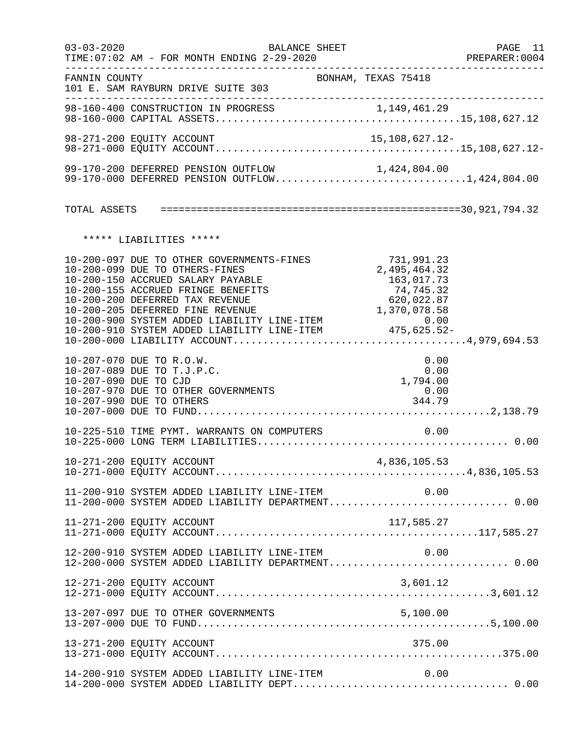| $03 - 03 - 2020$ | BALANCE SHEET<br>TIME: 07:02 AM - FOR MONTH ENDING 2-29-2020                                                                                                                              |                                                                     | PAGE 11<br>PREPARER:0004 |
|------------------|-------------------------------------------------------------------------------------------------------------------------------------------------------------------------------------------|---------------------------------------------------------------------|--------------------------|
| FANNIN COUNTY    | 101 E. SAM RAYBURN DRIVE SUITE 303                                                                                                                                                        | BONHAM, TEXAS 75418                                                 |                          |
|                  |                                                                                                                                                                                           |                                                                     |                          |
|                  | 98-271-200 EQUITY ACCOUNT                                                                                                                                                                 | 15,108,627.12-                                                      |                          |
|                  | 99-170-200 DEFERRED PENSION OUTFLOW<br>99-170-200 DEFERRED PENSION OUTFLOW 1,424,804.00<br>99-170-000 DEFERRED PENSION OUTFLOW1,424,804.00                                                |                                                                     |                          |
|                  |                                                                                                                                                                                           |                                                                     |                          |
|                  | ***** LIABILITIES *****                                                                                                                                                                   |                                                                     |                          |
|                  | 10-200-097 DUE TO OTHER GOVERNMENTS-FINES<br>10-200-099 DUE TO OTHERS-FINES<br>10-200-150 ACCRUED SALARY PAYABLE<br>10-200-155 ACCRUED FRINGE BENEFITS<br>10-200-200 DEFERRED TAX REVENUE | 731,991.23<br>2,495,464.32<br>163,017.73<br>74,745.32<br>620,022.87 |                          |
|                  | 10-207-070 DUE TO R.O.W.<br>10-207-089 DUE TO T.J.P.C.<br>10-207-090 DUE TO CJD<br>10-207-970 DUE TO OTHER GOVERNMENTS<br>10-207-990 DUE TO OTHERS                                        | 0.00<br>0.00<br>1,794.00<br>0.00<br>344.79                          |                          |
|                  | 10-225-510 TIME PYMT. WARRANTS ON COMPUTERS                                                                                                                                               | 0.00                                                                |                          |
|                  |                                                                                                                                                                                           |                                                                     |                          |
|                  | 11-200-910 SYSTEM ADDED LIABILITY LINE-ITEM $0.00$<br>11-200-000 SYSTEM ADDED LIABILITY DEPARTMENT0.00                                                                                    |                                                                     |                          |
|                  | 11-271-200 EQUITY ACCOUNT                                                                                                                                                                 | 117,585.27                                                          |                          |
|                  | 12-200-910 SYSTEM ADDED LIABILITY LINE-ITEM<br>12-200-000 SYSTEM ADDED LIABILITY DEPARTMENT 0.00                                                                                          | 0.00                                                                |                          |
|                  | 12-271-200 EQUITY ACCOUNT                                                                                                                                                                 | 3,601.12                                                            |                          |
|                  |                                                                                                                                                                                           |                                                                     |                          |
|                  | 13-271-200 EQUITY ACCOUNT                                                                                                                                                                 | 375.00                                                              |                          |
|                  | 14-200-910 SYSTEM ADDED LIABILITY LINE-ITEM                                                                                                                                               | 0.00                                                                |                          |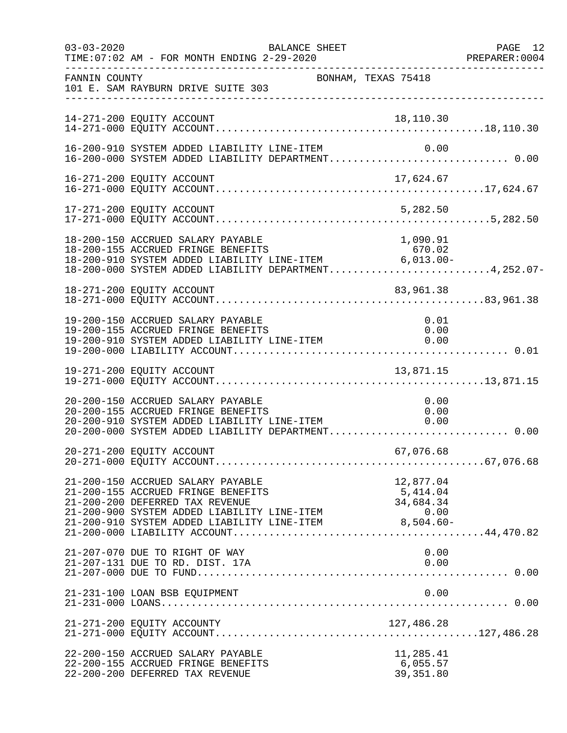| $03 - 03 - 2020$ | TIME: 07:02 AM - FOR MONTH ENDING 2-29-2020                                                                                                                                                                                              | BALANCE SHEET       |                                            | PAGE 12<br>PREPARER: 0004 |
|------------------|------------------------------------------------------------------------------------------------------------------------------------------------------------------------------------------------------------------------------------------|---------------------|--------------------------------------------|---------------------------|
| FANNIN COUNTY    | 101 E. SAM RAYBURN DRIVE SUITE 303                                                                                                                                                                                                       | BONHAM, TEXAS 75418 |                                            |                           |
|                  | 14-271-200 EQUITY ACCOUNT                                                                                                                                                                                                                |                     |                                            |                           |
|                  | 16-200-910 SYSTEM ADDED LIABILITY LINE-ITEM<br>16-200-000 SYSTEM ADDED LIABILITY DEPARTMENT 0.00                                                                                                                                         |                     | 0.00                                       |                           |
|                  |                                                                                                                                                                                                                                          |                     |                                            |                           |
|                  | 17-271-200 EQUITY ACCOUNT                                                                                                                                                                                                                |                     | 5,282.50                                   |                           |
|                  | 18-200-150 ACCRUED SALARY PAYABLE<br>18-200-155 ACCRUED FRINGE BENEFITS<br>$18-200-155$ ACCRUED FRINGE BENEFITS b/U.Uz<br>18-200-910 SYSTEM ADDED LIABILITY LINE-ITEM 6,013.00-<br>18-200-000 SYSTEM ADDED LIABILITY DEPARTMENT4,252.07- |                     | 1,090.91<br>670.02                         |                           |
|                  | 18-271-200 EQUITY ACCOUNT                                                                                                                                                                                                                |                     | 83,961.38                                  |                           |
|                  | 19-200-150 ACCRUED SALARY PAYABLE<br>19-200-155 ACCRUED FRINGE BENEFITS<br>19-200-910 SYSTEM ADDED LIABILITY LINE-ITEM                                                                                                                   |                     | 0.01<br>0.00<br>0.00                       |                           |
|                  |                                                                                                                                                                                                                                          |                     |                                            |                           |
|                  | 20-200-150 ACCRUED SALARY PAYABLE<br>20-200-155 ACCRUED FRINGE BENEFITS<br>20-200-155 ACCRUED FRINGE BENEFITS<br>20-200-910 SYSTEM ADDED LIABILITY LINE-ITEM 6.00<br>20-200-000 SYSTEM ADDED LIABILITY DEPARTMENT 0.00                   |                     | 0.00<br>0.00                               |                           |
|                  | 20-271-200 EQUITY ACCOUNT                                                                                                                                                                                                                |                     | 67,076.68                                  |                           |
|                  | 21-200-150 ACCRUED SALARY PAYABLE<br>21-200-155 ACCRUED FRINGE BENEFITS<br>21-200-200 DEFERRED TAX REVENUE<br>21-200-900 SYSTEM ADDED LIABILITY LINE-ITEM<br>21-200-910 SYSTEM ADDED LIABILITY LINE-ITEM 8,504.60-                       |                     | 12,877.04<br>5,414.04<br>34,684.34<br>0.00 |                           |
|                  | 21-207-070 DUE TO RIGHT OF WAY<br>21-207-131 DUE TO RD. DIST. 17A                                                                                                                                                                        |                     | 0.00<br>0.00                               |                           |
|                  | 21-231-100 LOAN BSB EQUIPMENT                                                                                                                                                                                                            |                     | 0.00                                       |                           |
|                  | 21-271-200 EQUITY ACCOUNTY                                                                                                                                                                                                               |                     |                                            |                           |
|                  | 22-200-150 ACCRUED SALARY PAYABLE<br>22-200-155 ACCRUED FRINGE BENEFITS<br>22-200-200 DEFERRED TAX REVENUE                                                                                                                               |                     | 11,285.41<br>6,055.57<br>39, 351.80        |                           |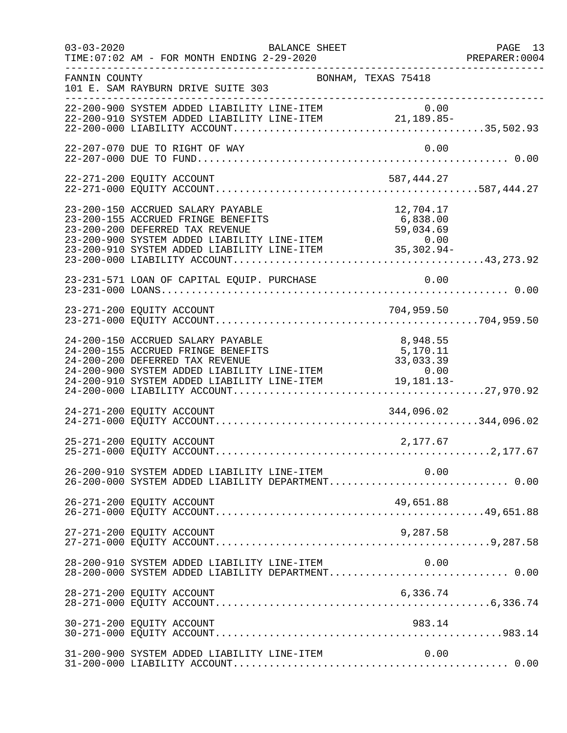| $03 - 03 - 2020$ | TIME: 07:02 AM - FOR MONTH ENDING 2-29-2020                                                                                                                                                                                                                              | BALANCE SHEET       |                      | PAGE 13<br>PREPARER: 0004<br>-------------------- |
|------------------|--------------------------------------------------------------------------------------------------------------------------------------------------------------------------------------------------------------------------------------------------------------------------|---------------------|----------------------|---------------------------------------------------|
| FANNIN COUNTY    | 101 E. SAM RAYBURN DRIVE SUITE 303                                                                                                                                                                                                                                       | BONHAM, TEXAS 75418 |                      |                                                   |
|                  | 0.00 0 0 07STEM ADDED LIABILITY LINE-ITEM 0 0.00<br>22-200-910 SYSTEM ADDED LIABILITY LINE-ITEM 21,189.85-                                                                                                                                                               |                     |                      |                                                   |
|                  | 22-207-070 DUE TO RIGHT OF WAY                                                                                                                                                                                                                                           |                     | 0.00                 |                                                   |
|                  | 22-271-200 EQUITY ACCOUNT                                                                                                                                                                                                                                                |                     | 587,444.27           |                                                   |
|                  | 23-200-150 ACCRUED SALARY PAYABLE<br>23-200-155 ACCRUED FRINGE BENEFITS<br>23-200-200 DEFERRED TAX REVENUE<br>23-200-900 SYSTEM ADDED LIABILITY LINE-ITEM<br>23-200-910 SYSTEM ADDED LIABILITY LINE-ITEM<br>23-200-000 LIABILITY ACCOUNT                                 |                     | 12,704.17            |                                                   |
|                  | 23-231-571 LOAN OF CAPITAL EQUIP. PURCHASE                                                                                                                                                                                                                               |                     | 0.00                 |                                                   |
|                  |                                                                                                                                                                                                                                                                          |                     |                      |                                                   |
|                  | 24-200-150 ACCRUED SALARY PAYABLE<br>24-200-155 ACCRUED FRINGE BENEFITS<br>24-200-133 ACCROLD FRINGE BENEFITS<br>24-200-200 DEFERRED TAX REVENUE 33,033.39<br>24-200-900 SYSTEM ADDED LIABILITY LINE-ITEM 0.00<br>24-200-910 SYSTEM ADDED LIABILITY LINE-ITEM 19,181.13- |                     | 8,948.55<br>5,170.11 |                                                   |
|                  |                                                                                                                                                                                                                                                                          |                     |                      |                                                   |
|                  | 25-271-200 EQUITY ACCOUNT                                                                                                                                                                                                                                                |                     | 2,177.67             |                                                   |
|                  | 26-200-910 SYSTEM ADDED LIABILITY LINE-ITEM<br>26-200-000 SYSTEM ADDED LIABILITY DEPARTMENT 0.00                                                                                                                                                                         |                     | 0.00                 |                                                   |
|                  | 26-271-200 EQUITY ACCOUNT                                                                                                                                                                                                                                                |                     | 49,651.88            |                                                   |
|                  | 27-271-200 EQUITY ACCOUNT                                                                                                                                                                                                                                                |                     | 9,287.58             |                                                   |
|                  | 28-200-910 SYSTEM ADDED LIABILITY LINE-ITEM<br>28-200-000 SYSTEM ADDED LIABILITY DEPARTMENT 0.00                                                                                                                                                                         |                     | 0.00                 |                                                   |
|                  | 28-271-200 EQUITY ACCOUNT                                                                                                                                                                                                                                                |                     | 6,336.74             |                                                   |
|                  | 30-271-200 EQUITY ACCOUNT                                                                                                                                                                                                                                                |                     | 983.14               |                                                   |
|                  | 31-200-900 SYSTEM ADDED LIABILITY LINE-ITEM                                                                                                                                                                                                                              |                     | 0.00                 |                                                   |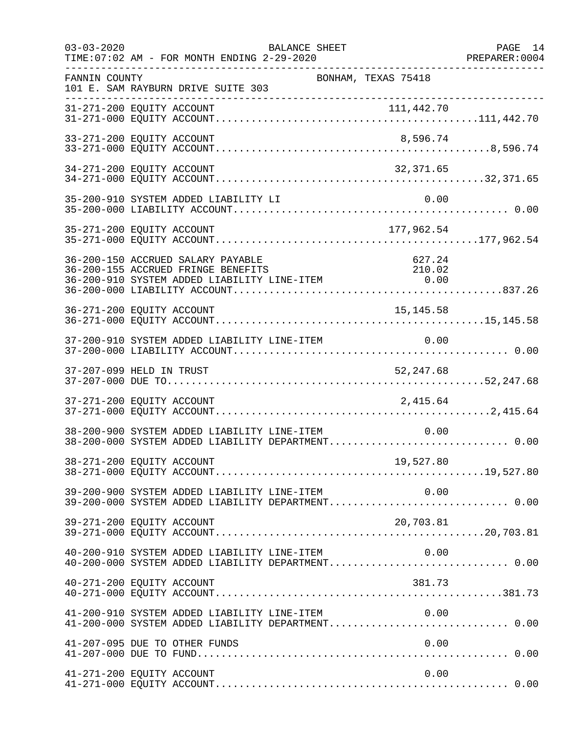| $03 - 03 - 2020$ | TIME: 07:02 AM - FOR MONTH ENDING 2-29-2020                             | <b>BALANCE SHEET</b>                                                                                   | PAGE 14<br>PREPARER: 0004 |
|------------------|-------------------------------------------------------------------------|--------------------------------------------------------------------------------------------------------|---------------------------|
| FANNIN COUNTY    | 101 E. SAM RAYBURN DRIVE SUITE 303                                      | BONHAM, TEXAS 75418                                                                                    |                           |
|                  |                                                                         |                                                                                                        |                           |
|                  | 33-271-200 EQUITY ACCOUNT                                               | 8,596.74                                                                                               |                           |
|                  | 34-271-200 EQUITY ACCOUNT                                               | 32,371.65                                                                                              |                           |
|                  | 35-200-910 SYSTEM ADDED LIABILITY LI                                    | 0.00                                                                                                   |                           |
|                  | 35-271-200 EQUITY ACCOUNT                                               | 177,962.54                                                                                             |                           |
|                  | 36-200-150 ACCRUED SALARY PAYABLE<br>36-200-155 ACCRUED FRINGE BENEFITS | 627.24<br>210.02<br>36-200-133 ACCROLE FRINGE EINITITY LINE-ITEM 6.00                                  |                           |
|                  | 36-271-200 EQUITY ACCOUNT                                               | 15, 145.58                                                                                             |                           |
|                  | 37-200-910 SYSTEM ADDED LIABILITY LINE-ITEM                             | 0.00                                                                                                   |                           |
|                  | 37-207-099 HELD IN TRUST                                                | 52, 247.68                                                                                             |                           |
|                  | 37-271-200 EQUITY ACCOUNT                                               | 2,415.64                                                                                               |                           |
|                  | 38-200-900 SYSTEM ADDED LIABILITY LINE-ITEM                             | 0.00<br>38-200-000 SYSTEM ADDED LIABILITY DEPARTMENT 0.00                                              |                           |
|                  | 38-271-200 EQUITY ACCOUNT                                               |                                                                                                        |                           |
|                  |                                                                         | 0.00 SYSTEM ADDED LIABILITY LINE-ITEM 0.00<br>39-200-000 SYSTEM ADDED LIABILITY DEPARTMENT0.00         |                           |
|                  | 39-271-200 EQUITY ACCOUNT                                               | 20,703.81                                                                                              |                           |
|                  | 40-200-910 SYSTEM ADDED LIABILITY LINE-ITEM                             | 0.00<br>40-200-000 SYSTEM ADDED LIABILITY DEPARTMENT 0.00                                              |                           |
|                  | 40-271-200 EQUITY ACCOUNT                                               | 381.73                                                                                                 |                           |
|                  |                                                                         | 41-200-910 SYSTEM ADDED LIABILITY LINE-ITEM $0.00$<br>41-200-000 SYSTEM ADDED LIABILITY DEPARTMENT0.00 |                           |
|                  | 41-207-095 DUE TO OTHER FUNDS                                           | 0.00                                                                                                   |                           |
|                  | 41-271-200 EQUITY ACCOUNT                                               | 0.00                                                                                                   |                           |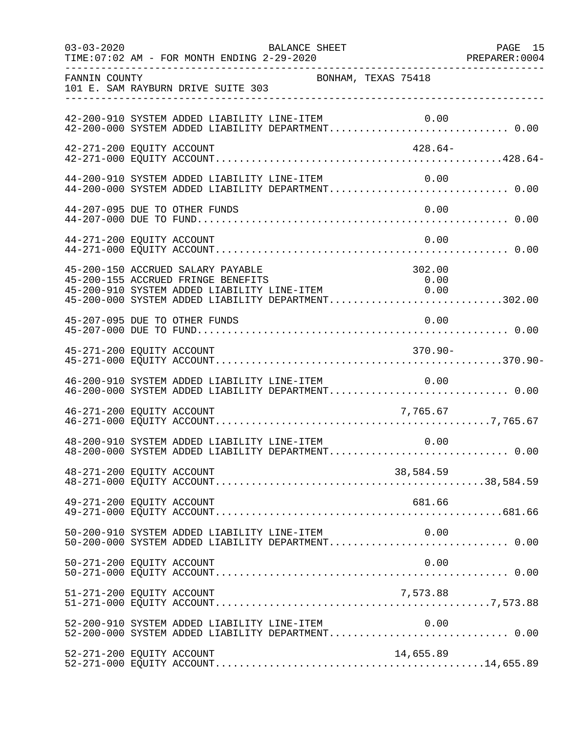| $03 - 03 - 2020$          | TIME: 07:02 AM - FOR MONTH ENDING 2-29-2020 | BALANCE SHEET                                                                                                                    |                                                                                                       | PAGE 15 |
|---------------------------|---------------------------------------------|----------------------------------------------------------------------------------------------------------------------------------|-------------------------------------------------------------------------------------------------------|---------|
| FANNIN COUNTY             | 101 E. SAM RAYBURN DRIVE SUITE 303          | BONHAM, TEXAS 75418                                                                                                              |                                                                                                       |         |
|                           |                                             | 42-200-910 SYSTEM ADDED LIABILITY LINE-ITEM                                                                                      | 42-200-910 SYSTEM ADDED LIABILITY LINE-ITEM 0.00<br>42-200-000 SYSTEM ADDED LIABILITY DEPARTMENT 0.00 |         |
| 42-271-200 EQUITY ACCOUNT |                                             |                                                                                                                                  | 428.64-                                                                                               |         |
|                           |                                             | 44-200-910 SYSTEM ADDED LIABILITY LINE-ITEM                                                                                      | 0.00<br>44-200-000 SYSTEM ADDED LIABILITY DEPARTMENT 0.00                                             |         |
|                           | 44-207-095 DUE TO OTHER FUNDS               |                                                                                                                                  | 0.00                                                                                                  |         |
| 44-271-200 EQUITY ACCOUNT |                                             |                                                                                                                                  | 0.00                                                                                                  |         |
|                           | 45-200-150 ACCRUED SALARY PAYABLE           | 45-200-150 ACCROLD SADARI PATABLE<br>45-200-155 ACCROED FRINGE BENEFITS 0.00<br>45-200-910 SYSTEM ADDED LIABILITY LINE-ITEM 0.00 | 302.00<br>45-200-000 SYSTEM ADDED LIABILITY DEPARTMENT302.00                                          |         |
|                           | 45-207-095 DUE TO OTHER FUNDS               |                                                                                                                                  | 0.00                                                                                                  |         |
| 45-271-200 EQUITY ACCOUNT |                                             |                                                                                                                                  | $370.90 -$                                                                                            |         |
|                           | 46-200-910 SYSTEM ADDED LIABILITY LINE-ITEM |                                                                                                                                  | 0.00                                                                                                  |         |
| 46-271-200 EQUITY ACCOUNT |                                             |                                                                                                                                  | 7,765.67                                                                                              |         |
|                           |                                             | 48-200-910 SYSTEM ADDED LIABILITY LINE-ITEM                                                                                      | 0.00                                                                                                  |         |
| 48-271-200 EQUITY ACCOUNT |                                             |                                                                                                                                  | 38,584.59                                                                                             |         |
| 49-271-200 EQUITY ACCOUNT |                                             |                                                                                                                                  | 681.66                                                                                                |         |
|                           | 50-200-910 SYSTEM ADDED LIABILITY LINE-ITEM |                                                                                                                                  | 0.00<br>50-200-000 SYSTEM ADDED LIABILITY DEPARTMENT 0.00                                             |         |
| 50-271-200 EQUITY ACCOUNT |                                             |                                                                                                                                  | 0.00                                                                                                  |         |
| 51-271-200 EQUITY ACCOUNT |                                             |                                                                                                                                  | 7,573.88                                                                                              |         |
|                           | 52-200-910 SYSTEM ADDED LIABILITY LINE-ITEM |                                                                                                                                  | 0.00                                                                                                  |         |
| 52-271-200 EQUITY ACCOUNT |                                             |                                                                                                                                  | 14,655.89                                                                                             |         |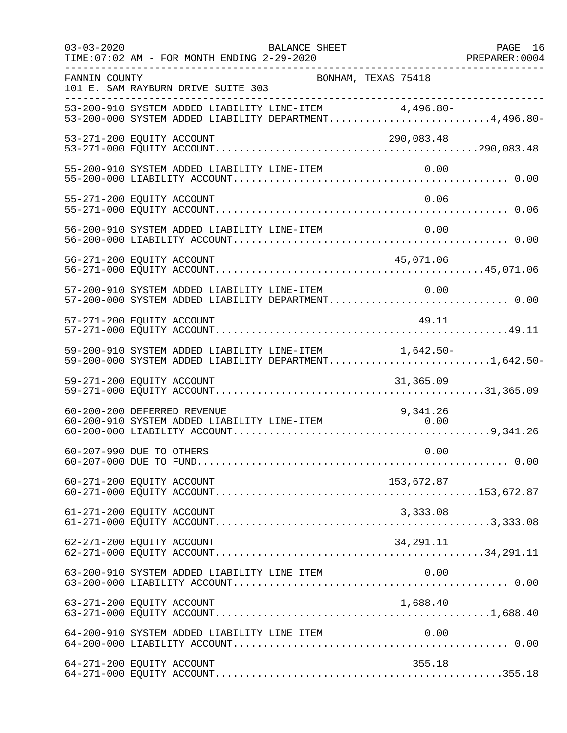| $03 - 03 - 2020$            | TIME: 07:02 AM - FOR MONTH ENDING 2-29-2020<br>______________________________________ | BALANCE SHEET                               |            | PAGE 16<br>PREPARER: 0004                                                                                      |
|-----------------------------|---------------------------------------------------------------------------------------|---------------------------------------------|------------|----------------------------------------------------------------------------------------------------------------|
| FANNIN COUNTY               | 101 E. SAM RAYBURN DRIVE SUITE 303                                                    | BONHAM, TEXAS 75418                         |            |                                                                                                                |
|                             |                                                                                       |                                             |            | 53-200-910 SYSTEM ADDED LIABILITY LINE-ITEM 4,496.80-<br>53-200-000 SYSTEM ADDED LIABILITY DEPARTMENT4,496.80- |
| 53-271-200 EQUITY ACCOUNT   |                                                                                       |                                             | 290,083.48 |                                                                                                                |
|                             |                                                                                       | 55-200-910 SYSTEM ADDED LIABILITY LINE-ITEM | 0.00       |                                                                                                                |
| 55-271-200 EQUITY ACCOUNT   |                                                                                       |                                             | 0.06       |                                                                                                                |
|                             |                                                                                       | 56-200-910 SYSTEM ADDED LIABILITY LINE-ITEM | 0.00       |                                                                                                                |
| 56-271-200 EQUITY ACCOUNT   |                                                                                       |                                             | 45,071.06  |                                                                                                                |
|                             |                                                                                       | 57-200-910 SYSTEM ADDED LIABILITY LINE-ITEM | 0.00       | 57-200-000 SYSTEM ADDED LIABILITY DEPARTMENT 0.00                                                              |
| 57-271-200 EQUITY ACCOUNT   |                                                                                       |                                             | 49.11      |                                                                                                                |
|                             |                                                                                       |                                             |            | 59-200-910 SYSTEM ADDED LIABILITY LINE-ITEM 1,642.50-<br>59-200-000 SYSTEM ADDED LIABILITY DEPARTMENT1,642.50- |
| 59-271-200 EQUITY ACCOUNT   |                                                                                       |                                             | 31,365.09  |                                                                                                                |
| 60-200-200 DEFERRED REVENUE |                                                                                       |                                             | 9,341.26   |                                                                                                                |
| 60-207-990 DUE TO OTHERS    |                                                                                       |                                             | 0.00       |                                                                                                                |
| 60-271-200 EQUITY ACCOUNT   |                                                                                       |                                             | 153,672.87 |                                                                                                                |
|                             |                                                                                       |                                             |            |                                                                                                                |
| 62-271-200 EQUITY ACCOUNT   |                                                                                       |                                             | 34,291.11  |                                                                                                                |
|                             | 63-200-910 SYSTEM ADDED LIABILITY LINE ITEM                                           |                                             | 0.00       |                                                                                                                |
| 63-271-200 EQUITY ACCOUNT   |                                                                                       |                                             | 1,688.40   |                                                                                                                |
|                             | 64-200-910 SYSTEM ADDED LIABILITY LINE ITEM                                           |                                             | 0.00       |                                                                                                                |
| 64-271-200 EQUITY ACCOUNT   |                                                                                       |                                             | 355.18     |                                                                                                                |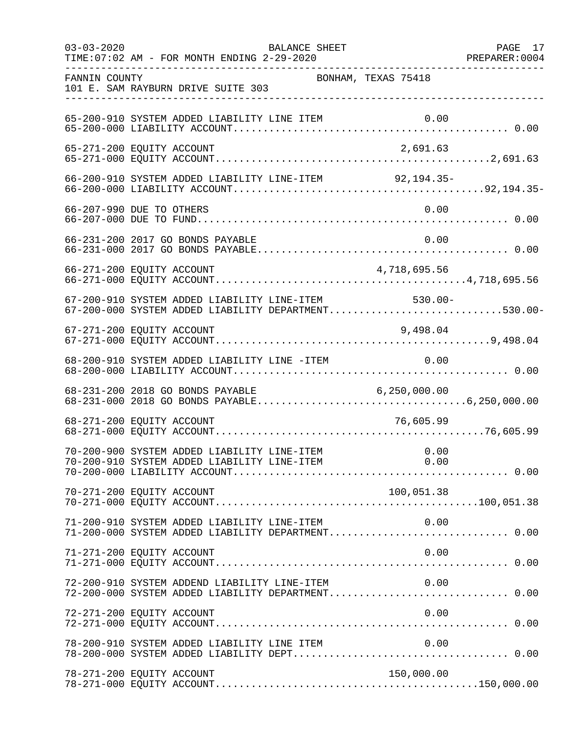| $03 - 03 - 2020$ | TIME: 07:02 AM - FOR MONTH ENDING 2-29-2020                                                        | BALANCE SHEET       | PAGE 17 |
|------------------|----------------------------------------------------------------------------------------------------|---------------------|---------|
| FANNIN COUNTY    | 101 E. SAM RAYBURN DRIVE SUITE 303                                                                 | BONHAM, TEXAS 75418 |         |
|                  | 65-200-910 SYSTEM ADDED LIABILITY LINE ITEM                                                        |                     |         |
|                  | 65-271-200 EQUITY ACCOUNT                                                                          | 2,691.63            |         |
|                  | 66-200-910 SYSTEM ADDED LIABILITY LINE-ITEM 92,194.35-                                             |                     |         |
|                  | 66-207-990 DUE TO OTHERS                                                                           | 0.00                |         |
|                  | 66-231-200 2017 GO BONDS PAYABLE                                                                   | 0.00                |         |
|                  | 66-271-200 EQUITY ACCOUNT                                                                          | 4,718,695.56        |         |
|                  | 67-200-910 SYSTEM ADDED LIABILITY LINE-ITEM<br>67-200-000 SYSTEM ADDED LIABILITY DEPARTMENT530.00- | $530.00 -$          |         |
|                  | 67-271-200 EQUITY ACCOUNT                                                                          | 9,498.04            |         |
|                  | 68-200-910 SYSTEM ADDED LIABILITY LINE -ITEM 0.00                                                  |                     |         |
|                  |                                                                                                    |                     |         |
|                  | 68-271-200 EQUITY ACCOUNT                                                                          | 76,605.99           |         |
|                  |                                                                                                    |                     |         |
|                  | 70-271-200 EQUITY ACCOUNT                                                                          | 100,051.38          |         |
|                  | 71-200-910 SYSTEM ADDED LIABILITY LINE-ITEM<br>71-200-000 SYSTEM ADDED LIABILITY DEPARTMENT 0.00   | 0.00                |         |
|                  | 71-271-200 EQUITY ACCOUNT                                                                          | 0.00                |         |
|                  | 72-200-910 SYSTEM ADDEND LIABILITY LINE-ITEM<br>72-200-000 SYSTEM ADDED LIABILITY DEPARTMENT 0.00  | 0.00                |         |
|                  | 72-271-200 EQUITY ACCOUNT                                                                          | 0.00                |         |
|                  | 78-200-910 SYSTEM ADDED LIABILITY LINE ITEM                                                        | 0.00                |         |
|                  | 78-271-200 EQUITY ACCOUNT                                                                          | 150,000.00          |         |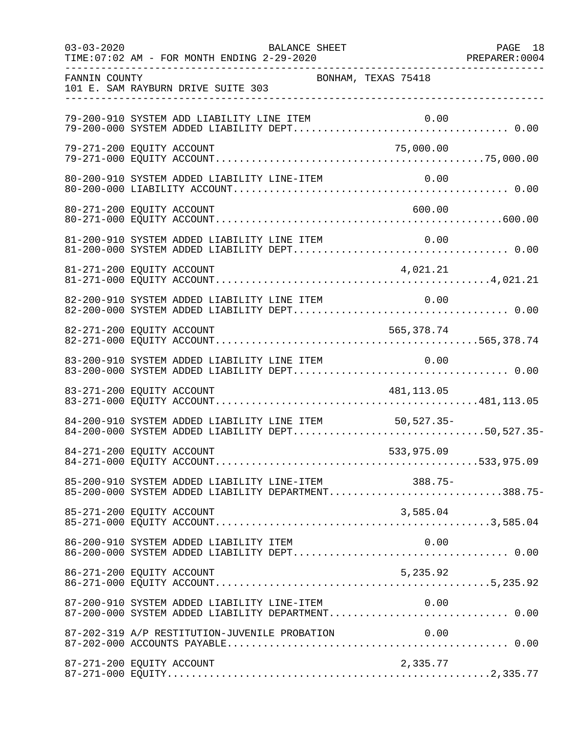| $03 - 03 - 2020$          | TIME: 07:02 AM - FOR MONTH ENDING 2-29-2020 | BALANCE SHEET                                 | PREPARER: 0004<br>--------------------------------------                                                   | PAGE 18 |
|---------------------------|---------------------------------------------|-----------------------------------------------|------------------------------------------------------------------------------------------------------------|---------|
| FANNIN COUNTY             | 101 E. SAM RAYBURN DRIVE SUITE 303          |                                               | BONHAM, TEXAS 75418                                                                                        |         |
|                           | 79-200-910 SYSTEM ADD LIABILITY LINE ITEM   |                                               | 0.00                                                                                                       |         |
| 79-271-200 EQUITY ACCOUNT |                                             |                                               | 75,000.00                                                                                                  |         |
|                           |                                             | 80-200-910 SYSTEM ADDED LIABILITY LINE-ITEM   | 0.00                                                                                                       |         |
| 80-271-200 EQUITY ACCOUNT |                                             |                                               | 600.00                                                                                                     |         |
|                           | 81-200-910 SYSTEM ADDED LIABILITY LINE ITEM |                                               | 0.00                                                                                                       |         |
| 81-271-200 EQUITY ACCOUNT |                                             |                                               | 4,021.21                                                                                                   |         |
|                           |                                             | 82-200-910 SYSTEM ADDED LIABILITY LINE ITEM   | 0.00                                                                                                       |         |
|                           |                                             |                                               |                                                                                                            |         |
|                           | 83-200-910 SYSTEM ADDED LIABILITY LINE ITEM |                                               | 0.00                                                                                                       |         |
| 83-271-200 EQUITY ACCOUNT |                                             |                                               | 481,113.05                                                                                                 |         |
|                           |                                             |                                               | 84-200-910 SYSTEM ADDED LIABILITY LINE ITEM 50,527.35-<br>84-200-000 SYSTEM ADDED LIABILITY DEPT50,527.35- |         |
| 84-271-200 EQUITY ACCOUNT |                                             |                                               | 533,975.09                                                                                                 |         |
|                           |                                             |                                               | 85-200-910 SYSTEM ADDED LIABILITY LINE-ITEM 388.75-<br>85-200-000 SYSTEM ADDED LIABILITY DEPARTMENT388.75- |         |
| 85-271-200 EQUITY ACCOUNT |                                             |                                               | 3,585.04                                                                                                   |         |
|                           | 86-200-910 SYSTEM ADDED LIABILITY ITEM      |                                               | 0.00                                                                                                       |         |
| 86-271-200 EQUITY ACCOUNT |                                             |                                               | 5,235.92                                                                                                   |         |
|                           |                                             |                                               | 87-200-910 SYSTEM ADDED LIABILITY LINE-ITEM 0.00<br>87-200-000 SYSTEM ADDED LIABILITY DEPARTMENT 0.00      |         |
|                           |                                             | 87-202-319 A/P RESTITUTION-JUVENILE PROBATION | 0.00                                                                                                       |         |
| 87-271-200 EQUITY ACCOUNT |                                             |                                               | 2,335.77                                                                                                   |         |